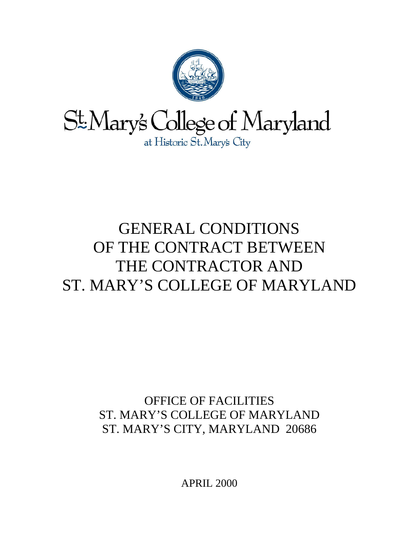

# GENERAL CONDITIONS OF THE CONTRACT BETWEEN THE CONTRACTOR AND ST. MARY'S COLLEGE OF MARYLAND

OFFICE OF FACILITIES ST. MARY'S COLLEGE OF MARYLAND ST. MARY'S CITY, MARYLAND 20686

APRIL 2000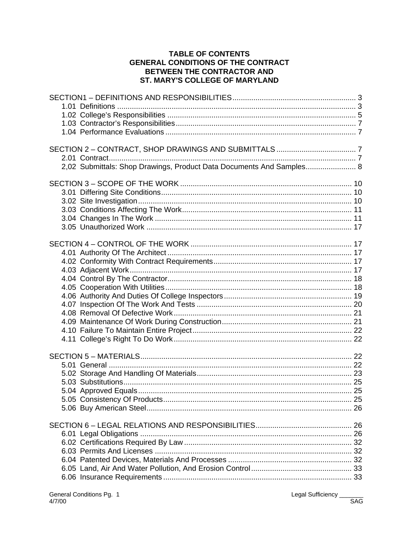#### **TABLE OF CONTENTS GENERAL CONDITIONS OF THE CONTRACT** BETWEEN THE CONTRACTOR AND ST. MARY'S COLLEGE OF MARYLAND

| 2,02 Submittals: Shop Drawings, Product Data Documents And Samples 8 |  |
|----------------------------------------------------------------------|--|
|                                                                      |  |
|                                                                      |  |
|                                                                      |  |
|                                                                      |  |

Legal Sufficiency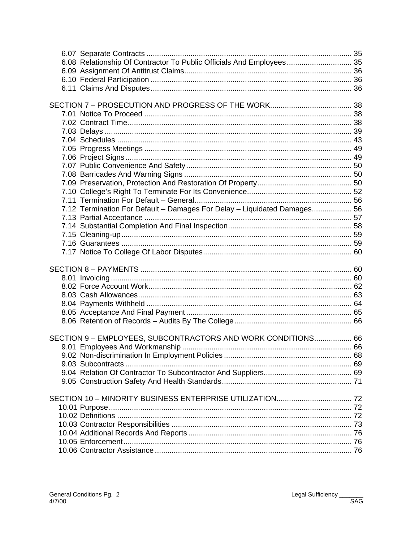| 6.08 Relationship Of Contractor To Public Officials And Employees 35     |  |
|--------------------------------------------------------------------------|--|
|                                                                          |  |
|                                                                          |  |
|                                                                          |  |
|                                                                          |  |
|                                                                          |  |
|                                                                          |  |
|                                                                          |  |
|                                                                          |  |
|                                                                          |  |
|                                                                          |  |
|                                                                          |  |
|                                                                          |  |
|                                                                          |  |
|                                                                          |  |
| 7.12 Termination For Default - Damages For Delay - Liquidated Damages 56 |  |
|                                                                          |  |
|                                                                          |  |
|                                                                          |  |
|                                                                          |  |
|                                                                          |  |
|                                                                          |  |
|                                                                          |  |
|                                                                          |  |
|                                                                          |  |
|                                                                          |  |
|                                                                          |  |
|                                                                          |  |
| SECTION 9 - EMPLOYEES, SUBCONTRACTORS AND WORK CONDITIONS 66             |  |
|                                                                          |  |
|                                                                          |  |
|                                                                          |  |
|                                                                          |  |
|                                                                          |  |
|                                                                          |  |
|                                                                          |  |
|                                                                          |  |
|                                                                          |  |
|                                                                          |  |
|                                                                          |  |
|                                                                          |  |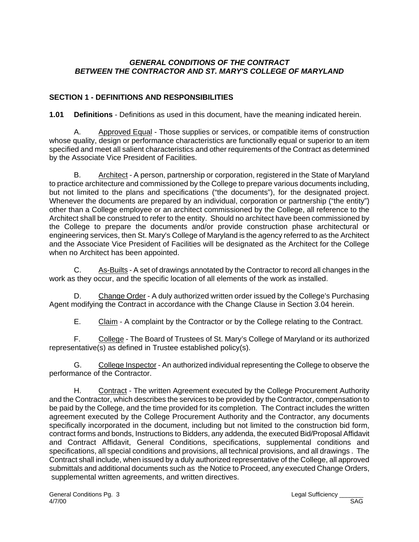#### *GENERAL CONDITIONS OF THE CONTRACT BETWEEN THE CONTRACTOR AND ST. MARY'S COLLEGE OF MARYLAND*

# **SECTION 1 - DEFINITIONS AND RESPONSIBILITIES**

**1.01 Definitions** - Definitions as used in this document, have the meaning indicated herein.

A. Approved Equal - Those supplies or services, or compatible items of construction whose quality, design or performance characteristics are functionally equal or superior to an item specified and meet all salient characteristics and other requirements of the Contract as determined by the Associate Vice President of Facilities.

B. Architect - A person, partnership or corporation, registered in the State of Maryland to practice architecture and commissioned by the College to prepare various documents including, but not limited to the plans and specifications ("the documents"), for the designated project. Whenever the documents are prepared by an individual, corporation or partnership ("the entity") other than a College employee or an architect commissioned by the College, all reference to the Architect shall be construed to refer to the entity. Should no architect have been commissioned by the College to prepare the documents and/or provide construction phase architectural or engineering services, then St. Mary's College of Maryland is the agency referred to as the Architect and the Associate Vice President of Facilities will be designated as the Architect for the College when no Architect has been appointed.

C. As-Builts - A set of drawings annotated by the Contractor to record all changes in the work as they occur, and the specific location of all elements of the work as installed.

D. Change Order - A duly authorized written order issued by the College's Purchasing Agent modifying the Contract in accordance with the Change Clause in Section 3.04 herein.

E. Claim - A complaint by the Contractor or by the College relating to the Contract.

F. College - The Board of Trustees of St. Mary's College of Maryland or its authorized representative(s) as defined in Trustee established policy(s).

G. College Inspector - An authorized individual representing the College to observe the performance of the Contractor.

H. Contract - The written Agreement executed by the College Procurement Authority and the Contractor, which describes the services to be provided by the Contractor, compensation to be paid by the College, and the time provided for its completion. The Contract includes the written agreement executed by the College Procurement Authority and the Contractor, any documents specifically incorporated in the document, including but not limited to the construction bid form, contract forms and bonds, Instructions to Bidders, any addenda, the executed Bid/Proposal Affidavit and Contract Affidavit, General Conditions, specifications, supplemental conditions and specifications, all special conditions and provisions, all technical provisions, and all drawings . The Contract shall include, when issued by a duly authorized representative of the College, all approved submittals and additional documents such as the Notice to Proceed, any executed Change Orders, supplemental written agreements, and written directives.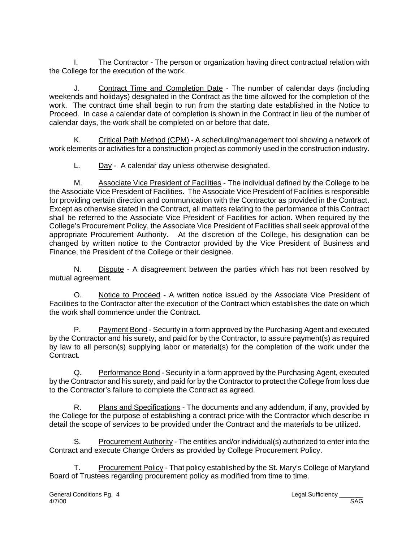I. The Contractor - The person or organization having direct contractual relation with the College for the execution of the work.

J. Contract Time and Completion Date - The number of calendar days (including weekends and holidays) designated in the Contract as the time allowed for the completion of the work. The contract time shall begin to run from the starting date established in the Notice to Proceed. In case a calendar date of completion is shown in the Contract in lieu of the number of calendar days, the work shall be completed on or before that date.

K. Critical Path Method (CPM) - A scheduling/management tool showing a network of work elements or activities for a construction project as commonly used in the construction industry.

L. Day - A calendar day unless otherwise designated.

M. Associate Vice President of Facilities - The individual defined by the College to be the Associate Vice President of Facilities. The Associate Vice President of Facilities is responsible for providing certain direction and communication with the Contractor as provided in the Contract. Except as otherwise stated in the Contract, all matters relating to the performance of this Contract shall be referred to the Associate Vice President of Facilities for action. When required by the College's Procurement Policy, the Associate Vice President of Facilities shall seek approval of the appropriate Procurement Authority. At the discretion of the College, his designation can be changed by written notice to the Contractor provided by the Vice President of Business and Finance, the President of the College or their designee.

N. Dispute - A disagreement between the parties which has not been resolved by mutual agreement.

O. Notice to Proceed - A written notice issued by the Associate Vice President of Facilities to the Contractor after the execution of the Contract which establishes the date on which the work shall commence under the Contract.

P. Payment Bond - Security in a form approved by the Purchasing Agent and executed by the Contractor and his surety, and paid for by the Contractor, to assure payment(s) as required by law to all person(s) supplying labor or material(s) for the completion of the work under the Contract.

Q. Performance Bond - Security in a form approved by the Purchasing Agent, executed by the Contractor and his surety, and paid for by the Contractor to protect the College from loss due to the Contractor's failure to complete the Contract as agreed.

R. Plans and Specifications - The documents and any addendum, if any, provided by the College for the purpose of establishing a contract price with the Contractor which describe in detail the scope of services to be provided under the Contract and the materials to be utilized.

S. Procurement Authority - The entities and/or individual(s) authorized to enter into the Contract and execute Change Orders as provided by College Procurement Policy.

T. Procurement Policy - That policy established by the St. Mary's College of Maryland Board of Trustees regarding procurement policy as modified from time to time.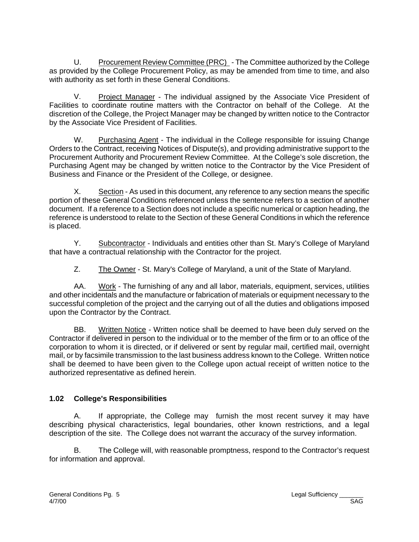U. Procurement Review Committee (PRC) - The Committee authorized by the College as provided by the College Procurement Policy, as may be amended from time to time, and also with authority as set forth in these General Conditions.

V. Project Manager - The individual assigned by the Associate Vice President of Facilities to coordinate routine matters with the Contractor on behalf of the College. At the discretion of the College, the Project Manager may be changed by written notice to the Contractor by the Associate Vice President of Facilities.

W. Purchasing Agent - The individual in the College responsible for issuing Change Orders to the Contract, receiving Notices of Dispute(s), and providing administrative support to the Procurement Authority and Procurement Review Committee. At the College's sole discretion, the Purchasing Agent may be changed by written notice to the Contractor by the Vice President of Business and Finance or the President of the College, or designee.

X. Section - As used in this document, any reference to any section means the specific portion of these General Conditions referenced unless the sentence refers to a section of another document. If a reference to a Section does not include a specific numerical or caption heading, the reference is understood to relate to the Section of these General Conditions in which the reference is placed.

Y. Subcontractor - Individuals and entities other than St. Mary's College of Maryland that have a contractual relationship with the Contractor for the project.

Z. The Owner - St. Mary's College of Maryland, a unit of the State of Maryland.

AA. Work - The furnishing of any and all labor, materials, equipment, services, utilities and other incidentals and the manufacture or fabrication of materials or equipment necessary to the successful completion of the project and the carrying out of all the duties and obligations imposed upon the Contractor by the Contract.

BB. Written Notice - Written notice shall be deemed to have been duly served on the Contractor if delivered in person to the individual or to the member of the firm or to an office of the corporation to whom it is directed, or if delivered or sent by regular mail, certified mail, overnight mail, or by facsimile transmission to the last business address known to the College. Written notice shall be deemed to have been given to the College upon actual receipt of written notice to the authorized representative as defined herein.

# **1.02 College's Responsibilities**

A. If appropriate, the College may furnish the most recent survey it may have describing physical characteristics, legal boundaries, other known restrictions, and a legal description of the site. The College does not warrant the accuracy of the survey information.

B. The College will, with reasonable promptness, respond to the Contractor's request for information and approval.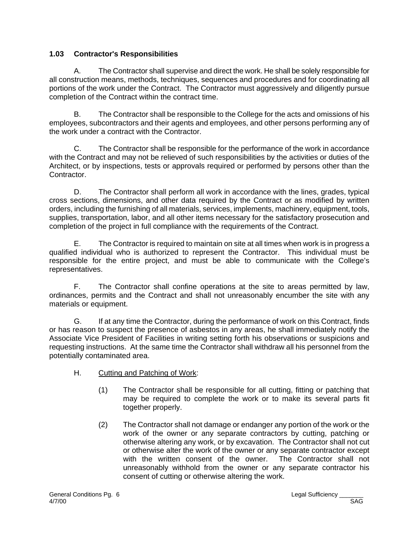#### **1.03 Contractor's Responsibilities**

A. The Contractor shall supervise and direct the work. He shall be solely responsible for all construction means, methods, techniques, sequences and procedures and for coordinating all portions of the work under the Contract. The Contractor must aggressively and diligently pursue completion of the Contract within the contract time.

 B. The Contractor shall be responsible to the College for the acts and omissions of his employees, subcontractors and their agents and employees, and other persons performing any of the work under a contract with the Contractor.

C. The Contractor shall be responsible for the performance of the work in accordance with the Contract and may not be relieved of such responsibilities by the activities or duties of the Architect, or by inspections, tests or approvals required or performed by persons other than the Contractor.

D. The Contractor shall perform all work in accordance with the lines, grades, typical cross sections, dimensions, and other data required by the Contract or as modified by written orders, including the furnishing of all materials, services, implements, machinery, equipment, tools, supplies, transportation, labor, and all other items necessary for the satisfactory prosecution and completion of the project in full compliance with the requirements of the Contract.

E. The Contractor is required to maintain on site at all times when work is in progress a qualified individual who is authorized to represent the Contractor. This individual must be responsible for the entire project, and must be able to communicate with the College's representatives.

F. The Contractor shall confine operations at the site to areas permitted by law, ordinances, permits and the Contract and shall not unreasonably encumber the site with any materials or equipment.

G. If at any time the Contractor, during the performance of work on this Contract, finds or has reason to suspect the presence of asbestos in any areas, he shall immediately notify the Associate Vice President of Facilities in writing setting forth his observations or suspicions and requesting instructions. At the same time the Contractor shall withdraw all his personnel from the potentially contaminated area.

- H. Cutting and Patching of Work:
	- (1) The Contractor shall be responsible for all cutting, fitting or patching that may be required to complete the work or to make its several parts fit together properly.
	- (2) The Contractor shall not damage or endanger any portion of the work or the work of the owner or any separate contractors by cutting, patching or otherwise altering any work, or by excavation. The Contractor shall not cut or otherwise alter the work of the owner or any separate contractor except with the written consent of the owner. The Contractor shall not unreasonably withhold from the owner or any separate contractor his consent of cutting or otherwise altering the work.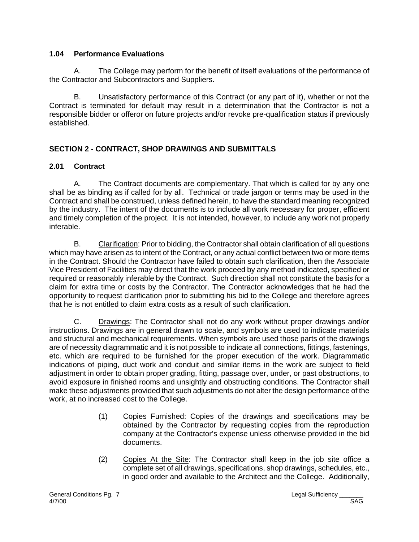#### **1.04 Performance Evaluations**

A. The College may perform for the benefit of itself evaluations of the performance of the Contractor and Subcontractors and Suppliers.

B. Unsatisfactory performance of this Contract (or any part of it), whether or not the Contract is terminated for default may result in a determination that the Contractor is not a responsible bidder or offeror on future projects and/or revoke pre-qualification status if previously established.

# **SECTION 2 - CONTRACT, SHOP DRAWINGS AND SUBMITTALS**

## **2.01 Contract**

A. The Contract documents are complementary. That which is called for by any one shall be as binding as if called for by all. Technical or trade jargon or terms may be used in the Contract and shall be construed, unless defined herein, to have the standard meaning recognized by the industry. The intent of the documents is to include all work necessary for proper, efficient and timely completion of the project. It is not intended, however, to include any work not properly inferable.

B. Clarification: Prior to bidding, the Contractor shall obtain clarification of all questions which may have arisen as to intent of the Contract, or any actual conflict between two or more items in the Contract. Should the Contractor have failed to obtain such clarification, then the Associate Vice President of Facilities may direct that the work proceed by any method indicated, specified or required or reasonably inferable by the Contract. Such direction shall not constitute the basis for a claim for extra time or costs by the Contractor. The Contractor acknowledges that he had the opportunity to request clarification prior to submitting his bid to the College and therefore agrees that he is not entitled to claim extra costs as a result of such clarification.

C. Drawings: The Contractor shall not do any work without proper drawings and/or instructions. Drawings are in general drawn to scale, and symbols are used to indicate materials and structural and mechanical requirements. When symbols are used those parts of the drawings are of necessity diagrammatic and it is not possible to indicate all connections, fittings, fastenings, etc. which are required to be furnished for the proper execution of the work. Diagrammatic indications of piping, duct work and conduit and similar items in the work are subject to field adjustment in order to obtain proper grading, fitting, passage over, under, or past obstructions, to avoid exposure in finished rooms and unsightly and obstructing conditions. The Contractor shall make these adjustments provided that such adjustments do not alter the design performance of the work, at no increased cost to the College.

- (1) Copies Furnished: Copies of the drawings and specifications may be obtained by the Contractor by requesting copies from the reproduction company at the Contractor's expense unless otherwise provided in the bid documents.
- (2) Copies At the Site: The Contractor shall keep in the job site office a complete set of all drawings, specifications, shop drawings, schedules, etc., in good order and available to the Architect and the College. Additionally,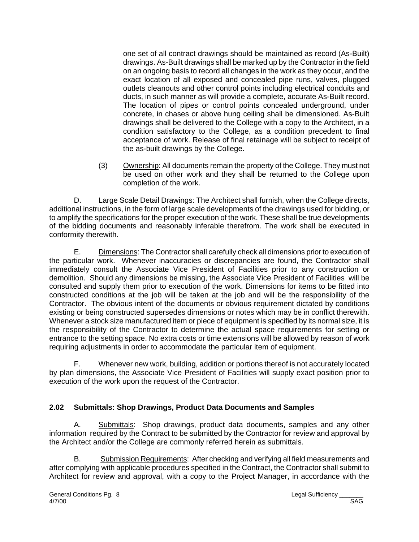one set of all contract drawings should be maintained as record (As-Built) drawings. As-Built drawings shall be marked up by the Contractor in the field on an ongoing basis to record all changes in the work as they occur, and the exact location of all exposed and concealed pipe runs, valves, plugged outlets cleanouts and other control points including electrical conduits and ducts, in such manner as will provide a complete, accurate As-Built record. The location of pipes or control points concealed underground, under concrete, in chases or above hung ceiling shall be dimensioned. As-Built drawings shall be delivered to the College with a copy to the Architect, in a condition satisfactory to the College, as a condition precedent to final acceptance of work. Release of final retainage will be subject to receipt of the as-built drawings by the College.

(3) Ownership: All documents remain the property of the College. They must not be used on other work and they shall be returned to the College upon completion of the work.

D. Large Scale Detail Drawings: The Architect shall furnish, when the College directs, additional instructions, in the form of large scale developments of the drawings used for bidding, or to amplify the specifications for the proper execution of the work. These shall be true developments of the bidding documents and reasonably inferable therefrom. The work shall be executed in conformity therewith.

E. Dimensions: The Contractor shall carefully check all dimensions prior to execution of the particular work. Whenever inaccuracies or discrepancies are found, the Contractor shall immediately consult the Associate Vice President of Facilities prior to any construction or demolition. Should any dimensions be missing, the Associate Vice President of Facilities will be consulted and supply them prior to execution of the work. Dimensions for items to be fitted into constructed conditions at the job will be taken at the job and will be the responsibility of the Contractor. The obvious intent of the documents or obvious requirement dictated by conditions existing or being constructed supersedes dimensions or notes which may be in conflict therewith. Whenever a stock size manufactured item or piece of equipment is specified by its normal size, it is the responsibility of the Contractor to determine the actual space requirements for setting or entrance to the setting space. No extra costs or time extensions will be allowed by reason of work requiring adjustments in order to accommodate the particular item of equipment.

F. Whenever new work, building, addition or portions thereof is not accurately located by plan dimensions, the Associate Vice President of Facilities will supply exact position prior to execution of the work upon the request of the Contractor.

## **2.02 Submittals: Shop Drawings, Product Data Documents and Samples**

A. Submittals: Shop drawings, product data documents, samples and any other information required by the Contract to be submitted by the Contractor for review and approval by the Architect and/or the College are commonly referred herein as submittals.

B. Submission Requirements: After checking and verifying all field measurements and after complying with applicable procedures specified in the Contract, the Contractor shall submit to Architect for review and approval, with a copy to the Project Manager, in accordance with the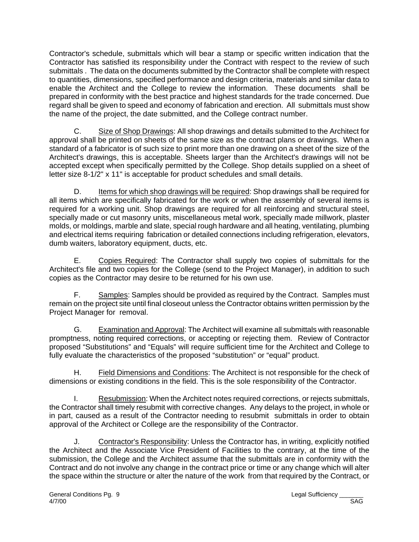Contractor's schedule, submittals which will bear a stamp or specific written indication that the Contractor has satisfied its responsibility under the Contract with respect to the review of such submittals . The data on the documents submitted by the Contractor shall be complete with respect to quantities, dimensions, specified performance and design criteria, materials and similar data to enable the Architect and the College to review the information. These documents shall be prepared in conformity with the best practice and highest standards for the trade concerned. Due regard shall be given to speed and economy of fabrication and erection. All submittals must show the name of the project, the date submitted, and the College contract number.

C. Size of Shop Drawings: All shop drawings and details submitted to the Architect for approval shall be printed on sheets of the same size as the contract plans or drawings. When a standard of a fabricator is of such size to print more than one drawing on a sheet of the size of the Architect's drawings, this is acceptable. Sheets larger than the Architect's drawings will not be accepted except when specifically permitted by the College. Shop details supplied on a sheet of letter size 8-1/2" x 11" is acceptable for product schedules and small details.

D. Items for which shop drawings will be required: Shop drawings shall be required for all items which are specifically fabricated for the work or when the assembly of several items is required for a working unit. Shop drawings are required for all reinforcing and structural steel, specially made or cut masonry units, miscellaneous metal work, specially made millwork, plaster molds, or moldings, marble and slate, special rough hardware and all heating, ventilating, plumbing and electrical items requiring fabrication or detailed connections including refrigeration, elevators, dumb waiters, laboratory equipment, ducts, etc.

E. Copies Required: The Contractor shall supply two copies of submittals for the Architect's file and two copies for the College (send to the Project Manager), in addition to such copies as the Contractor may desire to be returned for his own use.

F. Samples: Samples should be provided as required by the Contract. Samples must remain on the project site until final closeout unless the Contractor obtains written permission by the Project Manager for removal.

G. Examination and Approval: The Architect will examine all submittals with reasonable promptness, noting required corrections, or accepting or rejecting them. Review of Contractor proposed "Substitutions" and "Equals" will require sufficient time for the Architect and College to fully evaluate the characteristics of the proposed "substitution" or "equal" product.

H. Field Dimensions and Conditions: The Architect is not responsible for the check of dimensions or existing conditions in the field. This is the sole responsibility of the Contractor.

I. Resubmission: When the Architect notes required corrections, or rejects submittals, the Contractor shall timely resubmit with corrective changes. Any delays to the project, in whole or in part, caused as a result of the Contractor needing to resubmit submittals in order to obtain approval of the Architect or College are the responsibility of the Contractor.

J. Contractor's Responsibility: Unless the Contractor has, in writing, explicitly notified the Architect and the Associate Vice President of Facilities to the contrary, at the time of the submission, the College and the Architect assume that the submittals are in conformity with the Contract and do not involve any change in the contract price or time or any change which will alter the space within the structure or alter the nature of the work from that required by the Contract, or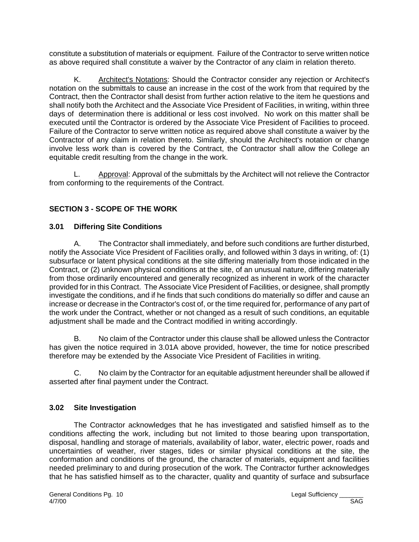constitute a substitution of materials or equipment. Failure of the Contractor to serve written notice as above required shall constitute a waiver by the Contractor of any claim in relation thereto.

K. Architect's Notations: Should the Contractor consider any rejection or Architect's notation on the submittals to cause an increase in the cost of the work from that required by the Contract, then the Contractor shall desist from further action relative to the item he questions and shall notify both the Architect and the Associate Vice President of Facilities, in writing, within three days of determination there is additional or less cost involved.No work on this matter shall be executed until the Contractor is ordered by the Associate Vice President of Facilities to proceed. Failure of the Contractor to serve written notice as required above shall constitute a waiver by the Contractor of any claim in relation thereto. Similarly, should the Architect's notation or change involve less work than is covered by the Contract, the Contractor shall allow the College an equitable credit resulting from the change in the work.

L. Approval: Approval of the submittals by the Architect will not relieve the Contractor from conforming to the requirements of the Contract.

## **SECTION 3 - SCOPE OF THE WORK**

#### **3.01 Differing Site Conditions**

A. The Contractor shall immediately, and before such conditions are further disturbed, notify the Associate Vice President of Facilities orally, and followed within 3 days in writing, of: (1) subsurface or latent physical conditions at the site differing materially from those indicated in the Contract, or (2) unknown physical conditions at the site, of an unusual nature, differing materially from those ordinarily encountered and generally recognized as inherent in work of the character provided for in this Contract. The Associate Vice President of Facilities, or designee, shall promptly investigate the conditions, and if he finds that such conditions do materially so differ and cause an increase or decrease in the Contractor's cost of, or the time required for, performance of any part of the work under the Contract, whether or not changed as a result of such conditions, an equitable adjustment shall be made and the Contract modified in writing accordingly.

B. No claim of the Contractor under this clause shall be allowed unless the Contractor has given the notice required in 3.01A above provided, however, the time for notice prescribed therefore may be extended by the Associate Vice President of Facilities in writing.

C. No claim by the Contractor for an equitable adjustment hereunder shall be allowed if asserted after final payment under the Contract.

#### **3.02 Site Investigation**

The Contractor acknowledges that he has investigated and satisfied himself as to the conditions affecting the work, including but not limited to those bearing upon transportation, disposal, handling and storage of materials, availability of labor, water, electric power, roads and uncertainties of weather, river stages, tides or similar physical conditions at the site, the conformation and conditions of the ground, the character of materials, equipment and facilities needed preliminary to and during prosecution of the work. The Contractor further acknowledges that he has satisfied himself as to the character, quality and quantity of surface and subsurface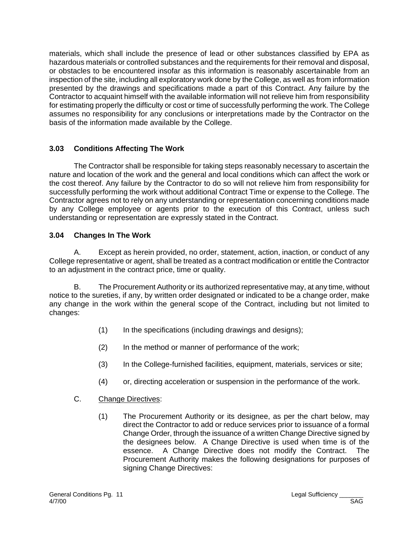materials, which shall include the presence of lead or other substances classified by EPA as hazardous materials or controlled substances and the requirements for their removal and disposal, or obstacles to be encountered insofar as this information is reasonably ascertainable from an inspection of the site, including all exploratory work done by the College, as well as from information presented by the drawings and specifications made a part of this Contract. Any failure by the Contractor to acquaint himself with the available information will not relieve him from responsibility for estimating properly the difficulty or cost or time of successfully performing the work. The College assumes no responsibility for any conclusions or interpretations made by the Contractor on the basis of the information made available by the College.

## **3.03 Conditions Affecting The Work**

The Contractor shall be responsible for taking steps reasonably necessary to ascertain the nature and location of the work and the general and local conditions which can affect the work or the cost thereof. Any failure by the Contractor to do so will not relieve him from responsibility for successfully performing the work without additional Contract Time or expense to the College. The Contractor agrees not to rely on any understanding or representation concerning conditions made by any College employee or agents prior to the execution of this Contract, unless such understanding or representation are expressly stated in the Contract.

## **3.04 Changes In The Work**

A. Except as herein provided, no order, statement, action, inaction, or conduct of any College representative or agent, shall be treated as a contract modification or entitle the Contractor to an adjustment in the contract price, time or quality.

B. The Procurement Authority or its authorized representative may, at any time, without notice to the sureties, if any, by written order designated or indicated to be a change order, make any change in the work within the general scope of the Contract, including but not limited to changes:

- (1) In the specifications (including drawings and designs);
- (2) In the method or manner of performance of the work;
- (3) In the College-furnished facilities, equipment, materials, services or site;
- (4) or, directing acceleration or suspension in the performance of the work.

## C. Change Directives:

(1) The Procurement Authority or its designee, as per the chart below, may direct the Contractor to add or reduce services prior to issuance of a formal Change Order, through the issuance of a written Change Directive signed by the designees below. A Change Directive is used when time is of the essence. A Change Directive does not modify the Contract. The Procurement Authority makes the following designations for purposes of signing Change Directives: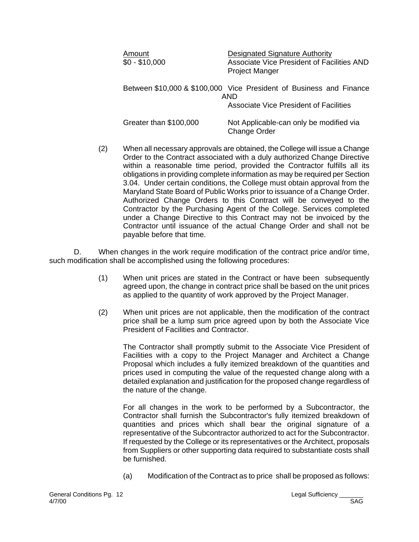| Amount<br>\$0 - \$10,000 | <b>Designated Signature Authority</b><br>Associate Vice President of Facilities AND<br><b>Project Manger</b> |
|--------------------------|--------------------------------------------------------------------------------------------------------------|
|                          | Between \$10,000 & \$100,000 Vice President of Business and Finance<br>AND                                   |
|                          | Associate Vice President of Facilities                                                                       |
| Greater than \$100,000   | Not Applicable-can only be modified via<br><b>Change Order</b>                                               |

(2) When all necessary approvals are obtained, the College will issue a Change Order to the Contract associated with a duly authorized Change Directive within a reasonable time period, provided the Contractor fulfills all its obligations in providing complete information as may be required per Section 3.04. Under certain conditions, the College must obtain approval from the Maryland State Board of Public Works prior to issuance of a Change Order. Authorized Change Orders to this Contract will be conveyed to the Contractor by the Purchasing Agent of the College. Services completed under a Change Directive to this Contract may not be invoiced by the Contractor until issuance of the actual Change Order and shall not be payable before that time.

D. When changes in the work require modification of the contract price and/or time, such modification shall be accomplished using the following procedures:

- (1) When unit prices are stated in the Contract or have been subsequently agreed upon, the change in contract price shall be based on the unit prices as applied to the quantity of work approved by the Project Manager.
- (2) When unit prices are not applicable, then the modification of the contract price shall be a lump sum price agreed upon by both the Associate Vice President of Facilities and Contractor.

The Contractor shall promptly submit to the Associate Vice President of Facilities with a copy to the Project Manager and Architect a Change Proposal which includes a fully itemized breakdown of the quantities and prices used in computing the value of the requested change along with a detailed explanation and justification for the proposed change regardless of the nature of the change.

For all changes in the work to be performed by a Subcontractor, the Contractor shall furnish the Subcontractor's fully itemized breakdown of quantities and prices which shall bear the original signature of a representative of the Subcontractor authorized to act for the Subcontractor. If requested by the College or its representatives or the Architect, proposals from Suppliers or other supporting data required to substantiate costs shall be furnished.

(a) Modification of the Contract as to price shall be proposed as follows: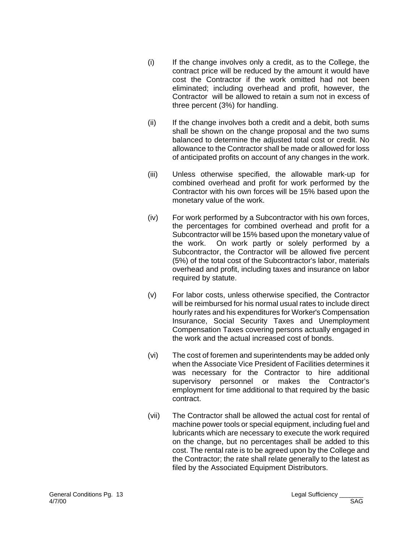- (i) If the change involves only a credit, as to the College, the contract price will be reduced by the amount it would have cost the Contractor if the work omitted had not been eliminated; including overhead and profit, however, the Contractor will be allowed to retain a sum not in excess of three percent (3%) for handling.
- (ii) If the change involves both a credit and a debit, both sums shall be shown on the change proposal and the two sums balanced to determine the adjusted total cost or credit. No allowance to the Contractor shall be made or allowed for loss of anticipated profits on account of any changes in the work.
- (iii) Unless otherwise specified, the allowable mark-up for combined overhead and profit for work performed by the Contractor with his own forces will be 15% based upon the monetary value of the work.
- (iv) For work performed by a Subcontractor with his own forces, the percentages for combined overhead and profit for a Subcontractor will be 15% based upon the monetary value of the work. On work partly or solely performed by a Subcontractor, the Contractor will be allowed five percent (5%) of the total cost of the Subcontractor's labor, materials overhead and profit, including taxes and insurance on labor required by statute.
- (v) For labor costs, unless otherwise specified, the Contractor will be reimbursed for his normal usual rates to include direct hourly rates and his expenditures for Worker's Compensation Insurance, Social Security Taxes and Unemployment Compensation Taxes covering persons actually engaged in the work and the actual increased cost of bonds.
- (vi) The cost of foremen and superintendents may be added only when the Associate Vice President of Facilities determines it was necessary for the Contractor to hire additional supervisory personnel or makes the Contractor's employment for time additional to that required by the basic contract.
- (vii) The Contractor shall be allowed the actual cost for rental of machine power tools or special equipment, including fuel and lubricants which are necessary to execute the work required on the change, but no percentages shall be added to this cost. The rental rate is to be agreed upon by the College and the Contractor; the rate shall relate generally to the latest as filed by the Associated Equipment Distributors.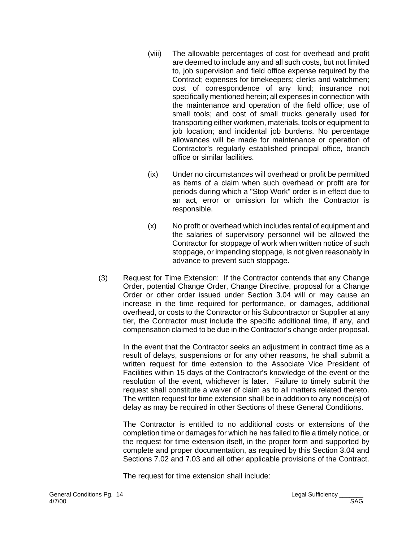- (viii) The allowable percentages of cost for overhead and profit are deemed to include any and all such costs, but not limited to, job supervision and field office expense required by the Contract; expenses for timekeepers; clerks and watchmen; cost of correspondence of any kind; insurance not specifically mentioned herein; all expenses in connection with the maintenance and operation of the field office; use of small tools; and cost of small trucks generally used for transporting either workmen, materials, tools or equipment to job location; and incidental job burdens. No percentage allowances will be made for maintenance or operation of Contractor's regularly established principal office, branch office or similar facilities.
- (ix) Under no circumstances will overhead or profit be permitted as items of a claim when such overhead or profit are for periods during which a "Stop Work" order is in effect due to an act, error or omission for which the Contractor is responsible.
- (x) No profit or overhead which includes rental of equipment and the salaries of supervisory personnel will be allowed the Contractor for stoppage of work when written notice of such stoppage, or impending stoppage, is not given reasonably in advance to prevent such stoppage.
- (3) Request for Time Extension: If the Contractor contends that any Change Order, potential Change Order, Change Directive, proposal for a Change Order or other order issued under Section 3.04 will or may cause an increase in the time required for performance, or damages, additional overhead, or costs to the Contractor or his Subcontractor or Supplier at any tier, the Contractor must include the specific additional time, if any, and compensation claimed to be due in the Contractor's change order proposal.

In the event that the Contractor seeks an adjustment in contract time as a result of delays, suspensions or for any other reasons, he shall submit a written request for time extension to the Associate Vice President of Facilities within 15 days of the Contractor's knowledge of the event or the resolution of the event, whichever is later. Failure to timely submit the request shall constitute a waiver of claim as to all matters related thereto. The written request for time extension shall be in addition to any notice(s) of delay as may be required in other Sections of these General Conditions.

The Contractor is entitled to no additional costs or extensions of the completion time or damages for which he has failed to file a timely notice, or the request for time extension itself, in the proper form and supported by complete and proper documentation, as required by this Section 3.04 and Sections 7.02 and 7.03 and all other applicable provisions of the Contract.

The request for time extension shall include: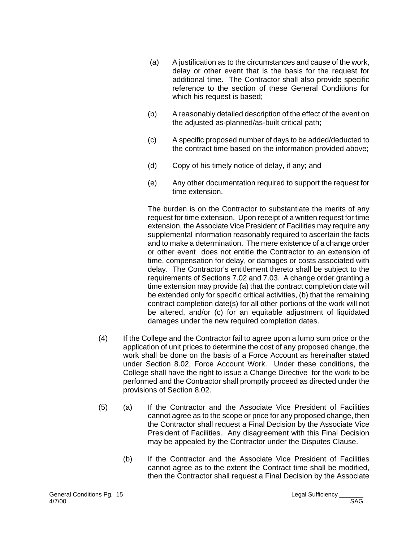- (a) A justification as to the circumstances and cause of the work, delay or other event that is the basis for the request for additional time. The Contractor shall also provide specific reference to the section of these General Conditions for which his request is based;
- (b) A reasonably detailed description of the effect of the event on the adjusted as-planned/as-built critical path;
- (c) A specific proposed number of days to be added/deducted to the contract time based on the information provided above;
- (d) Copy of his timely notice of delay, if any; and
- (e) Any other documentation required to support the request for time extension.

The burden is on the Contractor to substantiate the merits of any request for time extension. Upon receipt of a written request for time extension, the Associate Vice President of Facilities may require any supplemental information reasonably required to ascertain the facts and to make a determination. The mere existence of a change order or other event does not entitle the Contractor to an extension of time, compensation for delay, or damages or costs associated with delay. The Contractor's entitlement thereto shall be subject to the requirements of Sections 7.02 and 7.03. A change order granting a time extension may provide (a) that the contract completion date will be extended only for specific critical activities, (b) that the remaining contract completion date(s) for all other portions of the work will not be altered, and/or (c) for an equitable adjustment of liquidated damages under the new required completion dates.

- (4) If the College and the Contractor fail to agree upon a lump sum price or the application of unit prices to determine the cost of any proposed change, the work shall be done on the basis of a Force Account as hereinafter stated under Section 8.02, Force Account Work. Under these conditions, the College shall have the right to issue a Change Directive for the work to be performed and the Contractor shall promptly proceed as directed under the provisions of Section 8.02.
- (5) (a) If the Contractor and the Associate Vice President of Facilities cannot agree as to the scope or price for any proposed change, then the Contractor shall request a Final Decision by the Associate Vice President of Facilities. Any disagreement with this Final Decision may be appealed by the Contractor under the Disputes Clause.
	- (b) If the Contractor and the Associate Vice President of Facilities cannot agree as to the extent the Contract time shall be modified, then the Contractor shall request a Final Decision by the Associate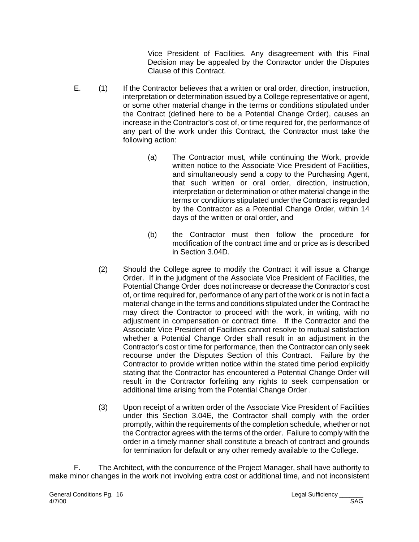Vice President of Facilities. Any disagreement with this Final Decision may be appealed by the Contractor under the Disputes Clause of this Contract.

- E. (1) If the Contractor believes that a written or oral order, direction, instruction, interpretation or determination issued by a College representative or agent, or some other material change in the terms or conditions stipulated under the Contract (defined here to be a Potential Change Order), causes an increase in the Contractor's cost of, or time required for, the performance of any part of the work under this Contract, the Contractor must take the following action:
	- (a) The Contractor must, while continuing the Work, provide written notice to the Associate Vice President of Facilities, and simultaneously send a copy to the Purchasing Agent, that such written or oral order, direction, instruction, interpretation or determination or other material change in the terms or conditions stipulated under the Contract is regarded by the Contractor as a Potential Change Order, within 14 days of the written or oral order, and
	- (b) the Contractor must then follow the procedure for modification of the contract time and or price as is described in Section 3.04D.
	- (2) Should the College agree to modify the Contract it will issue a Change Order. If in the judgment of the Associate Vice President of Facilities, the Potential Change Order does not increase or decrease the Contractor's cost of, or time required for, performance of any part of the work or is not in fact a material change in the terms and conditions stipulated under the Contract he may direct the Contractor to proceed with the work, in writing, with no adjustment in compensation or contract time. If the Contractor and the Associate Vice President of Facilities cannot resolve to mutual satisfaction whether a Potential Change Order shall result in an adjustment in the Contractor's cost or time for performance, then the Contractor can only seek recourse under the Disputes Section of this Contract. Failure by the Contractor to provide written notice within the stated time period explicitly stating that the Contractor has encountered a Potential Change Order will result in the Contractor forfeiting any rights to seek compensation or additional time arising from the Potential Change Order .
	- (3) Upon receipt of a written order of the Associate Vice President of Facilities under this Section 3.04E, the Contractor shall comply with the order promptly, within the requirements of the completion schedule, whether or not the Contractor agrees with the terms of the order. Failure to comply with the order in a timely manner shall constitute a breach of contract and grounds for termination for default or any other remedy available to the College.

F. The Architect, with the concurrence of the Project Manager, shall have authority to make minor changes in the work not involving extra cost or additional time, and not inconsistent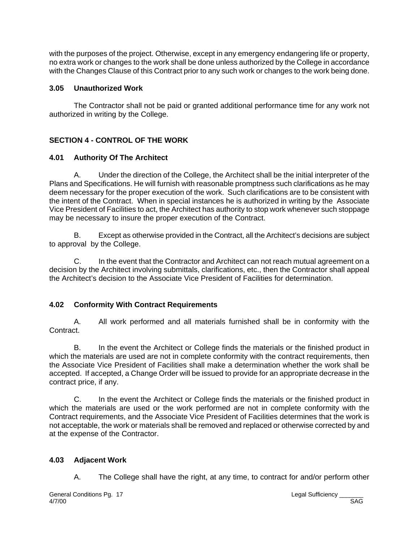with the purposes of the project. Otherwise, except in any emergency endangering life or property, no extra work or changes to the work shall be done unless authorized by the College in accordance with the Changes Clause of this Contract prior to any such work or changes to the work being done.

#### **3.05 Unauthorized Work**

The Contractor shall not be paid or granted additional performance time for any work not authorized in writing by the College.

# **SECTION 4 - CONTROL OF THE WORK**

## **4.01 Authority Of The Architect**

A. Under the direction of the College, the Architect shall be the initial interpreter of the Plans and Specifications. He will furnish with reasonable promptness such clarifications as he may deem necessary for the proper execution of the work. Such clarifications are to be consistent with the intent of the Contract. When in special instances he is authorized in writing by the Associate Vice President of Facilities to act, the Architect has authority to stop work whenever such stoppage may be necessary to insure the proper execution of the Contract.

B. Except as otherwise provided in the Contract, all the Architect's decisions are subject to approval by the College.

C. In the event that the Contractor and Architect can not reach mutual agreement on a decision by the Architect involving submittals, clarifications, etc., then the Contractor shall appeal the Architect's decision to the Associate Vice President of Facilities for determination.

## **4.02 Conformity With Contract Requirements**

A. All work performed and all materials furnished shall be in conformity with the Contract.

B. In the event the Architect or College finds the materials or the finished product in which the materials are used are not in complete conformity with the contract requirements, then the Associate Vice President of Facilities shall make a determination whether the work shall be accepted. If accepted, a Change Order will be issued to provide for an appropriate decrease in the contract price, if any.

C. In the event the Architect or College finds the materials or the finished product in which the materials are used or the work performed are not in complete conformity with the Contract requirements, and the Associate Vice President of Facilities determines that the work is not acceptable, the work or materials shall be removed and replaced or otherwise corrected by and at the expense of the Contractor.

## **4.03 Adjacent Work**

A. The College shall have the right, at any time, to contract for and/or perform other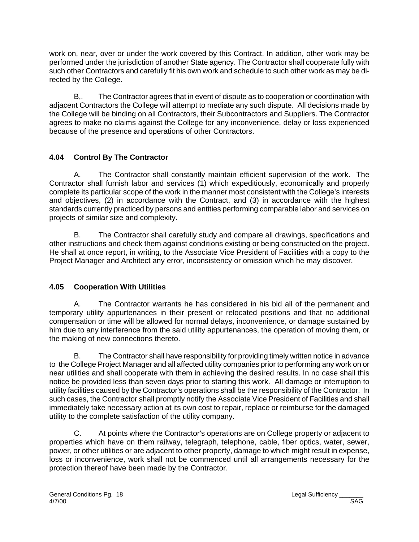work on, near, over or under the work covered by this Contract. In addition, other work may be performed under the jurisdiction of another State agency. The Contractor shall cooperate fully with such other Contractors and carefully fit his own work and schedule to such other work as may be directed by the College.

B,. The Contractor agrees that in event of dispute as to cooperation or coordination with adjacent Contractors the College will attempt to mediate any such dispute. All decisions made by the College will be binding on all Contractors, their Subcontractors and Suppliers. The Contractor agrees to make no claims against the College for any inconvenience, delay or loss experienced because of the presence and operations of other Contractors.

# **4.04 Control By The Contractor**

A. The Contractor shall constantly maintain efficient supervision of the work. The Contractor shall furnish labor and services (1) which expeditiously, economically and properly complete its particular scope of the work in the manner most consistent with the College's interests and objectives, (2) in accordance with the Contract, and (3) in accordance with the highest standards currently practiced by persons and entities performing comparable labor and services on projects of similar size and complexity.

B. The Contractor shall carefully study and compare all drawings, specifications and other instructions and check them against conditions existing or being constructed on the project. He shall at once report, in writing, to the Associate Vice President of Facilities with a copy to the Project Manager and Architect any error, inconsistency or omission which he may discover.

## **4.05 Cooperation With Utilities**

A. The Contractor warrants he has considered in his bid all of the permanent and temporary utility appurtenances in their present or relocated positions and that no additional compensation or time will be allowed for normal delays, inconvenience, or damage sustained by him due to any interference from the said utility appurtenances, the operation of moving them, or the making of new connections thereto.

B. The Contractor shall have responsibility for providing timely written notice in advance to the College Project Manager and all affected utility companies prior to performing any work on or near utilities and shall cooperate with them in achieving the desired results. In no case shall this notice be provided less than seven days prior to starting this work. All damage or interruption to utility facilities caused by the Contractor's operations shall be the responsibility of the Contractor. In such cases, the Contractor shall promptly notify the Associate Vice President of Facilities and shall immediately take necessary action at its own cost to repair, replace or reimburse for the damaged utility to the complete satisfaction of the utility company.

C. At points where the Contractor's operations are on College property or adjacent to properties which have on them railway, telegraph, telephone, cable, fiber optics, water, sewer, power, or other utilities or are adjacent to other property, damage to which might result in expense, loss or inconvenience, work shall not be commenced until all arrangements necessary for the protection thereof have been made by the Contractor.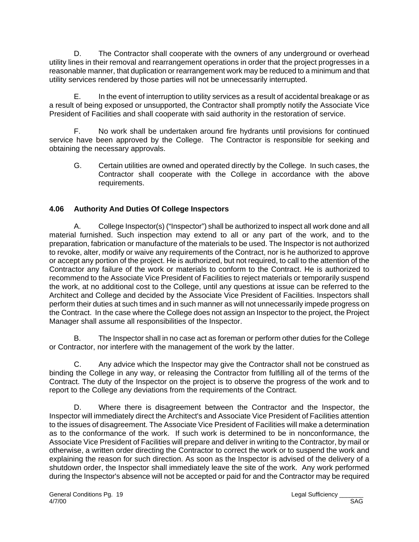D. The Contractor shall cooperate with the owners of any underground or overhead utility lines in their removal and rearrangement operations in order that the project progresses in a reasonable manner, that duplication or rearrangement work may be reduced to a minimum and that utility services rendered by those parties will not be unnecessarily interrupted.

E. In the event of interruption to utility services as a result of accidental breakage or as a result of being exposed or unsupported, the Contractor shall promptly notify the Associate Vice President of Facilities and shall cooperate with said authority in the restoration of service.

F. No work shall be undertaken around fire hydrants until provisions for continued service have been approved by the College. The Contractor is responsible for seeking and obtaining the necessary approvals.

G. Certain utilities are owned and operated directly by the College. In such cases, the Contractor shall cooperate with the College in accordance with the above requirements.

# **4.06 Authority And Duties Of College Inspectors**

A. College Inspector(s) ("Inspector") shall be authorized to inspect all work done and all material furnished. Such inspection may extend to all or any part of the work, and to the preparation, fabrication or manufacture of the materials to be used. The Inspector is not authorized to revoke, alter, modify or waive any requirements of the Contract, nor is he authorized to approve or accept any portion of the project. He is authorized, but not required, to call to the attention of the Contractor any failure of the work or materials to conform to the Contract. He is authorized to recommend to the Associate Vice President of Facilities to reject materials or temporarily suspend the work, at no additional cost to the College, until any questions at issue can be referred to the Architect and College and decided by the Associate Vice President of Facilities. Inspectors shall perform their duties at such times and in such manner as will not unnecessarily impede progress on the Contract. In the case where the College does not assign an Inspector to the project, the Project Manager shall assume all responsibilities of the Inspector.

 B. The Inspector shall in no case act as foreman or perform other duties for the College or Contractor, nor interfere with the management of the work by the latter.

C. Any advice which the Inspector may give the Contractor shall not be construed as binding the College in any way, or releasing the Contractor from fulfilling all of the terms of the Contract. The duty of the Inspector on the project is to observe the progress of the work and to report to the College any deviations from the requirements of the Contract.

D. Where there is disagreement between the Contractor and the Inspector, the Inspector will immediately direct the Architect's and Associate Vice President of Facilities attention to the issues of disagreement. The Associate Vice President of Facilities will make a determination as to the conformance of the work. If such work is determined to be in nonconformance, the Associate Vice President of Facilities will prepare and deliver in writing to the Contractor, by mail or otherwise, a written order directing the Contractor to correct the work or to suspend the work and explaining the reason for such direction. As soon as the Inspector is advised of the delivery of a shutdown order, the Inspector shall immediately leave the site of the work. Any work performed during the Inspector's absence will not be accepted or paid for and the Contractor may be required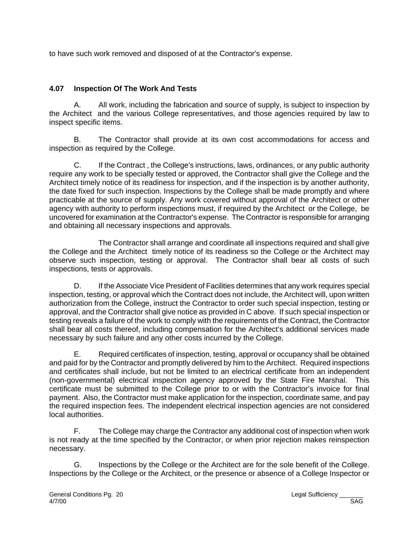to have such work removed and disposed of at the Contractor's expense.

## **4.07 Inspection Of The Work And Tests**

A. All work, including the fabrication and source of supply, is subject to inspection by the Architect and the various College representatives, and those agencies required by law to inspect specific items.

B. The Contractor shall provide at its own cost accommodations for access and inspection as required by the College.

C. If the Contract , the College's instructions, laws, ordinances, or any public authority require any work to be specially tested or approved, the Contractor shall give the College and the Architect timely notice of its readiness for inspection, and if the inspection is by another authority, the date fixed for such inspection. Inspections by the College shall be made promptly and where practicable at the source of supply. Any work covered without approval of the Architect or other agency with authority to perform inspections must, if required by the Architect or the College, be uncovered for examination at the Contractor's expense. The Contractor is responsible for arranging and obtaining all necessary inspections and approvals.

The Contractor shall arrange and coordinate all inspections required and shall give the College and the Architect timely notice of its readiness so the College or the Architect may observe such inspection, testing or approval. The Contractor shall bear all costs of such inspections, tests or approvals.

D. If the Associate Vice President of Facilities determines that any work requires special inspection, testing, or approval which the Contract does not include, the Architect will, upon written authorization from the College, instruct the Contractor to order such special inspection, testing or approval, and the Contractor shall give notice as provided in C above. If such special inspection or testing reveals a failure of the work to comply with the requirements of the Contract, the Contractor shall bear all costs thereof, including compensation for the Architect's additional services made necessary by such failure and any other costs incurred by the College.

E. Required certificates of inspection, testing, approval or occupancy shall be obtained and paid for by the Contractor and promptly delivered by him to the Architect. Required inspections and certificates shall include, but not be limited to an electrical certificate from an independent (non-governmental) electrical inspection agency approved by the State Fire Marshal. This certificate must be submitted to the College prior to or with the Contractor's invoice for final payment. Also, the Contractor must make application for the inspection, coordinate same, and pay the required inspection fees. The independent electrical inspection agencies are not considered local authorities.

F. The College may charge the Contractor any additional cost of inspection when work is not ready at the time specified by the Contractor, or when prior rejection makes reinspection necessary.

G. Inspections by the College or the Architect are for the sole benefit of the College. Inspections by the College or the Architect, or the presence or absence of a College Inspector or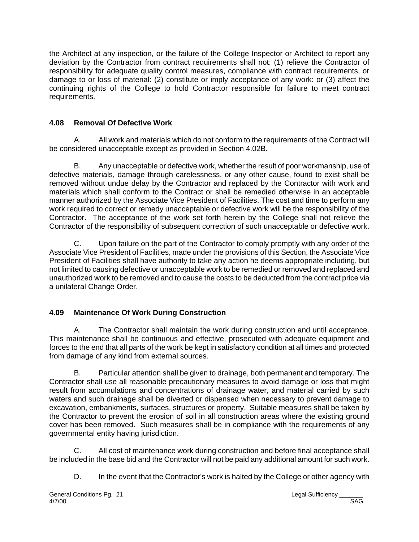the Architect at any inspection, or the failure of the College Inspector or Architect to report any deviation by the Contractor from contract requirements shall not: (1) relieve the Contractor of responsibility for adequate quality control measures, compliance with contract requirements, or damage to or loss of material: (2) constitute or imply acceptance of any work: or (3) affect the continuing rights of the College to hold Contractor responsible for failure to meet contract requirements.

# **4.08 Removal Of Defective Work**

A. All work and materials which do not conform to the requirements of the Contract will be considered unacceptable except as provided in Section 4.02B.

B. Any unacceptable or defective work, whether the result of poor workmanship, use of defective materials, damage through carelessness, or any other cause, found to exist shall be removed without undue delay by the Contractor and replaced by the Contractor with work and materials which shall conform to the Contract or shall be remedied otherwise in an acceptable manner authorized by the Associate Vice President of Facilities. The cost and time to perform any work required to correct or remedy unacceptable or defective work will be the responsibility of the Contractor. The acceptance of the work set forth herein by the College shall not relieve the Contractor of the responsibility of subsequent correction of such unacceptable or defective work.

C. Upon failure on the part of the Contractor to comply promptly with any order of the Associate Vice President of Facilities, made under the provisions of this Section, the Associate Vice President of Facilities shall have authority to take any action he deems appropriate including, but not limited to causing defective or unacceptable work to be remedied or removed and replaced and unauthorized work to be removed and to cause the costs to be deducted from the contract price via a unilateral Change Order.

# **4.09 Maintenance Of Work During Construction**

A. The Contractor shall maintain the work during construction and until acceptance. This maintenance shall be continuous and effective, prosecuted with adequate equipment and forces to the end that all parts of the work be kept in satisfactory condition at all times and protected from damage of any kind from external sources.

B. Particular attention shall be given to drainage, both permanent and temporary. The Contractor shall use all reasonable precautionary measures to avoid damage or loss that might result from accumulations and concentrations of drainage water, and material carried by such waters and such drainage shall be diverted or dispensed when necessary to prevent damage to excavation, embankments, surfaces, structures or property. Suitable measures shall be taken by the Contractor to prevent the erosion of soil in all construction areas where the existing ground cover has been removed. Such measures shall be in compliance with the requirements of any governmental entity having jurisdiction.

C. All cost of maintenance work during construction and before final acceptance shall be included in the base bid and the Contractor will not be paid any additional amount for such work.

D. In the event that the Contractor's work is halted by the College or other agency with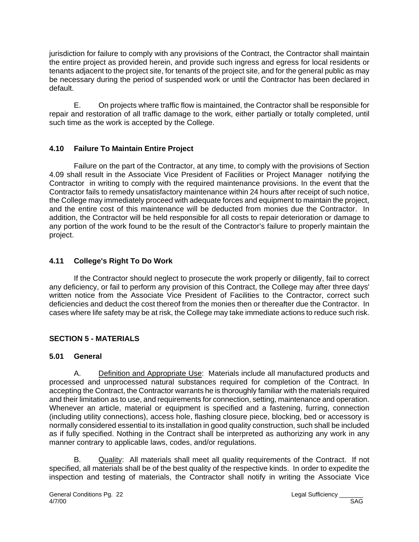jurisdiction for failure to comply with any provisions of the Contract, the Contractor shall maintain the entire project as provided herein, and provide such ingress and egress for local residents or tenants adjacent to the project site, for tenants of the project site, and for the general public as may be necessary during the period of suspended work or until the Contractor has been declared in default.

E. On projects where traffic flow is maintained, the Contractor shall be responsible for repair and restoration of all traffic damage to the work, either partially or totally completed, until such time as the work is accepted by the College.

# **4.10 Failure To Maintain Entire Project**

Failure on the part of the Contractor, at any time, to comply with the provisions of Section 4.09 shall result in the Associate Vice President of Facilities or Project Manager notifying the Contractor in writing to comply with the required maintenance provisions. In the event that the Contractor fails to remedy unsatisfactory maintenance within 24 hours after receipt of such notice, the College may immediately proceed with adequate forces and equipment to maintain the project, and the entire cost of this maintenance will be deducted from monies due the Contractor. In addition, the Contractor will be held responsible for all costs to repair deterioration or damage to any portion of the work found to be the result of the Contractor's failure to properly maintain the project.

# **4.11 College's Right To Do Work**

If the Contractor should neglect to prosecute the work properly or diligently, fail to correct any deficiency, or fail to perform any provision of this Contract, the College may after three days' written notice from the Associate Vice President of Facilities to the Contractor, correct such deficiencies and deduct the cost thereof from the monies then or thereafter due the Contractor. In cases where life safety may be at risk, the College may take immediate actions to reduce such risk.

# **SECTION 5 - MATERIALS**

## **5.01 General**

A. Definition and Appropriate Use: Materials include all manufactured products and processed and unprocessed natural substances required for completion of the Contract. In accepting the Contract, the Contractor warrants he is thoroughly familiar with the materials required and their limitation as to use, and requirements for connection, setting, maintenance and operation. Whenever an article, material or equipment is specified and a fastening, furring, connection (including utility connections), access hole, flashing closure piece, blocking, bed or accessory is normally considered essential to its installation in good quality construction, such shall be included as if fully specified. Nothing in the Contract shall be interpreted as authorizing any work in any manner contrary to applicable laws, codes, and/or regulations.

B. Quality: All materials shall meet all quality requirements of the Contract. If not specified, all materials shall be of the best quality of the respective kinds. In order to expedite the inspection and testing of materials, the Contractor shall notify in writing the Associate Vice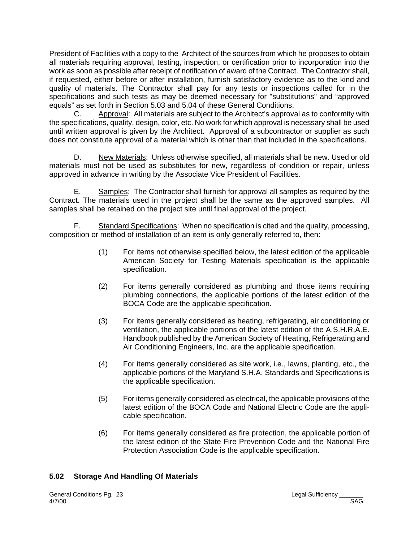President of Facilities with a copy to the Architect of the sources from which he proposes to obtain all materials requiring approval, testing, inspection, or certification prior to incorporation into the work as soon as possible after receipt of notification of award of the Contract. The Contractor shall, if requested, either before or after installation, furnish satisfactory evidence as to the kind and quality of materials. The Contractor shall pay for any tests or inspections called for in the specifications and such tests as may be deemed necessary for "substitutions" and "approved equals" as set forth in Section 5.03 and 5.04 of these General Conditions.

C. Approval: All materials are subject to the Architect's approval as to conformity with the specifications, quality, design, color, etc. No work for which approval is necessary shall be used until written approval is given by the Architect. Approval of a subcontractor or supplier as such does not constitute approval of a material which is other than that included in the specifications.

D. New Materials: Unless otherwise specified, all materials shall be new. Used or old materials must not be used as substitutes for new, regardless of condition or repair, unless approved in advance in writing by the Associate Vice President of Facilities.

E. Samples: The Contractor shall furnish for approval all samples as required by the Contract. The materials used in the project shall be the same as the approved samples. All samples shall be retained on the project site until final approval of the project.

F. Standard Specifications: When no specification is cited and the quality, processing, composition or method of installation of an item is only generally referred to, then:

- (1) For items not otherwise specified below, the latest edition of the applicable American Society for Testing Materials specification is the applicable specification.
- (2) For items generally considered as plumbing and those items requiring plumbing connections, the applicable portions of the latest edition of the BOCA Code are the applicable specification.
- (3) For items generally considered as heating, refrigerating, air conditioning or ventilation, the applicable portions of the latest edition of the A.S.H.R.A.E. Handbook published by the American Society of Heating, Refrigerating and Air Conditioning Engineers, Inc. are the applicable specification.
- (4) For items generally considered as site work, i.e., lawns, planting, etc., the applicable portions of the Maryland S.H.A. Standards and Specifications is the applicable specification.
- (5) For items generally considered as electrical, the applicable provisions of the latest edition of the BOCA Code and National Electric Code are the applicable specification.
- (6) For items generally considered as fire protection, the applicable portion of the latest edition of the State Fire Prevention Code and the National Fire Protection Association Code is the applicable specification.

#### **5.02 Storage And Handling Of Materials**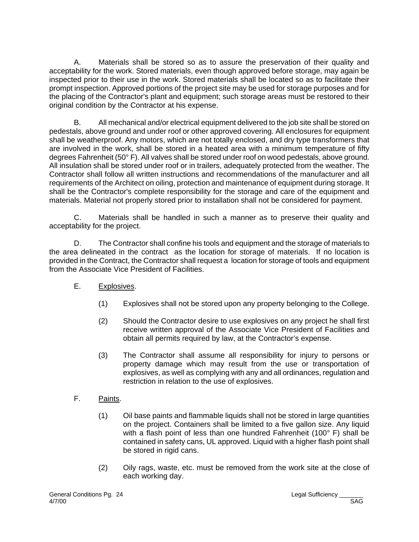A. Materials shall be stored so as to assure the preservation of their quality and acceptability for the work. Stored materials, even though approved before storage, may again be inspected prior to their use in the work. Stored materials shall be located so as to facilitate their prompt inspection. Approved portions of the project site may be used for storage purposes and for the placing of the Contractor's plant and equipment; such storage areas must be restored to their original condition by the Contractor at his expense.

B. All mechanical and/or electrical equipment delivered to the job site shall be stored on pedestals, above ground and under roof or other approved covering. All enclosures for equipment shall be weatherproof. Any motors, which are not totally enclosed, and dry type transformers that are involved in the work, shall be stored in a heated area with a minimum temperature of fifty degrees Fahrenheit (50° F). All valves shall be stored under roof on wood pedestals, above ground. All insulation shall be stored under roof or in trailers, adequately protected from the weather. The Contractor shall follow all written instructions and recommendations of the manufacturer and all requirements of the Architect on oiling, protection and maintenance of equipment during storage. It shall be the Contractor's complete responsibility for the storage and care of the equipment and materials. Material not properly stored prior to installation shall not be considered for payment.

C. Materials shall be handled in such a manner as to preserve their quality and acceptability for the project.

D. The Contractor shall confine his tools and equipment and the storage of materials to the area delineated in the contract as the location for storage of materials. If no location is provided in the Contract, the Contractor shall request a location for storage of tools and equipment from the Associate Vice President of Facilities.

- E. Explosives.
	- (1) Explosives shall not be stored upon any property belonging to the College.
	- (2) Should the Contractor desire to use explosives on any project he shall first receive written approval of the Associate Vice President of Facilities and obtain all permits required by law, at the Contractor's expense.
	- (3) The Contractor shall assume all responsibility for injury to persons or property damage which may result from the use or transportation of explosives, as well as complying with any and all ordinances, regulation and restriction in relation to the use of explosives.
- F. Paints.
	- (1) Oil base paints and flammable liquids shall not be stored in large quantities on the project. Containers shall be limited to a five gallon size. Any liquid with a flash point of less than one hundred Fahrenheit (100° F) shall be contained in safety cans, UL approved. Liquid with a higher flash point shall be stored in rigid cans.
	- (2) Oily rags, waste, etc. must be removed from the work site at the close of each working day.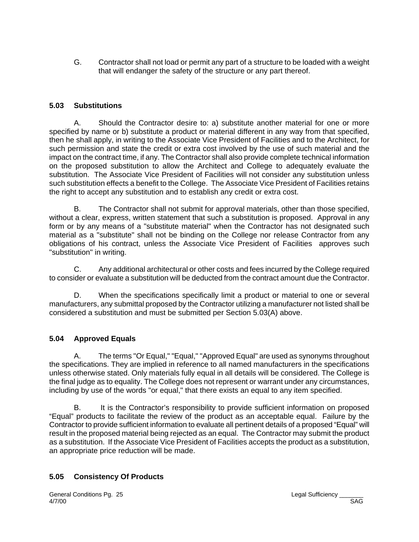G. Contractor shall not load or permit any part of a structure to be loaded with a weight that will endanger the safety of the structure or any part thereof.

#### **5.03 Substitutions**

A. Should the Contractor desire to: a) substitute another material for one or more specified by name or b) substitute a product or material different in any way from that specified, then he shall apply, in writing to the Associate Vice President of Facilities and to the Architect, for such permission and state the credit or extra cost involved by the use of such material and the impact on the contract time, if any. The Contractor shall also provide complete technical information on the proposed substitution to allow the Architect and College to adequately evaluate the substitution. The Associate Vice President of Facilities will not consider any substitution unless such substitution effects a benefit to the College. The Associate Vice President of Facilities retains the right to accept any substitution and to establish any credit or extra cost.

B. The Contractor shall not submit for approval materials, other than those specified, without a clear, express, written statement that such a substitution is proposed. Approval in any form or by any means of a "substitute material" when the Contractor has not designated such material as a "substitute" shall not be binding on the College nor release Contractor from any obligations of his contract, unless the Associate Vice President of Facilities approves such "substitution" in writing.

C. Any additional architectural or other costs and fees incurred by the College required to consider or evaluate a substitution will be deducted from the contract amount due the Contractor.

D. When the specifications specifically limit a product or material to one or several manufacturers, any submittal proposed by the Contractor utilizing a manufacturer not listed shall be considered a substitution and must be submitted per Section 5.03(A) above.

#### **5.04 Approved Equals**

A. The terms "Or Equal," "Equal," "Approved Equal" are used as synonyms throughout the specifications. They are implied in reference to all named manufacturers in the specifications unless otherwise stated. Only materials fully equal in all details will be considered. The College is the final judge as to equality. The College does not represent or warrant under any circumstances, including by use of the words "or equal," that there exists an equal to any item specified.

B. It is the Contractor's responsibility to provide sufficient information on proposed "Equal" products to facilitate the review of the product as an acceptable equal. Failure by the Contractor to provide sufficient information to evaluate all pertinent details of a proposed "Equal" will result in the proposed material being rejected as an equal. The Contractor may submit the product as a substitution. If the Associate Vice President of Facilities accepts the product as a substitution, an appropriate price reduction will be made.

## **5.05 Consistency Of Products**

General Conditions Pg. 25 Conservations of the Conditions Pg. 25 Conservation of the Conditions of the Conservation of the Conditions of the Conditions of the Conservation of the Conservation of the Conservation of the Con 4/7/00 SAG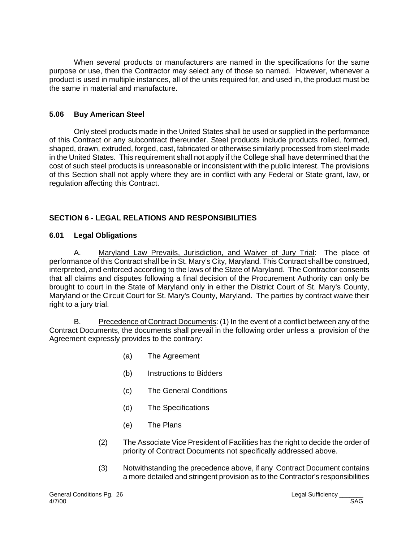When several products or manufacturers are named in the specifications for the same purpose or use, then the Contractor may select any of those so named. However, whenever a product is used in multiple instances, all of the units required for, and used in, the product must be the same in material and manufacture.

#### **5.06 Buy American Steel**

Only steel products made in the United States shall be used or supplied in the performance of this Contract or any subcontract thereunder. Steel products include products rolled, formed, shaped, drawn, extruded, forged, cast, fabricated or otherwise similarly processed from steel made in the United States. This requirement shall not apply if the College shall have determined that the cost of such steel products is unreasonable or inconsistent with the public interest. The provisions of this Section shall not apply where they are in conflict with any Federal or State grant, law, or regulation affecting this Contract.

# **SECTION 6 - LEGAL RELATIONS AND RESPONSIBILITIES**

#### **6.01 Legal Obligations**

A. Maryland Law Prevails, Jurisdiction, and Waiver of Jury Trial: The place of performance of this Contract shall be in St. Mary's City, Maryland. This Contract shall be construed, interpreted, and enforced according to the laws of the State of Maryland. The Contractor consents that all claims and disputes following a final decision of the Procurement Authority can only be brought to court in the State of Maryland only in either the District Court of St. Mary's County, Maryland or the Circuit Court for St. Mary's County, Maryland. The parties by contract waive their right to a jury trial.

B. Precedence of Contract Documents: (1) In the event of a conflict between any of the Contract Documents, the documents shall prevail in the following order unless a provision of the Agreement expressly provides to the contrary:

- (a) The Agreement
- (b) Instructions to Bidders
- (c) The General Conditions
- (d) The Specifications
- (e) The Plans
- (2) The Associate Vice President of Facilities has the right to decide the order of priority of Contract Documents not specifically addressed above.
- (3) Notwithstanding the precedence above, if any Contract Document contains a more detailed and stringent provision as to the Contractor's responsibilities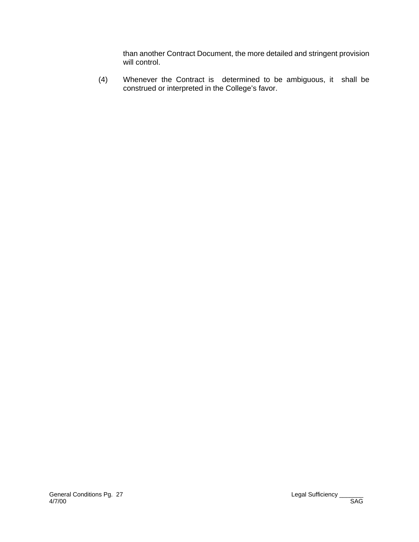than another Contract Document, the more detailed and stringent provision will control.

(4) Whenever the Contract is determined to be ambiguous, it shall be construed or interpreted in the College's favor.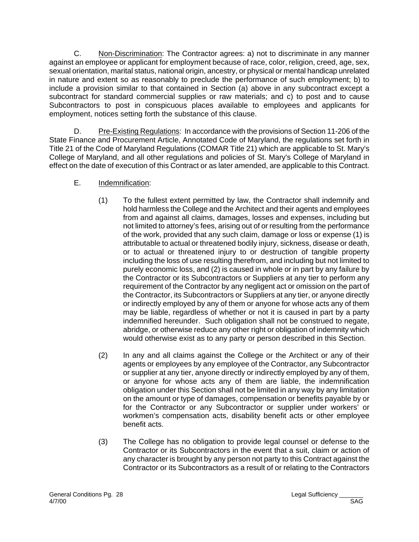C. Non-Discrimination: The Contractor agrees: a) not to discriminate in any manner against an employee or applicant for employment because of race, color, religion, creed, age, sex, sexual orientation, marital status, national origin, ancestry, or physical or mental handicap unrelated in nature and extent so as reasonably to preclude the performance of such employment; b) to include a provision similar to that contained in Section (a) above in any subcontract except a subcontract for standard commercial supplies or raw materials; and c) to post and to cause Subcontractors to post in conspicuous places available to employees and applicants for employment, notices setting forth the substance of this clause.

D. Pre-Existing Regulations: In accordance with the provisions of Section 11-206 of the State Finance and Procurement Article, Annotated Code of Maryland, the regulations set forth in Title 21 of the Code of Maryland Regulations (COMAR Title 21) which are applicable to St. Mary's College of Maryland, and all other regulations and policies of St. Mary's College of Maryland in effect on the date of execution of this Contract or as later amended, are applicable to this Contract.

## E. Indemnification:

- (1) To the fullest extent permitted by law, the Contractor shall indemnify and hold harmless the College and the Architect and their agents and employees from and against all claims, damages, losses and expenses, including but not limited to attorney's fees, arising out of or resulting from the performance of the work, provided that any such claim, damage or loss or expense (1) is attributable to actual or threatened bodily injury, sickness, disease or death, or to actual or threatened injury to or destruction of tangible property including the loss of use resulting therefrom, and including but not limited to purely economic loss, and (2) is caused in whole or in part by any failure by the Contractor or its Subcontractors or Suppliers at any tier to perform any requirement of the Contractor by any negligent act or omission on the part of the Contractor, its Subcontractors or Suppliers at any tier, or anyone directly or indirectly employed by any of them or anyone for whose acts any of them may be liable, regardless of whether or not it is caused in part by a party indemnified hereunder. Such obligation shall not be construed to negate, abridge, or otherwise reduce any other right or obligation of indemnity which would otherwise exist as to any party or person described in this Section.
- (2) In any and all claims against the College or the Architect or any of their agents or employees by any employee of the Contractor, any Subcontractor or supplier at any tier, anyone directly or indirectly employed by any of them, or anyone for whose acts any of them are liable, the indemnification obligation under this Section shall not be limited in any way by any limitation on the amount or type of damages, compensation or benefits payable by or for the Contractor or any Subcontractor or supplier under workers' or workmen's compensation acts, disability benefit acts or other employee benefit acts.
- (3) The College has no obligation to provide legal counsel or defense to the Contractor or its Subcontractors in the event that a suit, claim or action of any character is brought by any person not party to this Contract against the Contractor or its Subcontractors as a result of or relating to the Contractors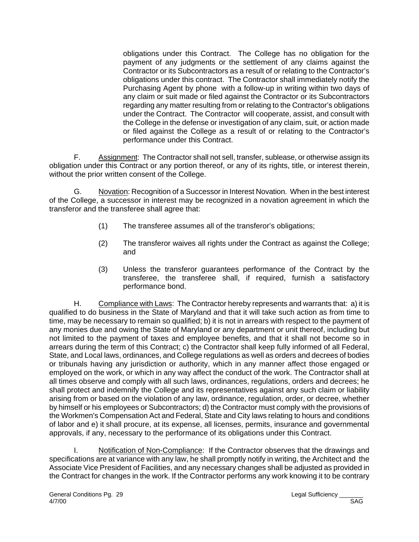obligations under this Contract. The College has no obligation for the payment of any judgments or the settlement of any claims against the Contractor or its Subcontractors as a result of or relating to the Contractor's obligations under this contract. The Contractor shall immediately notify the Purchasing Agent by phone with a follow-up in writing within two days of any claim or suit made or filed against the Contractor or its Subcontractors regarding any matter resulting from or relating to the Contractor's obligations under the Contract. The Contractor will cooperate, assist, and consult with the College in the defense or investigation of any claim, suit, or action made or filed against the College as a result of or relating to the Contractor's performance under this Contract.

F. Assignment: The Contractor shall not sell, transfer, sublease, or otherwise assign its obligation under this Contract or any portion thereof, or any of its rights, title, or interest therein, without the prior written consent of the College.

G. Novation: Recognition of a Successor in Interest Novation. When in the best interest of the College, a successor in interest may be recognized in a novation agreement in which the transferor and the transferee shall agree that:

- (1) The transferee assumes all of the transferor's obligations;
- (2) The transferor waives all rights under the Contract as against the College; and
- (3) Unless the transferor guarantees performance of the Contract by the transferee, the transferee shall, if required, furnish a satisfactory performance bond.

H. Compliance with Laws: The Contractor hereby represents and warrants that: a) it is qualified to do business in the State of Maryland and that it will take such action as from time to time, may be necessary to remain so qualified; b) it is not in arrears with respect to the payment of any monies due and owing the State of Maryland or any department or unit thereof, including but not limited to the payment of taxes and employee benefits, and that it shall not become so in arrears during the term of this Contract; c) the Contractor shall keep fully informed of all Federal, State, and Local laws, ordinances, and College regulations as well as orders and decrees of bodies or tribunals having any jurisdiction or authority, which in any manner affect those engaged or employed on the work, or which in any way affect the conduct of the work. The Contractor shall at all times observe and comply with all such laws, ordinances, regulations, orders and decrees; he shall protect and indemnify the College and its representatives against any such claim or liability arising from or based on the violation of any law, ordinance, regulation, order, or decree, whether by himself or his employees or Subcontractors; d) the Contractor must comply with the provisions of the Workmen's Compensation Act and Federal, State and City laws relating to hours and conditions of labor and e) it shall procure, at its expense, all licenses, permits, insurance and governmental approvals, if any, necessary to the performance of its obligations under this Contract.

I. Notification of Non-Compliance: If the Contractor observes that the drawings and specifications are at variance with any law, he shall promptly notify in writing, the Architect and the Associate Vice President of Facilities, and any necessary changes shall be adjusted as provided in the Contract for changes in the work. If the Contractor performs any work knowing it to be contrary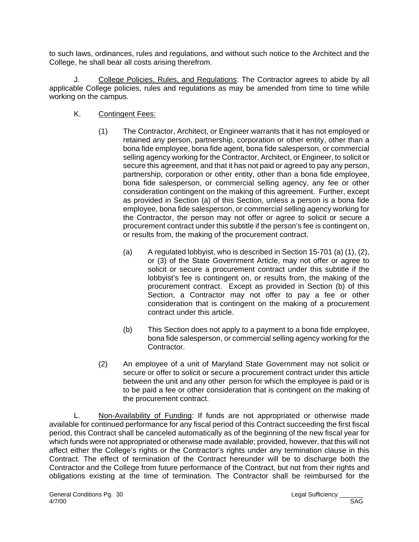to such laws, ordinances, rules and regulations, and without such notice to the Architect and the College, he shall bear all costs arising therefrom.

J. College Policies, Rules, and Regulations: The Contractor agrees to abide by all applicable College policies, rules and regulations as may be amended from time to time while working on the campus.

- K. Contingent Fees:
	- (1) The Contractor, Architect, or Engineer warrants that it has not employed or retained any person, partnership, corporation or other entity, other than a bona fide employee, bona fide agent, bona fide salesperson, or commercial selling agency working for the Contractor, Architect, or Engineer, to solicit or secure this agreement, and that it has not paid or agreed to pay any person, partnership, corporation or other entity, other than a bona fide employee, bona fide salesperson, or commercial selling agency, any fee or other consideration contingent on the making of this agreement. Further, except as provided in Section (a) of this Section, unless a person is a bona fide employee, bona fide salesperson, or commercial selling agency working for the Contractor, the person may not offer or agree to solicit or secure a procurement contract under this subtitle if the person's fee is contingent on, or results from, the making of the procurement contract.
		- (a) A regulated lobbyist, who is described in Section 15-701 (a) (1), (2), or (3) of the State Government Article, may not offer or agree to solicit or secure a procurement contract under this subtitle if the lobbyist's fee is contingent on, or results from, the making of the procurement contract. Except as provided in Section (b) of this Section, a Contractor may not offer to pay a fee or other consideration that is contingent on the making of a procurement contract under this article.
		- (b) This Section does not apply to a payment to a bona fide employee, bona fide salesperson, or commercial selling agency working for the Contractor.
	- (2) An employee of a unit of Maryland State Government may not solicit or secure or offer to solicit or secure a procurement contract under this article between the unit and any other person for which the employee is paid or is to be paid a fee or other consideration that is contingent on the making of the procurement contract.

L. Non-Availability of Funding: If funds are not appropriated or otherwise made available for continued performance for any fiscal period of this Contract succeeding the first fiscal period, this Contract shall be canceled automatically as of the beginning of the new fiscal year for which funds were not appropriated or otherwise made available; provided, however, that this will not affect either the College's rights or the Contractor's rights under any termination clause in this Contract. The effect of termination of the Contract hereunder will be to discharge both the Contractor and the College from future performance of the Contract, but not from their rights and obligations existing at the time of termination. The Contractor shall be reimbursed for the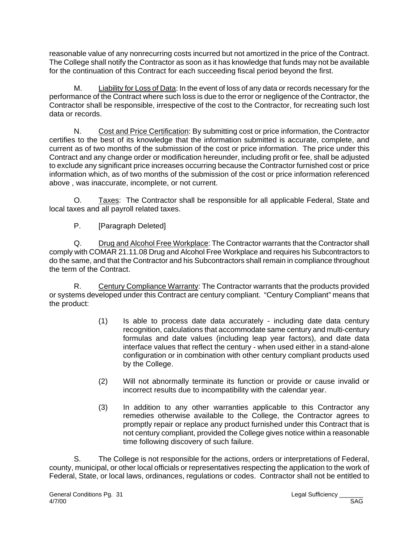reasonable value of any nonrecurring costs incurred but not amortized in the price of the Contract. The College shall notify the Contractor as soon as it has knowledge that funds may not be available for the continuation of this Contract for each succeeding fiscal period beyond the first.

M. Liability for Loss of Data: In the event of loss of any data or records necessary for the performance of the Contract where such loss is due to the error or negligence of the Contractor, the Contractor shall be responsible, irrespective of the cost to the Contractor, for recreating such lost data or records.

N. Cost and Price Certification: By submitting cost or price information, the Contractor certifies to the best of its knowledge that the information submitted is accurate, complete, and current as of two months of the submission of the cost or price information. The price under this Contract and any change order or modification hereunder, including profit or fee, shall be adjusted to exclude any significant price increases occurring because the Contractor furnished cost or price information which, as of two months of the submission of the cost or price information referenced above , was inaccurate, incomplete, or not current.

O. Taxes: The Contractor shall be responsible for all applicable Federal, State and local taxes and all payroll related taxes.

P. [Paragraph Deleted]

Q. Drug and Alcohol Free Workplace: The Contractor warrants that the Contractor shall comply with COMAR 21.11.08 Drug and Alcohol Free Workplace and requires his Subcontractors to do the same, and that the Contractor and his Subcontractors shall remain in compliance throughout the term of the Contract.

R. Century Compliance Warranty: The Contractor warrants that the products provided or systems developed under this Contract are century compliant. "Century Compliant" means that the product:

- (1) Is able to process date data accurately including date data century recognition, calculations that accommodate same century and multi-century formulas and date values (including leap year factors), and date data interface values that reflect the century - when used either in a stand-alone configuration or in combination with other century compliant products used by the College.
- (2) Will not abnormally terminate its function or provide or cause invalid or incorrect results due to incompatibility with the calendar year.
- (3) In addition to any other warranties applicable to this Contractor any remedies otherwise available to the College, the Contractor agrees to promptly repair or replace any product furnished under this Contract that is not century compliant, provided the College gives notice within a reasonable time following discovery of such failure.

S. The College is not responsible for the actions, orders or interpretations of Federal, county, municipal, or other local officials or representatives respecting the application to the work of Federal, State, or local laws, ordinances, regulations or codes. Contractor shall not be entitled to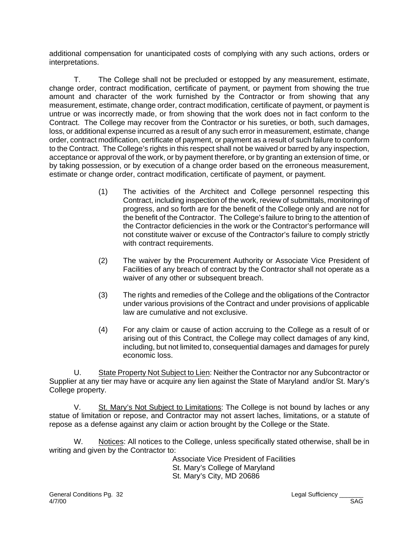additional compensation for unanticipated costs of complying with any such actions, orders or interpretations.

T. The College shall not be precluded or estopped by any measurement, estimate, change order, contract modification, certificate of payment, or payment from showing the true amount and character of the work furnished by the Contractor or from showing that any measurement, estimate, change order, contract modification, certificate of payment, or payment is untrue or was incorrectly made, or from showing that the work does not in fact conform to the Contract. The College may recover from the Contractor or his sureties, or both, such damages, loss, or additional expense incurred as a result of any such error in measurement, estimate, change order, contract modification, certificate of payment, or payment as a result of such failure to conform to the Contract. The College's rights in this respect shall not be waived or barred by any inspection, acceptance or approval of the work, or by payment therefore, or by granting an extension of time, or by taking possession, or by execution of a change order based on the erroneous measurement, estimate or change order, contract modification, certificate of payment, or payment.

- (1) The activities of the Architect and College personnel respecting this Contract, including inspection of the work, review of submittals, monitoring of progress, and so forth are for the benefit of the College only and are not for the benefit of the Contractor. The College's failure to bring to the attention of the Contractor deficiencies in the work or the Contractor's performance will not constitute waiver or excuse of the Contractor's failure to comply strictly with contract requirements.
- (2) The waiver by the Procurement Authority or Associate Vice President of Facilities of any breach of contract by the Contractor shall not operate as a waiver of any other or subsequent breach.
- (3) The rights and remedies of the College and the obligations of the Contractor under various provisions of the Contract and under provisions of applicable law are cumulative and not exclusive.
- (4) For any claim or cause of action accruing to the College as a result of or arising out of this Contract, the College may collect damages of any kind, including, but not limited to, consequential damages and damages for purely economic loss.

U. State Property Not Subject to Lien: Neither the Contractor nor any Subcontractor or Supplier at any tier may have or acquire any lien against the State of Maryland and/or St. Mary's College property.

V. St. Mary's Not Subject to Limitations: The College is not bound by laches or any statue of limitation or repose, and Contractor may not assert laches, limitations, or a statute of repose as a defense against any claim or action brought by the College or the State.

W. Notices: All notices to the College, unless specifically stated otherwise, shall be in writing and given by the Contractor to:

Associate Vice President of Facilities St. Mary's College of Maryland St. Mary's City, MD 20686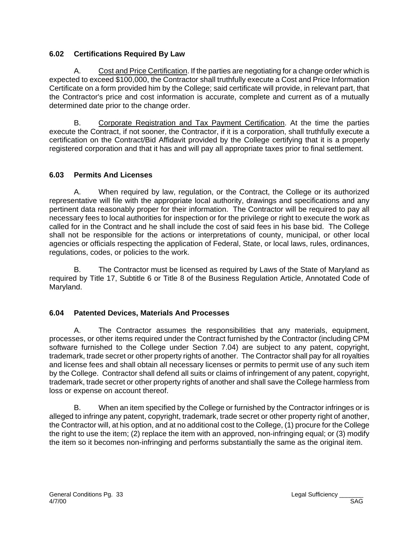#### **6.02 Certifications Required By Law**

A. Cost and Price Certification. If the parties are negotiating for a change order which is expected to exceed \$100,000, the Contractor shall truthfully execute a Cost and Price Information Certificate on a form provided him by the College; said certificate will provide, in relevant part, that the Contractor's price and cost information is accurate, complete and current as of a mutually determined date prior to the change order.

B. Corporate Registration and Tax Payment Certification. At the time the parties execute the Contract, if not sooner, the Contractor, if it is a corporation, shall truthfully execute a certification on the Contract/Bid Affidavit provided by the College certifying that it is a properly registered corporation and that it has and will pay all appropriate taxes prior to final settlement.

## **6.03 Permits And Licenses**

A. When required by law, regulation, or the Contract, the College or its authorized representative will file with the appropriate local authority, drawings and specifications and any pertinent data reasonably proper for their information. The Contractor will be required to pay all necessary fees to local authorities for inspection or for the privilege or right to execute the work as called for in the Contract and he shall include the cost of said fees in his base bid. The College shall not be responsible for the actions or interpretations of county, municipal, or other local agencies or officials respecting the application of Federal, State, or local laws, rules, ordinances, regulations, codes, or policies to the work.

B. The Contractor must be licensed as required by Laws of the State of Maryland as required by Title 17, Subtitle 6 or Title 8 of the Business Regulation Article, Annotated Code of Maryland.

## **6.04 Patented Devices, Materials And Processes**

A. The Contractor assumes the responsibilities that any materials, equipment, processes, or other items required under the Contract furnished by the Contractor (including CPM software furnished to the College under Section 7.04) are subject to any patent, copyright, trademark, trade secret or other property rights of another. The Contractor shall pay for all royalties and license fees and shall obtain all necessary licenses or permits to permit use of any such item by the College. Contractor shall defend all suits or claims of infringement of any patent, copyright, trademark, trade secret or other property rights of another and shall save the College harmless from loss or expense on account thereof.

B. When an item specified by the College or furnished by the Contractor infringes or is alleged to infringe any patent, copyright, trademark, trade secret or other property right of another, the Contractor will, at his option, and at no additional cost to the College, (1) procure for the College the right to use the item; (2) replace the item with an approved, non-infringing equal; or (3) modify the item so it becomes non-infringing and performs substantially the same as the original item.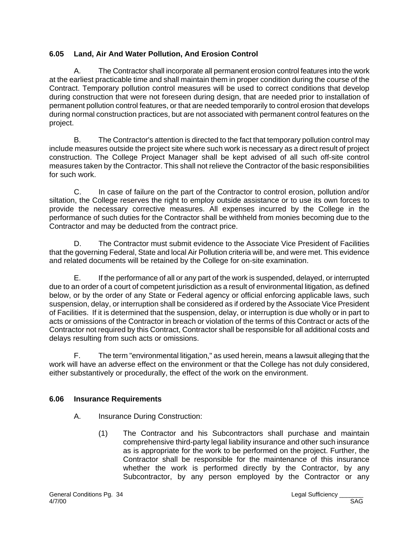# **6.05 Land, Air And Water Pollution, And Erosion Control**

A. The Contractor shall incorporate all permanent erosion control features into the work at the earliest practicable time and shall maintain them in proper condition during the course of the Contract. Temporary pollution control measures will be used to correct conditions that develop during construction that were not foreseen during design, that are needed prior to installation of permanent pollution control features, or that are needed temporarily to control erosion that develops during normal construction practices, but are not associated with permanent control features on the project.

B. The Contractor's attention is directed to the fact that temporary pollution control may include measures outside the project site where such work is necessary as a direct result of project construction. The College Project Manager shall be kept advised of all such off-site control measures taken by the Contractor. This shall not relieve the Contractor of the basic responsibilities for such work.

C. In case of failure on the part of the Contractor to control erosion, pollution and/or siltation, the College reserves the right to employ outside assistance or to use its own forces to provide the necessary corrective measures. All expenses incurred by the College in the performance of such duties for the Contractor shall be withheld from monies becoming due to the Contractor and may be deducted from the contract price.

D. The Contractor must submit evidence to the Associate Vice President of Facilities that the governing Federal, State and local Air Pollution criteria will be, and were met. This evidence and related documents will be retained by the College for on-site examination.

E. If the performance of all or any part of the work is suspended, delayed, or interrupted due to an order of a court of competent jurisdiction as a result of environmental litigation, as defined below, or by the order of any State or Federal agency or official enforcing applicable laws, such suspension, delay, or interruption shall be considered as if ordered by the Associate Vice President of Facilities. If it is determined that the suspension, delay, or interruption is due wholly or in part to acts or omissions of the Contractor in breach or violation of the terms of this Contract or acts of the Contractor not required by this Contract, Contractor shall be responsible for all additional costs and delays resulting from such acts or omissions.

F. The term "environmental litigation," as used herein, means a lawsuit alleging that the work will have an adverse effect on the environment or that the College has not duly considered, either substantively or procedurally, the effect of the work on the environment.

## **6.06 Insurance Requirements**

- A. Insurance During Construction:
	- (1) The Contractor and his Subcontractors shall purchase and maintain comprehensive third-party legal liability insurance and other such insurance as is appropriate for the work to be performed on the project. Further, the Contractor shall be responsible for the maintenance of this insurance whether the work is performed directly by the Contractor, by any Subcontractor, by any person employed by the Contractor or any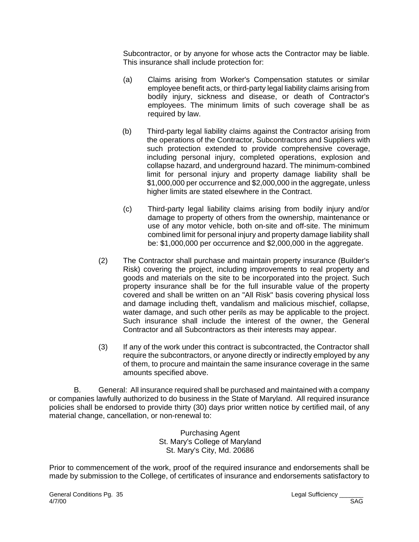Subcontractor, or by anyone for whose acts the Contractor may be liable. This insurance shall include protection for:

- (a) Claims arising from Worker's Compensation statutes or similar employee benefit acts, or third-party legal liability claims arising from bodily injury, sickness and disease, or death of Contractor's employees. The minimum limits of such coverage shall be as required by law.
- (b) Third-party legal liability claims against the Contractor arising from the operations of the Contractor, Subcontractors and Suppliers with such protection extended to provide comprehensive coverage, including personal injury, completed operations, explosion and collapse hazard, and underground hazard. The minimum-combined limit for personal injury and property damage liability shall be \$1,000,000 per occurrence and \$2,000,000 in the aggregate, unless higher limits are stated elsewhere in the Contract.
- (c) Third-party legal liability claims arising from bodily injury and/or damage to property of others from the ownership, maintenance or use of any motor vehicle, both on-site and off-site. The minimum combined limit for personal injury and property damage liability shall be: \$1,000,000 per occurrence and \$2,000,000 in the aggregate.
- (2) The Contractor shall purchase and maintain property insurance (Builder's Risk) covering the project, including improvements to real property and goods and materials on the site to be incorporated into the project. Such property insurance shall be for the full insurable value of the property covered and shall be written on an "All Risk" basis covering physical loss and damage including theft, vandalism and malicious mischief, collapse, water damage, and such other perils as may be applicable to the project. Such insurance shall include the interest of the owner, the General Contractor and all Subcontractors as their interests may appear.
- (3) If any of the work under this contract is subcontracted, the Contractor shall require the subcontractors, or anyone directly or indirectly employed by any of them, to procure and maintain the same insurance coverage in the same amounts specified above.

B. General: All insurance required shall be purchased and maintained with a company or companies lawfully authorized to do business in the State of Maryland. All required insurance policies shall be endorsed to provide thirty (30) days prior written notice by certified mail, of any material change, cancellation, or non-renewal to:

> Purchasing Agent St. Mary's College of Maryland St. Mary's City, Md. 20686

Prior to commencement of the work, proof of the required insurance and endorsements shall be made by submission to the College, of certificates of insurance and endorsements satisfactory to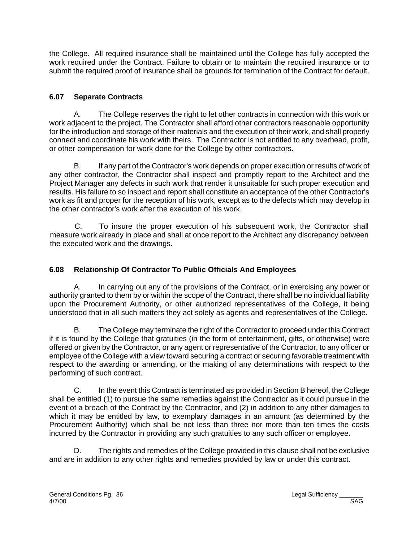the College. All required insurance shall be maintained until the College has fully accepted the work required under the Contract. Failure to obtain or to maintain the required insurance or to submit the required proof of insurance shall be grounds for termination of the Contract for default.

## **6.07 Separate Contracts**

A. The College reserves the right to let other contracts in connection with this work or work adjacent to the project. The Contractor shall afford other contractors reasonable opportunity for the introduction and storage of their materials and the execution of their work, and shall properly connect and coordinate his work with theirs. The Contractor is not entitled to any overhead, profit, or other compensation for work done for the College by other contractors.

B. If any part of the Contractor's work depends on proper execution or results of work of any other contractor, the Contractor shall inspect and promptly report to the Architect and the Project Manager any defects in such work that render it unsuitable for such proper execution and results. His failure to so inspect and report shall constitute an acceptance of the other Contractor's work as fit and proper for the reception of his work, except as to the defects which may develop in the other contractor's work after the execution of his work.

C. To insure the proper execution of his subsequent work, the Contractor shall measure work already in place and shall at once report to the Architect any discrepancy between the executed work and the drawings.

# **6.08 Relationship Of Contractor To Public Officials And Employees**

A. In carrying out any of the provisions of the Contract, or in exercising any power or authority granted to them by or within the scope of the Contract, there shall be no individual liability upon the Procurement Authority, or other authorized representatives of the College, it being understood that in all such matters they act solely as agents and representatives of the College.

B. The College may terminate the right of the Contractor to proceed under this Contract if it is found by the College that gratuities (in the form of entertainment, gifts, or otherwise) were offered or given by the Contractor, or any agent or representative of the Contractor, to any officer or employee of the College with a view toward securing a contract or securing favorable treatment with respect to the awarding or amending, or the making of any determinations with respect to the performing of such contract.

C. In the event this Contract is terminated as provided in Section B hereof, the College shall be entitled (1) to pursue the same remedies against the Contractor as it could pursue in the event of a breach of the Contract by the Contractor, and (2) in addition to any other damages to which it may be entitled by law, to exemplary damages in an amount (as determined by the Procurement Authority) which shall be not less than three nor more than ten times the costs incurred by the Contractor in providing any such gratuities to any such officer or employee.

D. The rights and remedies of the College provided in this clause shall not be exclusive and are in addition to any other rights and remedies provided by law or under this contract.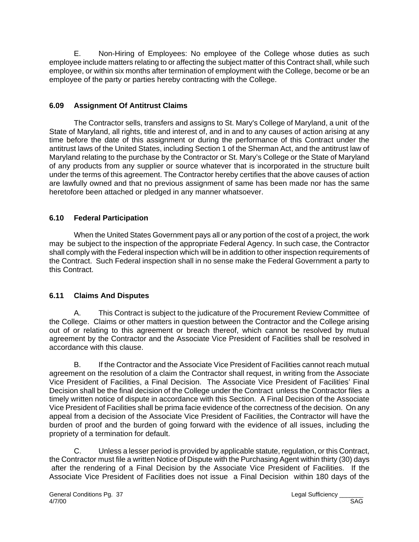E. Non-Hiring of Employees: No employee of the College whose duties as such employee include matters relating to or affecting the subject matter of this Contract shall, while such employee, or within six months after termination of employment with the College, become or be an employee of the party or parties hereby contracting with the College.

## **6.09 Assignment Of Antitrust Claims**

The Contractor sells, transfers and assigns to St. Mary's College of Maryland, a unit of the State of Maryland, all rights, title and interest of, and in and to any causes of action arising at any time before the date of this assignment or during the performance of this Contract under the antitrust laws of the United States, including Section 1 of the Sherman Act, and the antitrust law of Maryland relating to the purchase by the Contractor or St. Mary's College or the State of Maryland of any products from any supplier or source whatever that is incorporated in the structure built under the terms of this agreement. The Contractor hereby certifies that the above causes of action are lawfully owned and that no previous assignment of same has been made nor has the same heretofore been attached or pledged in any manner whatsoever.

# **6.10 Federal Participation**

When the United States Government pays all or any portion of the cost of a project, the work may be subject to the inspection of the appropriate Federal Agency. In such case, the Contractor shall comply with the Federal inspection which will be in addition to other inspection requirements of the Contract. Such Federal inspection shall in no sense make the Federal Government a party to this Contract.

### **6.11 Claims And Disputes**

A. This Contract is subject to the judicature of the Procurement Review Committee of the College. Claims or other matters in question between the Contractor and the College arising out of or relating to this agreement or breach thereof, which cannot be resolved by mutual agreement by the Contractor and the Associate Vice President of Facilities shall be resolved in accordance with this clause.

B. If the Contractor and the Associate Vice President of Facilities cannot reach mutual agreement on the resolution of a claim the Contractor shall request, in writing from the Associate Vice President of Facilities, a Final Decision. The Associate Vice President of Facilities' Final Decision shall be the final decision of the College under the Contract unless the Contractor files a timely written notice of dispute in accordance with this Section. A Final Decision of the Associate Vice President of Facilities shall be prima facie evidence of the correctness of the decision. On any appeal from a decision of the Associate Vice President of Facilities, the Contractor will have the burden of proof and the burden of going forward with the evidence of all issues, including the propriety of a termination for default.

C. Unless a lesser period is provided by applicable statute, regulation, or this Contract, the Contractor must file a written Notice of Dispute with the Purchasing Agent within thirty (30) days after the rendering of a Final Decision by the Associate Vice President of Facilities. If the Associate Vice President of Facilities does not issue a Final Decision within 180 days of the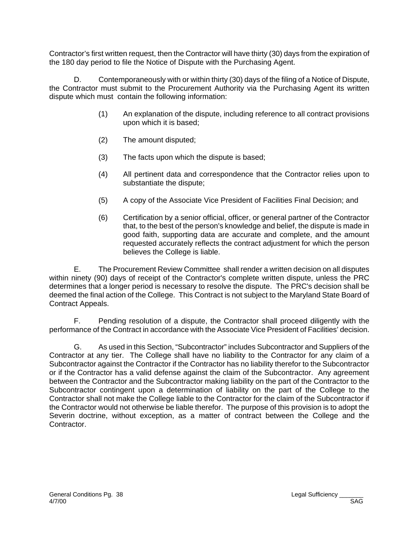Contractor's first written request, then the Contractor will have thirty (30) days from the expiration of the 180 day period to file the Notice of Dispute with the Purchasing Agent.

D. Contemporaneously with or within thirty (30) days of the filing of a Notice of Dispute, the Contractor must submit to the Procurement Authority via the Purchasing Agent its written dispute which must contain the following information:

- (1) An explanation of the dispute, including reference to all contract provisions upon which it is based;
- (2) The amount disputed;
- (3) The facts upon which the dispute is based;
- (4) All pertinent data and correspondence that the Contractor relies upon to substantiate the dispute;
- (5) A copy of the Associate Vice President of Facilities Final Decision; and
- (6) Certification by a senior official, officer, or general partner of the Contractor that, to the best of the person's knowledge and belief, the dispute is made in good faith, supporting data are accurate and complete, and the amount requested accurately reflects the contract adjustment for which the person believes the College is liable.

E. The Procurement Review Committee shall render a written decision on all disputes within ninety (90) days of receipt of the Contractor's complete written dispute, unless the PRC determines that a longer period is necessary to resolve the dispute. The PRC's decision shall be deemed the final action of the College. This Contract is not subject to the Maryland State Board of Contract Appeals.

F. Pending resolution of a dispute, the Contractor shall proceed diligently with the performance of the Contract in accordance with the Associate Vice President of Facilities' decision.

G. As used in this Section, "Subcontractor" includes Subcontractor and Suppliers of the Contractor at any tier. The College shall have no liability to the Contractor for any claim of a Subcontractor against the Contractor if the Contractor has no liability therefor to the Subcontractor or if the Contractor has a valid defense against the claim of the Subcontractor. Any agreement between the Contractor and the Subcontractor making liability on the part of the Contractor to the Subcontractor contingent upon a determination of liability on the part of the College to the Contractor shall not make the College liable to the Contractor for the claim of the Subcontractor if the Contractor would not otherwise be liable therefor. The purpose of this provision is to adopt the Severin doctrine, without exception, as a matter of contract between the College and the Contractor.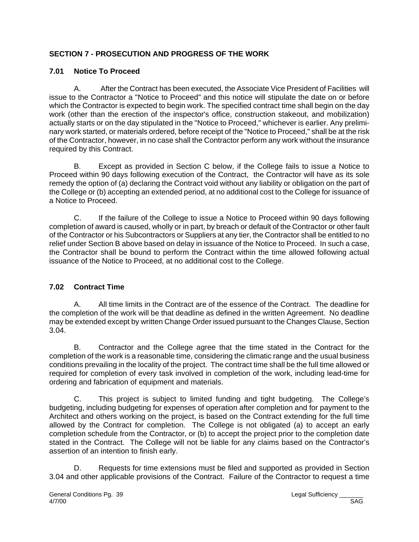# **SECTION 7 - PROSECUTION AND PROGRESS OF THE WORK**

## **7.01 Notice To Proceed**

A. After the Contract has been executed, the Associate Vice President of Facilities will issue to the Contractor a "Notice to Proceed" and this notice will stipulate the date on or before which the Contractor is expected to begin work. The specified contract time shall begin on the day work (other than the erection of the inspector's office, construction stakeout, and mobilization) actually starts or on the day stipulated in the "Notice to Proceed," whichever is earlier. Any preliminary work started, or materials ordered, before receipt of the "Notice to Proceed," shall be at the risk of the Contractor, however, in no case shall the Contractor perform any work without the insurance required by this Contract.

B. Except as provided in Section C below, if the College fails to issue a Notice to Proceed within 90 days following execution of the Contract, the Contractor will have as its sole remedy the option of (a) declaring the Contract void without any liability or obligation on the part of the College or (b) accepting an extended period, at no additional cost to the College for issuance of a Notice to Proceed.

C. If the failure of the College to issue a Notice to Proceed within 90 days following completion of award is caused, wholly or in part, by breach or default of the Contractor or other fault of the Contractor or his Subcontractors or Suppliers at any tier, the Contractor shall be entitled to no relief under Section B above based on delay in issuance of the Notice to Proceed. In such a case, the Contractor shall be bound to perform the Contract within the time allowed following actual issuance of the Notice to Proceed, at no additional cost to the College.

### **7.02 Contract Time**

A. All time limits in the Contract are of the essence of the Contract. The deadline for the completion of the work will be that deadline as defined in the written Agreement. No deadline may be extended except by written Change Order issued pursuant to the Changes Clause, Section 3.04.

B. Contractor and the College agree that the time stated in the Contract for the completion of the work is a reasonable time, considering the climatic range and the usual business conditions prevailing in the locality of the project. The contract time shall be the full time allowed or required for completion of every task involved in completion of the work, including lead-time for ordering and fabrication of equipment and materials.

C. This project is subject to limited funding and tight budgeting. The College's budgeting, including budgeting for expenses of operation after completion and for payment to the Architect and others working on the project, is based on the Contract extending for the full time allowed by the Contract for completion. The College is not obligated (a) to accept an early completion schedule from the Contractor, or (b) to accept the project prior to the completion date stated in the Contract. The College will not be liable for any claims based on the Contractor's assertion of an intention to finish early.

D. Requests for time extensions must be filed and supported as provided in Section 3.04 and other applicable provisions of the Contract. Failure of the Contractor to request a time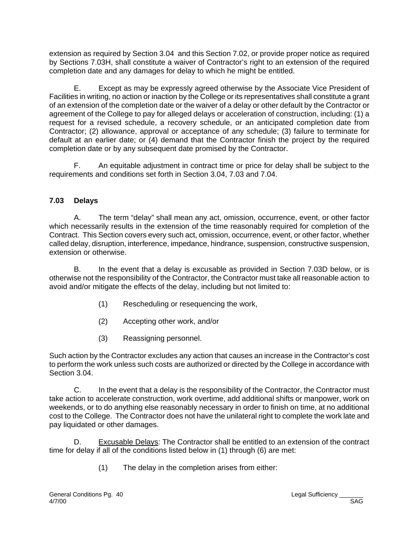extension as required by Section 3.04 and this Section 7.02, or provide proper notice as required by Sections 7.03H, shall constitute a waiver of Contractor's right to an extension of the required completion date and any damages for delay to which he might be entitled.

E. Except as may be expressly agreed otherwise by the Associate Vice President of Facilities in writing, no action or inaction by the College or its representatives shall constitute a grant of an extension of the completion date or the waiver of a delay or other default by the Contractor or agreement of the College to pay for alleged delays or acceleration of construction, including: (1) a request for a revised schedule, a recovery schedule, or an anticipated completion date from Contractor; (2) allowance, approval or acceptance of any schedule; (3) failure to terminate for default at an earlier date; or (4) demand that the Contractor finish the project by the required completion date or by any subsequent date promised by the Contractor.

F. An equitable adjustment in contract time or price for delay shall be subject to the requirements and conditions set forth in Section 3.04, 7.03 and 7.04.

### **7.03 Delays**

A. The term "delay" shall mean any act, omission, occurrence, event, or other factor which necessarily results in the extension of the time reasonably required for completion of the Contract. This Section covers every such act, omission, occurrence, event, or other factor, whether called delay, disruption, interference, impedance, hindrance, suspension, constructive suspension, extension or otherwise.

B. In the event that a delay is excusable as provided in Section 7.03D below, or is otherwise not the responsibility of the Contractor, the Contractor must take all reasonable action to avoid and/or mitigate the effects of the delay, including but not limited to:

- (1) Rescheduling or resequencing the work,
- (2) Accepting other work, and/or
- (3) Reassigning personnel.

Such action by the Contractor excludes any action that causes an increase in the Contractor's cost to perform the work unless such costs are authorized or directed by the College in accordance with Section 3.04.

C. In the event that a delay is the responsibility of the Contractor, the Contractor must take action to accelerate construction, work overtime, add additional shifts or manpower, work on weekends, or to do anything else reasonably necessary in order to finish on time, at no additional cost to the College. The Contractor does not have the unilateral right to complete the work late and pay liquidated or other damages.

D. Excusable Delays: The Contractor shall be entitled to an extension of the contract time for delay if all of the conditions listed below in (1) through (6) are met:

(1) The delay in the completion arises from either: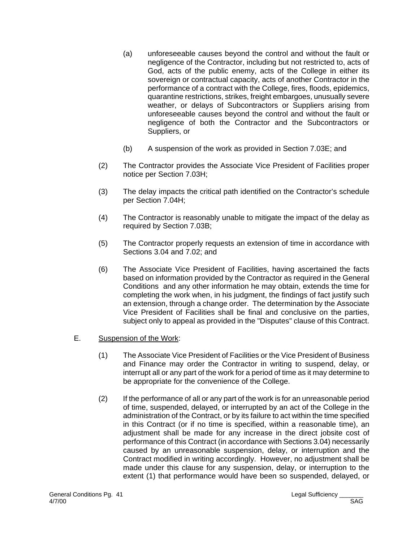- (a) unforeseeable causes beyond the control and without the fault or negligence of the Contractor, including but not restricted to, acts of God, acts of the public enemy, acts of the College in either its sovereign or contractual capacity, acts of another Contractor in the performance of a contract with the College, fires, floods, epidemics, quarantine restrictions, strikes, freight embargoes, unusually severe weather, or delays of Subcontractors or Suppliers arising from unforeseeable causes beyond the control and without the fault or negligence of both the Contractor and the Subcontractors or Suppliers, or
- (b) A suspension of the work as provided in Section 7.03E; and
- (2) The Contractor provides the Associate Vice President of Facilities proper notice per Section 7.03H;
- (3) The delay impacts the critical path identified on the Contractor's schedule per Section 7.04H;
- (4) The Contractor is reasonably unable to mitigate the impact of the delay as required by Section 7.03B;
- (5) The Contractor properly requests an extension of time in accordance with Sections 3.04 and 7.02; and
- (6) The Associate Vice President of Facilities, having ascertained the facts based on information provided by the Contractor as required in the General Conditions and any other information he may obtain, extends the time for completing the work when, in his judgment, the findings of fact justify such an extension, through a change order. The determination by the Associate Vice President of Facilities shall be final and conclusive on the parties, subject only to appeal as provided in the "Disputes" clause of this Contract.

### E. Suspension of the Work:

- (1) The Associate Vice President of Facilities or the Vice President of Business and Finance may order the Contractor in writing to suspend, delay, or interrupt all or any part of the work for a period of time as it may determine to be appropriate for the convenience of the College.
- (2) If the performance of all or any part of the work is for an unreasonable period of time, suspended, delayed, or interrupted by an act of the College in the administration of the Contract, or by its failure to act within the time specified in this Contract (or if no time is specified, within a reasonable time), an adjustment shall be made for any increase in the direct jobsite cost of performance of this Contract (in accordance with Sections 3.04) necessarily caused by an unreasonable suspension, delay, or interruption and the Contract modified in writing accordingly. However, no adjustment shall be made under this clause for any suspension, delay, or interruption to the extent (1) that performance would have been so suspended, delayed, or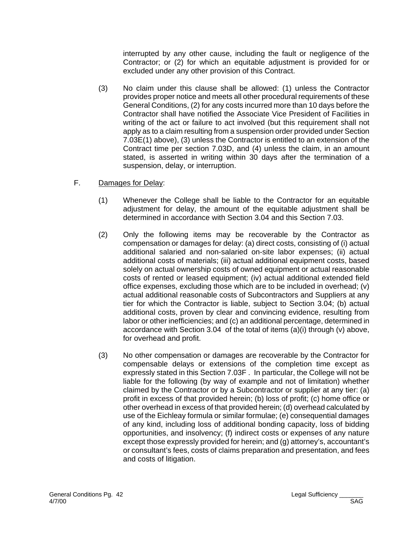interrupted by any other cause, including the fault or negligence of the Contractor; or (2) for which an equitable adjustment is provided for or excluded under any other provision of this Contract.

- (3) No claim under this clause shall be allowed: (1) unless the Contractor provides proper notice and meets all other procedural requirements of these General Conditions, (2) for any costs incurred more than 10 days before the Contractor shall have notified the Associate Vice President of Facilities in writing of the act or failure to act involved (but this requirement shall not apply as to a claim resulting from a suspension order provided under Section 7.03E(1) above), (3) unless the Contractor is entitled to an extension of the Contract time per section 7.03D, and (4) unless the claim, in an amount stated, is asserted in writing within 30 days after the termination of a suspension, delay, or interruption.
- F. Damages for Delay:
	- (1) Whenever the College shall be liable to the Contractor for an equitable adjustment for delay, the amount of the equitable adjustment shall be determined in accordance with Section 3.04 and this Section 7.03.
	- (2) Only the following items may be recoverable by the Contractor as compensation or damages for delay: (a) direct costs, consisting of (i) actual additional salaried and non-salaried on-site labor expenses; (ii) actual additional costs of materials; (iii) actual additional equipment costs, based solely on actual ownership costs of owned equipment or actual reasonable costs of rented or leased equipment; (iv) actual additional extended field office expenses, excluding those which are to be included in overhead; (v) actual additional reasonable costs of Subcontractors and Suppliers at any tier for which the Contractor is liable, subject to Section 3.04; (b) actual additional costs, proven by clear and convincing evidence, resulting from labor or other inefficiencies; and (c) an additional percentage, determined in accordance with Section 3.04 of the total of items (a)(i) through (v) above, for overhead and profit.
	- (3) No other compensation or damages are recoverable by the Contractor for compensable delays or extensions of the completion time except as expressly stated in this Section 7.03F . In particular, the College will not be liable for the following (by way of example and not of limitation) whether claimed by the Contractor or by a Subcontractor or supplier at any tier: (a) profit in excess of that provided herein; (b) loss of profit; (c) home office or other overhead in excess of that provided herein; (d) overhead calculated by use of the Eichleay formula or similar formulae; (e) consequential damages of any kind, including loss of additional bonding capacity, loss of bidding opportunities, and insolvency; (f) indirect costs or expenses of any nature except those expressly provided for herein; and (g) attorney's, accountant's or consultant's fees, costs of claims preparation and presentation, and fees and costs of litigation.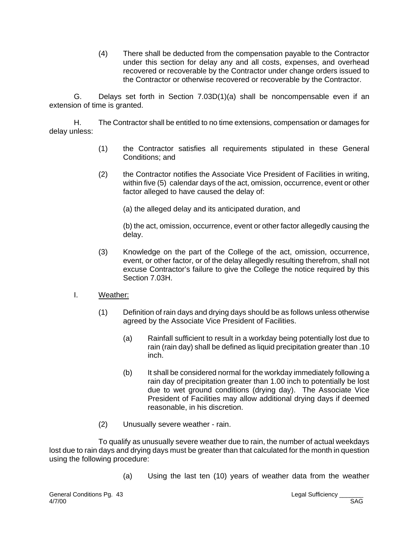(4) There shall be deducted from the compensation payable to the Contractor under this section for delay any and all costs, expenses, and overhead recovered or recoverable by the Contractor under change orders issued to the Contractor or otherwise recovered or recoverable by the Contractor.

G. Delays set forth in Section 7.03D(1)(a) shall be noncompensable even if an extension of time is granted.

H. The Contractor shall be entitled to no time extensions, compensation or damages for delay unless:

- (1) the Contractor satisfies all requirements stipulated in these General Conditions; and
- (2) the Contractor notifies the Associate Vice President of Facilities in writing, within five (5) calendar days of the act, omission, occurrence, event or other factor alleged to have caused the delay of:

(a) the alleged delay and its anticipated duration, and

(b) the act, omission, occurrence, event or other factor allegedly causing the delay.

- (3) Knowledge on the part of the College of the act, omission, occurrence, event, or other factor, or of the delay allegedly resulting therefrom, shall not excuse Contractor's failure to give the College the notice required by this Section 7.03H.
- I. Weather:
	- (1) Definition of rain days and drying days should be as follows unless otherwise agreed by the Associate Vice President of Facilities.
		- (a) Rainfall sufficient to result in a workday being potentially lost due to rain (rain day) shall be defined as liquid precipitation greater than .10 inch.
		- (b) It shall be considered normal for the workday immediately following a rain day of precipitation greater than 1.00 inch to potentially be lost due to wet ground conditions (drying day). The Associate Vice President of Facilities may allow additional drying days if deemed reasonable, in his discretion.
	- (2) Unusually severe weather rain.

To qualify as unusually severe weather due to rain, the number of actual weekdays lost due to rain days and drying days must be greater than that calculated for the month in question using the following procedure:

(a) Using the last ten (10) years of weather data from the weather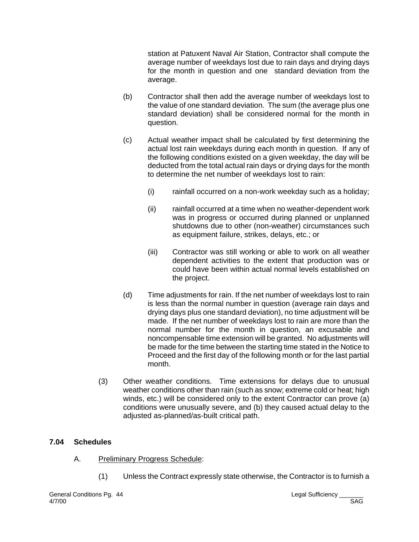station at Patuxent Naval Air Station, Contractor shall compute the average number of weekdays lost due to rain days and drying days for the month in question and one standard deviation from the average.

- (b) Contractor shall then add the average number of weekdays lost to the value of one standard deviation. The sum (the average plus one standard deviation) shall be considered normal for the month in question.
- (c) Actual weather impact shall be calculated by first determining the actual lost rain weekdays during each month in question. If any of the following conditions existed on a given weekday, the day will be deducted from the total actual rain days or drying days for the month to determine the net number of weekdays lost to rain:
	- (i) rainfall occurred on a non-work weekday such as a holiday;
	- (ii) rainfall occurred at a time when no weather-dependent work was in progress or occurred during planned or unplanned shutdowns due to other (non-weather) circumstances such as equipment failure, strikes, delays, etc.; or
	- (iii) Contractor was still working or able to work on all weather dependent activities to the extent that production was or could have been within actual normal levels established on the project.
- (d) Time adjustments for rain. If the net number of weekdays lost to rain is less than the normal number in question (average rain days and drying days plus one standard deviation), no time adjustment will be made. If the net number of weekdays lost to rain are more than the normal number for the month in question, an excusable and noncompensable time extension will be granted. No adjustments will be made for the time between the starting time stated in the Notice to Proceed and the first day of the following month or for the last partial month.
- (3) Other weather conditions. Time extensions for delays due to unusual weather conditions other than rain (such as snow; extreme cold or heat; high winds, etc.) will be considered only to the extent Contractor can prove (a) conditions were unusually severe, and (b) they caused actual delay to the adjusted as-planned/as-built critical path.

### **7.04 Schedules**

- A. Preliminary Progress Schedule:
	- (1) Unless the Contract expressly state otherwise, the Contractor is to furnish a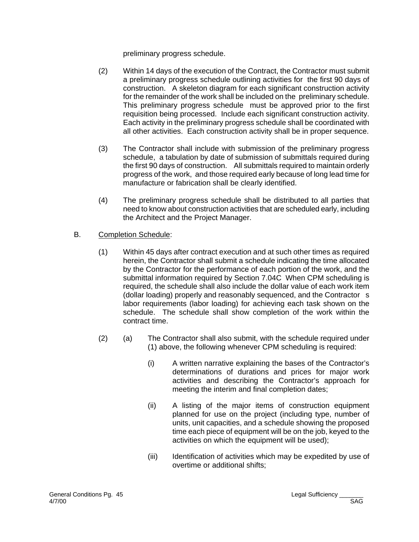preliminary progress schedule.

- (2) Within 14 days of the execution of the Contract, the Contractor must submit a preliminary progress schedule outlining activities for the first 90 days of construction. A skeleton diagram for each significant construction activity for the remainder of the work shall be included on the preliminary schedule. This preliminary progress schedule must be approved prior to the first requisition being processed. Include each significant construction activity. Each activity in the preliminary progress schedule shall be coordinated with all other activities. Each construction activity shall be in proper sequence.
- (3) The Contractor shall include with submission of the preliminary progress schedule, a tabulation by date of submission of submittals required during the first 90 days of construction. All submittals required to maintain orderly progress of the work, and those required early because of long lead time for manufacture or fabrication shall be clearly identified.
- (4) The preliminary progress schedule shall be distributed to all parties that need to know about construction activities that are scheduled early, including the Architect and the Project Manager.
- B. Completion Schedule:
	- (1) Within 45 days after contract execution and at such other times as required herein, the Contractor shall submit a schedule indicating the time allocated by the Contractor for the performance of each portion of the work, and the submittal information required by Section 7.04C When CPM scheduling is required, the schedule shall also include the dollar value of each work item (dollar loading) properly and reasonably sequenced, and the Contractor s labor requirements (labor loading) for achieving each task shown on the schedule. The schedule shall show completion of the work within the contract time.
	- (2) (a) The Contractor shall also submit, with the schedule required under (1) above, the following whenever CPM scheduling is required:
		- (i) A written narrative explaining the bases of the Contractor's determinations of durations and prices for major work activities and describing the Contractor's approach for meeting the interim and final completion dates;
		- (ii) A listing of the major items of construction equipment planned for use on the project (including type, number of units, unit capacities, and a schedule showing the proposed time each piece of equipment will be on the job, keyed to the activities on which the equipment will be used);
		- (iii) Identification of activities which may be expedited by use of overtime or additional shifts;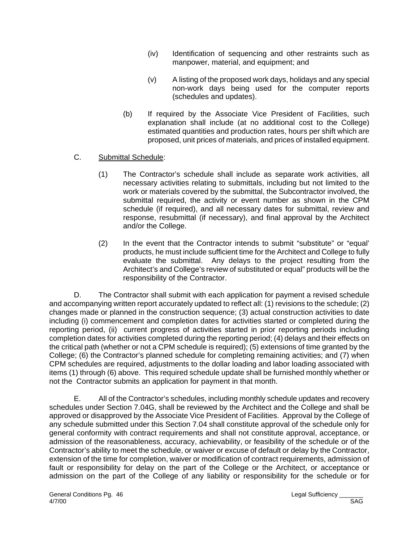- (iv) Identification of sequencing and other restraints such as manpower, material, and equipment; and
- (v) A listing of the proposed work days, holidays and any special non-work days being used for the computer reports (schedules and updates).
- (b) If required by the Associate Vice President of Facilities, such explanation shall include (at no additional cost to the College) estimated quantities and production rates, hours per shift which are proposed, unit prices of materials, and prices of installed equipment.

### C. Submittal Schedule:

- (1) The Contractor's schedule shall include as separate work activities, all necessary activities relating to submittals, including but not limited to the work or materials covered by the submittal, the Subcontractor involved, the submittal required, the activity or event number as shown in the CPM schedule (if required), and all necessary dates for submittal, review and response, resubmittal (if necessary), and final approval by the Architect and/or the College.
- (2) In the event that the Contractor intends to submit "substitute" or "equal' products, he must include sufficient time for the Architect and College to fully evaluate the submittal. Any delays to the project resulting from the Architect's and College's review of substituted or equal" products will be the responsibility of the Contractor.

D. The Contractor shall submit with each application for payment a revised schedule and accompanying written report accurately updated to reflect all: (1) revisions to the schedule; (2) changes made or planned in the construction sequence; (3) actual construction activities to date including (i) commencement and completion dates for activities started or completed during the reporting period, (ii) current progress of activities started in prior reporting periods including completion dates for activities completed during the reporting period; (4) delays and their effects on the critical path (whether or not a CPM schedule is required); (5) extensions of time granted by the College; (6) the Contractor's planned schedule for completing remaining activities; and (7) when CPM schedules are required, adjustments to the dollar loading and labor loading associated with items (1) through (6) above. This required schedule update shall be furnished monthly whether or not the Contractor submits an application for payment in that month.

E. All of the Contractor's schedules, including monthly schedule updates and recovery schedules under Section 7.04G, shall be reviewed by the Architect and the College and shall be approved or disapproved by the Associate Vice President of Facilities. Approval by the College of any schedule submitted under this Section 7.04 shall constitute approval of the schedule only for general conformity with contract requirements and shall not constitute approval, acceptance, or admission of the reasonableness, accuracy, achievability, or feasibility of the schedule or of the Contractor's ability to meet the schedule, or waiver or excuse of default or delay by the Contractor, extension of the time for completion, waiver or modification of contract requirements, admission of fault or responsibility for delay on the part of the College or the Architect, or acceptance or admission on the part of the College of any liability or responsibility for the schedule or for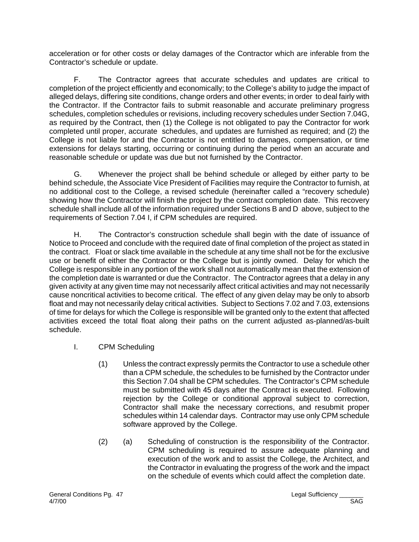acceleration or for other costs or delay damages of the Contractor which are inferable from the Contractor's schedule or update.

F. The Contractor agrees that accurate schedules and updates are critical to completion of the project efficiently and economically; to the College's ability to judge the impact of alleged delays, differing site conditions, change orders and other events; in order to deal fairly with the Contractor. If the Contractor fails to submit reasonable and accurate preliminary progress schedules, completion schedules or revisions, including recovery schedules under Section 7.04G, as required by the Contract, then (1) the College is not obligated to pay the Contractor for work completed until proper, accurate schedules, and updates are furnished as required; and (2) the College is not liable for and the Contractor is not entitled to damages, compensation, or time extensions for delays starting, occurring or continuing during the period when an accurate and reasonable schedule or update was due but not furnished by the Contractor.

G. Whenever the project shall be behind schedule or alleged by either party to be behind schedule, the Associate Vice President of Facilities may require the Contractor to furnish, at no additional cost to the College, a revised schedule (hereinafter called a "recovery schedule) showing how the Contractor will finish the project by the contract completion date. This recovery schedule shall include all of the information required under Sections B and D above, subject to the requirements of Section 7.04 I, if CPM schedules are required.

H. The Contractor's construction schedule shall begin with the date of issuance of Notice to Proceed and conclude with the required date of final completion of the project as stated in the contract. Float or slack time available in the schedule at any time shall not be for the exclusive use or benefit of either the Contractor or the College but is jointly owned. Delay for which the College is responsible in any portion of the work shall not automatically mean that the extension of the completion date is warranted or due the Contractor. The Contractor agrees that a delay in any given activity at any given time may not necessarily affect critical activities and may not necessarily cause noncritical activities to become critical. The effect of any given delay may be only to absorb float and may not necessarily delay critical activities. Subject to Sections 7.02 and 7.03, extensions of time for delays for which the College is responsible will be granted only to the extent that affected activities exceed the total float along their paths on the current adjusted as-planned/as-built schedule.

- I. CPM Scheduling
	- (1) Unless the contract expressly permits the Contractor to use a schedule other than a CPM schedule, the schedules to be furnished by the Contractor under this Section 7.04 shall be CPM schedules. The Contractor's CPM schedule must be submitted with 45 days after the Contract is executed. Following rejection by the College or conditional approval subject to correction, Contractor shall make the necessary corrections, and resubmit proper schedules within 14 calendar days. Contractor may use only CPM schedule software approved by the College.
	- (2) (a) Scheduling of construction is the responsibility of the Contractor. CPM scheduling is required to assure adequate planning and execution of the work and to assist the College, the Architect, and the Contractor in evaluating the progress of the work and the impact on the schedule of events which could affect the completion date.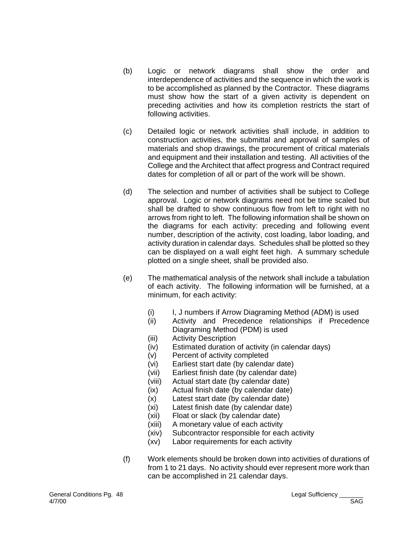- (b) Logic or network diagrams shall show the order and interdependence of activities and the sequence in which the work is to be accomplished as planned by the Contractor. These diagrams must show how the start of a given activity is dependent on preceding activities and how its completion restricts the start of following activities.
- (c) Detailed logic or network activities shall include, in addition to construction activities, the submittal and approval of samples of materials and shop drawings, the procurement of critical materials and equipment and their installation and testing. All activities of the College and the Architect that affect progress and Contract required dates for completion of all or part of the work will be shown.
- (d) The selection and number of activities shall be subject to College approval. Logic or network diagrams need not be time scaled but shall be drafted to show continuous flow from left to right with no arrows from right to left. The following information shall be shown on the diagrams for each activity: preceding and following event number, description of the activity, cost loading, labor loading, and activity duration in calendar days. Schedules shall be plotted so they can be displayed on a wall eight feet high. A summary schedule plotted on a single sheet, shall be provided also.
- (e) The mathematical analysis of the network shall include a tabulation of each activity. The following information will be furnished, at a minimum, for each activity:
	- (i) I, J numbers if Arrow Diagraming Method (ADM) is used<br>(ii) Activity and Precedence relationships if Preceden
	- Activity and Precedence relationships if Precedence Diagraming Method (PDM) is used
	- (iii) Activity Description
	- (iv) Estimated duration of activity (in calendar days)
	- (v) Percent of activity completed
	- (vi) Earliest start date (by calendar date)
	- (vii) Earliest finish date (by calendar date)
	- (viii) Actual start date (by calendar date)
	- (ix) Actual finish date (by calendar date)
	- (x) Latest start date (by calendar date)
	- (xi) Latest finish date (by calendar date)
	- (xii) Float or slack (by calendar date)
	- (xiii) A monetary value of each activity
	- (xiv) Subcontractor responsible for each activity
	- (xv) Labor requirements for each activity
- (f) Work elements should be broken down into activities of durations of from 1 to 21 days. No activity should ever represent more work than can be accomplished in 21 calendar days.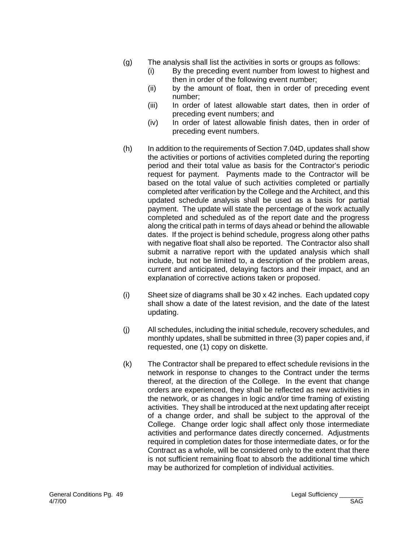- (g) The analysis shall list the activities in sorts or groups as follows:
	- (i) By the preceding event number from lowest to highest and then in order of the following event number;
	- (ii) by the amount of float, then in order of preceding event number;
	- (iii) In order of latest allowable start dates, then in order of preceding event numbers; and
	- (iv) In order of latest allowable finish dates, then in order of preceding event numbers.
- (h) In addition to the requirements of Section 7.04D, updates shall show the activities or portions of activities completed during the reporting period and their total value as basis for the Contractor's periodic request for payment. Payments made to the Contractor will be based on the total value of such activities completed or partially completed after verification by the College and the Architect, and this updated schedule analysis shall be used as a basis for partial payment. The update will state the percentage of the work actually completed and scheduled as of the report date and the progress along the critical path in terms of days ahead or behind the allowable dates. If the project is behind schedule, progress along other paths with negative float shall also be reported. The Contractor also shall submit a narrative report with the updated analysis which shall include, but not be limited to, a description of the problem areas, current and anticipated, delaying factors and their impact, and an explanation of corrective actions taken or proposed.
- (i) Sheet size of diagrams shall be 30 x 42 inches. Each updated copy shall show a date of the latest revision, and the date of the latest updating.
- (j) All schedules, including the initial schedule, recovery schedules, and monthly updates, shall be submitted in three (3) paper copies and, if requested, one (1) copy on diskette.
- (k) The Contractor shall be prepared to effect schedule revisions in the network in response to changes to the Contract under the terms thereof, at the direction of the College. In the event that change orders are experienced, they shall be reflected as new activities in the network, or as changes in logic and/or time framing of existing activities. They shall be introduced at the next updating after receipt of a change order, and shall be subject to the approval of the College. Change order logic shall affect only those intermediate activities and performance dates directly concerned. Adjustments required in completion dates for those intermediate dates, or for the Contract as a whole, will be considered only to the extent that there is not sufficient remaining float to absorb the additional time which may be authorized for completion of individual activities.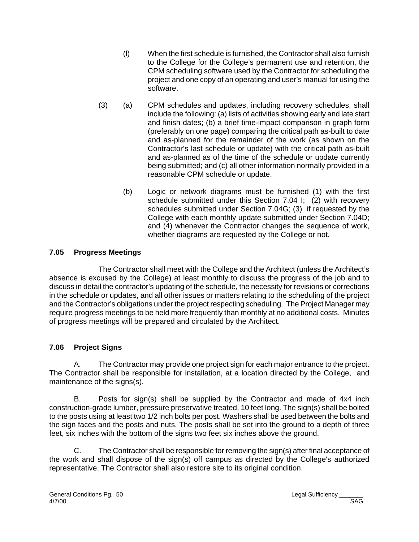- (l) When the first schedule is furnished, the Contractor shall also furnish to the College for the College's permanent use and retention, the CPM scheduling software used by the Contractor for scheduling the project and one copy of an operating and user's manual for using the software.
- (3) (a) CPM schedules and updates, including recovery schedules, shall include the following: (a) lists of activities showing early and late start and finish dates; (b) a brief time-impact comparison in graph form (preferably on one page) comparing the critical path as-built to date and as-planned for the remainder of the work (as shown on the Contractor's last schedule or update) with the critical path as-built and as-planned as of the time of the schedule or update currently being submitted; and (c) all other information normally provided in a reasonable CPM schedule or update.
	- (b) Logic or network diagrams must be furnished (1) with the first schedule submitted under this Section 7.04 I; (2) with recovery schedules submitted under Section 7.04G; (3) if requested by the College with each monthly update submitted under Section 7.04D; and (4) whenever the Contractor changes the sequence of work, whether diagrams are requested by the College or not.

### **7.05 Progress Meetings**

The Contractor shall meet with the College and the Architect (unless the Architect's absence is excused by the College) at least monthly to discuss the progress of the job and to discuss in detail the contractor's updating of the schedule, the necessity for revisions or corrections in the schedule or updates, and all other issues or matters relating to the scheduling of the project and the Contractor's obligations under the project respecting scheduling. The Project Manager may require progress meetings to be held more frequently than monthly at no additional costs. Minutes of progress meetings will be prepared and circulated by the Architect.

### **7.06 Project Signs**

A. The Contractor may provide one project sign for each major entrance to the project. The Contractor shall be responsible for installation, at a location directed by the College, and maintenance of the signs(s).

 B. Posts for sign(s) shall be supplied by the Contractor and made of 4x4 inch construction-grade lumber, pressure preservative treated, 10 feet long. The sign(s) shall be bolted to the posts using at least two 1/2 inch bolts per post. Washers shall be used between the bolts and the sign faces and the posts and nuts. The posts shall be set into the ground to a depth of three feet, six inches with the bottom of the signs two feet six inches above the ground.

C. The Contractor shall be responsible for removing the sign(s) after final acceptance of the work and shall dispose of the sign(s) off campus as directed by the College's authorized representative. The Contractor shall also restore site to its original condition.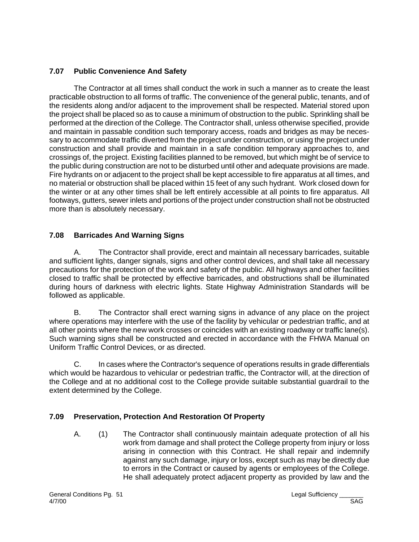### **7.07 Public Convenience And Safety**

The Contractor at all times shall conduct the work in such a manner as to create the least practicable obstruction to all forms of traffic. The convenience of the general public, tenants, and of the residents along and/or adjacent to the improvement shall be respected. Material stored upon the project shall be placed so as to cause a minimum of obstruction to the public. Sprinkling shall be performed at the direction of the College. The Contractor shall, unless otherwise specified, provide and maintain in passable condition such temporary access, roads and bridges as may be necessary to accommodate traffic diverted from the project under construction, or using the project under construction and shall provide and maintain in a safe condition temporary approaches to, and crossings of, the project. Existing facilities planned to be removed, but which might be of service to the public during construction are not to be disturbed until other and adequate provisions are made. Fire hydrants on or adjacent to the project shall be kept accessible to fire apparatus at all times, and no material or obstruction shall be placed within 15 feet of any such hydrant. Work closed down for the winter or at any other times shall be left entirely accessible at all points to fire apparatus. All footways, gutters, sewer inlets and portions of the project under construction shall not be obstructed more than is absolutely necessary.

### **7.08 Barricades And Warning Signs**

A. The Contractor shall provide, erect and maintain all necessary barricades, suitable and sufficient lights, danger signals, signs and other control devices, and shall take all necessary precautions for the protection of the work and safety of the public. All highways and other facilities closed to traffic shall be protected by effective barricades, and obstructions shall be illuminated during hours of darkness with electric lights. State Highway Administration Standards will be followed as applicable.

B. The Contractor shall erect warning signs in advance of any place on the project where operations may interfere with the use of the facility by vehicular or pedestrian traffic, and at all other points where the new work crosses or coincides with an existing roadway or traffic lane(s). Such warning signs shall be constructed and erected in accordance with the FHWA Manual on Uniform Traffic Control Devices, or as directed.

C. In cases where the Contractor's sequence of operations results in grade differentials which would be hazardous to vehicular or pedestrian traffic, the Contractor will, at the direction of the College and at no additional cost to the College provide suitable substantial guardrail to the extent determined by the College.

### **7.09 Preservation, Protection And Restoration Of Property**

A. (1) The Contractor shall continuously maintain adequate protection of all his work from damage and shall protect the College property from injury or loss arising in connection with this Contract. He shall repair and indemnify against any such damage, injury or loss, except such as may be directly due to errors in the Contract or caused by agents or employees of the College. He shall adequately protect adjacent property as provided by law and the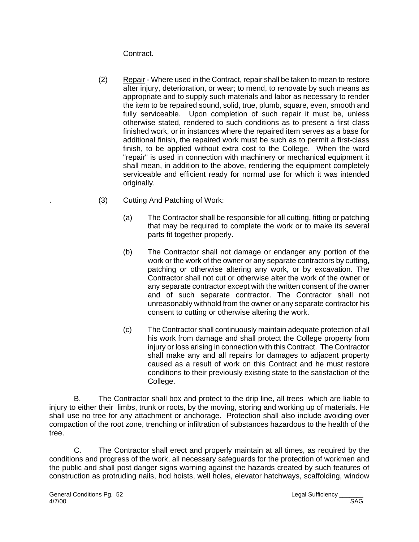Contract.

- (2) Repair Where used in the Contract, repair shall be taken to mean to restore after injury, deterioration, or wear; to mend, to renovate by such means as appropriate and to supply such materials and labor as necessary to render the item to be repaired sound, solid, true, plumb, square, even, smooth and fully serviceable. Upon completion of such repair it must be, unless otherwise stated, rendered to such conditions as to present a first class finished work, or in instances where the repaired item serves as a base for additional finish, the repaired work must be such as to permit a first-class finish, to be applied without extra cost to the College. When the word "repair" is used in connection with machinery or mechanical equipment it shall mean, in addition to the above, rendering the equipment completely serviceable and efficient ready for normal use for which it was intended originally.
- . (3) Cutting And Patching of Work:
	- (a) The Contractor shall be responsible for all cutting, fitting or patching that may be required to complete the work or to make its several parts fit together properly.
	- (b) The Contractor shall not damage or endanger any portion of the work or the work of the owner or any separate contractors by cutting, patching or otherwise altering any work, or by excavation. The Contractor shall not cut or otherwise alter the work of the owner or any separate contractor except with the written consent of the owner and of such separate contractor. The Contractor shall not unreasonably withhold from the owner or any separate contractor his consent to cutting or otherwise altering the work.
	- (c) The Contractor shall continuously maintain adequate protection of all his work from damage and shall protect the College property from injury or loss arising in connection with this Contract. The Contractor shall make any and all repairs for damages to adjacent property caused as a result of work on this Contract and he must restore conditions to their previously existing state to the satisfaction of the College.

B. The Contractor shall box and protect to the drip line, all trees which are liable to injury to either their limbs, trunk or roots, by the moving, storing and working up of materials. He shall use no tree for any attachment or anchorage. Protection shall also include avoiding over compaction of the root zone, trenching or infiltration of substances hazardous to the health of the tree.

C. The Contractor shall erect and properly maintain at all times, as required by the conditions and progress of the work, all necessary safeguards for the protection of workmen and the public and shall post danger signs warning against the hazards created by such features of construction as protruding nails, hod hoists, well holes, elevator hatchways, scaffolding, window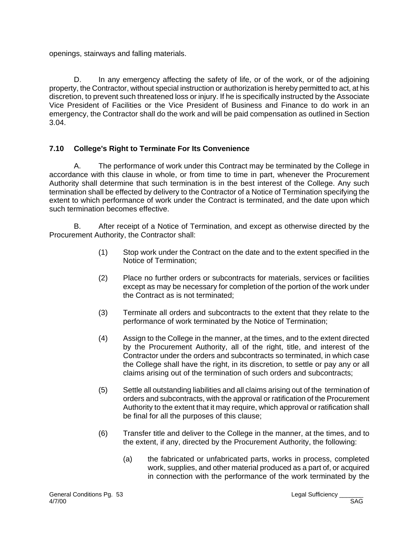openings, stairways and falling materials.

D. In any emergency affecting the safety of life, or of the work, or of the adjoining property, the Contractor, without special instruction or authorization is hereby permitted to act, at his discretion, to prevent such threatened loss or injury. If he is specifically instructed by the Associate Vice President of Facilities or the Vice President of Business and Finance to do work in an emergency, the Contractor shall do the work and will be paid compensation as outlined in Section 3.04.

### **7.10 College's Right to Terminate For Its Convenience**

A. The performance of work under this Contract may be terminated by the College in accordance with this clause in whole, or from time to time in part, whenever the Procurement Authority shall determine that such termination is in the best interest of the College. Any such termination shall be effected by delivery to the Contractor of a Notice of Termination specifying the extent to which performance of work under the Contract is terminated, and the date upon which such termination becomes effective.

B. After receipt of a Notice of Termination, and except as otherwise directed by the Procurement Authority, the Contractor shall:

- (1) Stop work under the Contract on the date and to the extent specified in the Notice of Termination;
- (2) Place no further orders or subcontracts for materials, services or facilities except as may be necessary for completion of the portion of the work under the Contract as is not terminated;
- (3) Terminate all orders and subcontracts to the extent that they relate to the performance of work terminated by the Notice of Termination;
- (4) Assign to the College in the manner, at the times, and to the extent directed by the Procurement Authority, all of the right, title, and interest of the Contractor under the orders and subcontracts so terminated, in which case the College shall have the right, in its discretion, to settle or pay any or all claims arising out of the termination of such orders and subcontracts;
- (5) Settle all outstanding liabilities and all claims arising out of the termination of orders and subcontracts, with the approval or ratification of the Procurement Authority to the extent that it may require, which approval or ratification shall be final for all the purposes of this clause;
- (6) Transfer title and deliver to the College in the manner, at the times, and to the extent, if any, directed by the Procurement Authority, the following:
	- (a) the fabricated or unfabricated parts, works in process, completed work, supplies, and other material produced as a part of, or acquired in connection with the performance of the work terminated by the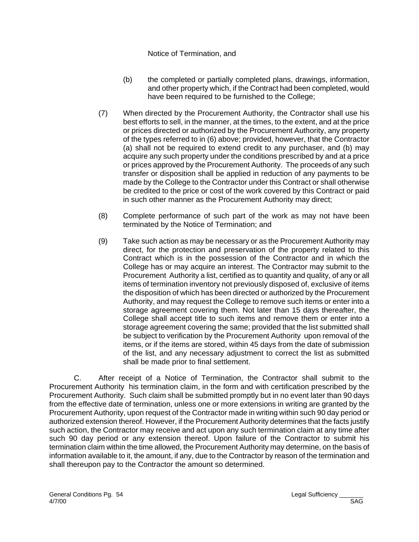#### Notice of Termination, and

- (b) the completed or partially completed plans, drawings, information, and other property which, if the Contract had been completed, would have been required to be furnished to the College;
- (7) When directed by the Procurement Authority, the Contractor shall use his best efforts to sell, in the manner, at the times, to the extent, and at the price or prices directed or authorized by the Procurement Authority, any property of the types referred to in (6) above; provided, however, that the Contractor (a) shall not be required to extend credit to any purchaser, and (b) may acquire any such property under the conditions prescribed by and at a price or prices approved by the Procurement Authority. The proceeds of any such transfer or disposition shall be applied in reduction of any payments to be made by the College to the Contractor under this Contract or shall otherwise be credited to the price or cost of the work covered by this Contract or paid in such other manner as the Procurement Authority may direct;
- (8) Complete performance of such part of the work as may not have been terminated by the Notice of Termination; and
- (9) Take such action as may be necessary or as the Procurement Authority may direct, for the protection and preservation of the property related to this Contract which is in the possession of the Contractor and in which the College has or may acquire an interest. The Contractor may submit to the Procurement Authority a list, certified as to quantity and quality, of any or all items of termination inventory not previously disposed of, exclusive of items the disposition of which has been directed or authorized by the Procurement Authority, and may request the College to remove such items or enter into a storage agreement covering them. Not later than 15 days thereafter, the College shall accept title to such items and remove them or enter into a storage agreement covering the same; provided that the list submitted shall be subject to verification by the Procurement Authority upon removal of the items, or if the items are stored, within 45 days from the date of submission of the list, and any necessary adjustment to correct the list as submitted shall be made prior to final settlement.

C. After receipt of a Notice of Termination, the Contractor shall submit to the Procurement Authority his termination claim, in the form and with certification prescribed by the Procurement Authority. Such claim shall be submitted promptly but in no event later than 90 days from the effective date of termination, unless one or more extensions in writing are granted by the Procurement Authority, upon request of the Contractor made in writing within such 90 day period or authorized extension thereof. However, if the Procurement Authority determines that the facts justify such action, the Contractor may receive and act upon any such termination claim at any time after such 90 day period or any extension thereof. Upon failure of the Contractor to submit his termination claim within the time allowed, the Procurement Authority may determine, on the basis of information available to it, the amount, if any, due to the Contractor by reason of the termination and shall thereupon pay to the Contractor the amount so determined.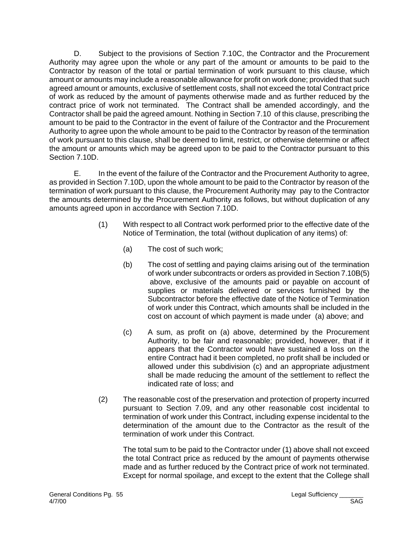D. Subject to the provisions of Section 7.10C, the Contractor and the Procurement Authority may agree upon the whole or any part of the amount or amounts to be paid to the Contractor by reason of the total or partial termination of work pursuant to this clause, which amount or amounts may include a reasonable allowance for profit on work done; provided that such agreed amount or amounts, exclusive of settlement costs, shall not exceed the total Contract price of work as reduced by the amount of payments otherwise made and as further reduced by the contract price of work not terminated. The Contract shall be amended accordingly, and the Contractor shall be paid the agreed amount. Nothing in Section 7.10 of this clause, prescribing the amount to be paid to the Contractor in the event of failure of the Contractor and the Procurement Authority to agree upon the whole amount to be paid to the Contractor by reason of the termination of work pursuant to this clause, shall be deemed to limit, restrict, or otherwise determine or affect the amount or amounts which may be agreed upon to be paid to the Contractor pursuant to this Section 7.10D.

E. In the event of the failure of the Contractor and the Procurement Authority to agree, as provided in Section 7.10D, upon the whole amount to be paid to the Contractor by reason of the termination of work pursuant to this clause, the Procurement Authority may pay to the Contractor the amounts determined by the Procurement Authority as follows, but without duplication of any amounts agreed upon in accordance with Section 7.10D.

- (1) With respect to all Contract work performed prior to the effective date of the Notice of Termination, the total (without duplication of any items) of:
	- (a) The cost of such work;
	- (b) The cost of settling and paying claims arising out of the termination of work under subcontracts or orders as provided in Section 7.10B(5) above, exclusive of the amounts paid or payable on account of supplies or materials delivered or services furnished by the Subcontractor before the effective date of the Notice of Termination of work under this Contract, which amounts shall be included in the cost on account of which payment is made under (a) above; and
	- (c) A sum, as profit on (a) above, determined by the Procurement Authority, to be fair and reasonable; provided, however, that if it appears that the Contractor would have sustained a loss on the entire Contract had it been completed, no profit shall be included or allowed under this subdivision (c) and an appropriate adjustment shall be made reducing the amount of the settlement to reflect the indicated rate of loss; and
- (2) The reasonable cost of the preservation and protection of property incurred pursuant to Section 7.09, and any other reasonable cost incidental to termination of work under this Contract, including expense incidental to the determination of the amount due to the Contractor as the result of the termination of work under this Contract.

The total sum to be paid to the Contractor under (1) above shall not exceed the total Contract price as reduced by the amount of payments otherwise made and as further reduced by the Contract price of work not terminated. Except for normal spoilage, and except to the extent that the College shall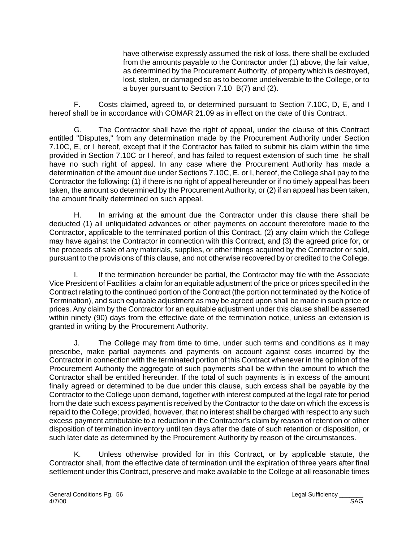have otherwise expressly assumed the risk of loss, there shall be excluded from the amounts payable to the Contractor under (1) above, the fair value, as determined by the Procurement Authority, of property which is destroyed, lost, stolen, or damaged so as to become undeliverable to the College, or to a buyer pursuant to Section 7.10 B(7) and (2).

F. Costs claimed, agreed to, or determined pursuant to Section 7.10C, D, E, and I hereof shall be in accordance with COMAR 21.09 as in effect on the date of this Contract.

G. The Contractor shall have the right of appeal, under the clause of this Contract entitled "Disputes," from any determination made by the Procurement Authority under Section 7.10C, E, or I hereof, except that if the Contractor has failed to submit his claim within the time provided in Section 7.10C or I hereof, and has failed to request extension of such time he shall have no such right of appeal. In any case where the Procurement Authority has made a determination of the amount due under Sections 7.10C, E, or I, hereof, the College shall pay to the Contractor the following: (1) if there is no right of appeal hereunder or if no timely appeal has been taken, the amount so determined by the Procurement Authority, or (2) if an appeal has been taken, the amount finally determined on such appeal.

H. In arriving at the amount due the Contractor under this clause there shall be deducted (1) all unliquidated advances or other payments on account theretofore made to the Contractor, applicable to the terminated portion of this Contract, (2) any claim which the College may have against the Contractor in connection with this Contract, and (3) the agreed price for, or the proceeds of sale of any materials, supplies, or other things acquired by the Contractor or sold, pursuant to the provisions of this clause, and not otherwise recovered by or credited to the College.

I. If the termination hereunder be partial, the Contractor may file with the Associate Vice President of Facilities a claim for an equitable adjustment of the price or prices specified in the Contract relating to the continued portion of the Contract (the portion not terminated by the Notice of Termination), and such equitable adjustment as may be agreed upon shall be made in such price or prices. Any claim by the Contractor for an equitable adjustment under this clause shall be asserted within ninety (90) days from the effective date of the termination notice, unless an extension is granted in writing by the Procurement Authority.

J. The College may from time to time, under such terms and conditions as it may prescribe, make partial payments and payments on account against costs incurred by the Contractor in connection with the terminated portion of this Contract whenever in the opinion of the Procurement Authority the aggregate of such payments shall be within the amount to which the Contractor shall be entitled hereunder. If the total of such payments is in excess of the amount finally agreed or determined to be due under this clause, such excess shall be payable by the Contractor to the College upon demand, together with interest computed at the legal rate for period from the date such excess payment is received by the Contractor to the date on which the excess is repaid to the College; provided, however, that no interest shall be charged with respect to any such excess payment attributable to a reduction in the Contractor's claim by reason of retention or other disposition of termination inventory until ten days after the date of such retention or disposition, or such later date as determined by the Procurement Authority by reason of the circumstances.

K. Unless otherwise provided for in this Contract, or by applicable statute, the Contractor shall, from the effective date of termination until the expiration of three years after final settlement under this Contract, preserve and make available to the College at all reasonable times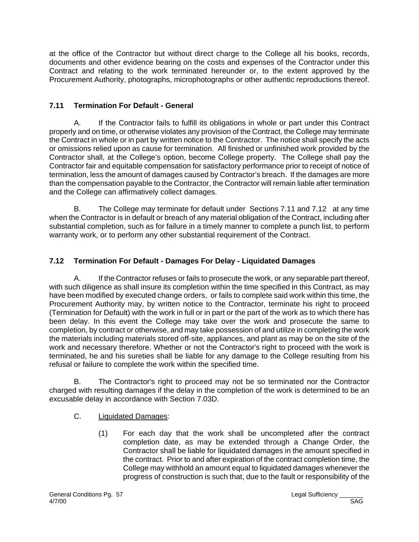at the office of the Contractor but without direct charge to the College all his books, records, documents and other evidence bearing on the costs and expenses of the Contractor under this Contract and relating to the work terminated hereunder or, to the extent approved by the Procurement Authority, photographs, microphotographs or other authentic reproductions thereof.

# **7.11 Termination For Default - General**

A. If the Contractor fails to fulfill its obligations in whole or part under this Contract properly and on time, or otherwise violates any provision of the Contract, the College may terminate the Contract in whole or in part by written notice to the Contractor. The notice shall specify the acts or omissions relied upon as cause for termination. All finished or unfinished work provided by the Contractor shall, at the College's option, become College property. The College shall pay the Contractor fair and equitable compensation for satisfactory performance prior to receipt of notice of termination, less the amount of damages caused by Contractor's breach. If the damages are more than the compensation payable to the Contractor, the Contractor will remain liable after termination and the College can affirmatively collect damages.

B. The College may terminate for default under Sections 7.11 and 7.12 at any time when the Contractor is in default or breach of any material obligation of the Contract, including after substantial completion, such as for failure in a timely manner to complete a punch list, to perform warranty work, or to perform any other substantial requirement of the Contract.

# **7.12 Termination For Default - Damages For Delay - Liquidated Damages**

A. If the Contractor refuses or fails to prosecute the work, or any separable part thereof, with such diligence as shall insure its completion within the time specified in this Contract, as may have been modified by executed change orders, or fails to complete said work within this time, the Procurement Authority may, by written notice to the Contractor, terminate his right to proceed (Termination for Default) with the work in full or in part or the part of the work as to which there has been delay. In this event the College may take over the work and prosecute the same to completion, by contract or otherwise, and may take possession of and utilize in completing the work the materials including materials stored off-site, appliances, and plant as may be on the site of the work and necessary therefore. Whether or not the Contractor's right to proceed with the work is terminated, he and his sureties shall be liable for any damage to the College resulting from his refusal or failure to complete the work within the specified time.

B. The Contractor's right to proceed may not be so terminated nor the Contractor charged with resulting damages if the delay in the completion of the work is determined to be an excusable delay in accordance with Section 7.03D.

- C. Liquidated Damages:
	- (1) For each day that the work shall be uncompleted after the contract completion date, as may be extended through a Change Order, the Contractor shall be liable for liquidated damages in the amount specified in the contract. Prior to and after expiration of the contract completion time, the College may withhold an amount equal to liquidated damages whenever the progress of construction is such that, due to the fault or responsibility of the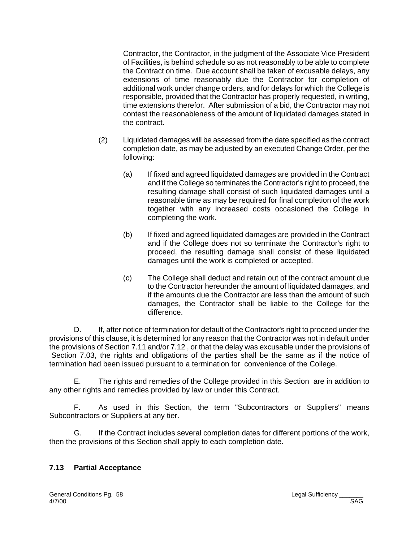Contractor, the Contractor, in the judgment of the Associate Vice President of Facilities, is behind schedule so as not reasonably to be able to complete the Contract on time. Due account shall be taken of excusable delays, any extensions of time reasonably due the Contractor for completion of additional work under change orders, and for delays for which the College is responsible, provided that the Contractor has properly requested, in writing, time extensions therefor. After submission of a bid, the Contractor may not contest the reasonableness of the amount of liquidated damages stated in the contract.

- (2) Liquidated damages will be assessed from the date specified as the contract completion date, as may be adjusted by an executed Change Order, per the following:
	- (a) If fixed and agreed liquidated damages are provided in the Contract and if the College so terminates the Contractor's right to proceed, the resulting damage shall consist of such liquidated damages until a reasonable time as may be required for final completion of the work together with any increased costs occasioned the College in completing the work.
	- (b) If fixed and agreed liquidated damages are provided in the Contract and if the College does not so terminate the Contractor's right to proceed, the resulting damage shall consist of these liquidated damages until the work is completed or accepted.
	- (c) The College shall deduct and retain out of the contract amount due to the Contractor hereunder the amount of liquidated damages, and if the amounts due the Contractor are less than the amount of such damages, the Contractor shall be liable to the College for the difference.

D. If, after notice of termination for default of the Contractor's right to proceed under the provisions of this clause, it is determined for any reason that the Contractor was not in default under the provisions of Section 7.11 and/or 7.12 , or that the delay was excusable under the provisions of Section 7.03, the rights and obligations of the parties shall be the same as if the notice of termination had been issued pursuant to a termination for convenience of the College.

E. The rights and remedies of the College provided in this Section are in addition to any other rights and remedies provided by law or under this Contract.

 F. As used in this Section, the term "Subcontractors or Suppliers" means Subcontractors or Suppliers at any tier.

G. If the Contract includes several completion dates for different portions of the work, then the provisions of this Section shall apply to each completion date.

### **7.13 Partial Acceptance**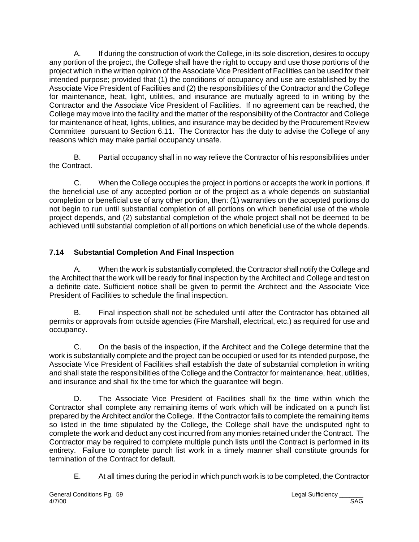A. If during the construction of work the College, in its sole discretion, desires to occupy any portion of the project, the College shall have the right to occupy and use those portions of the project which in the written opinion of the Associate Vice President of Facilities can be used for their intended purpose; provided that (1) the conditions of occupancy and use are established by the Associate Vice President of Facilities and (2) the responsibilities of the Contractor and the College for maintenance, heat, light, utilities, and insurance are mutually agreed to in writing by the Contractor and the Associate Vice President of Facilities. If no agreement can be reached, the College may move into the facility and the matter of the responsibility of the Contractor and College for maintenance of heat, lights, utilities, and insurance may be decided by the Procurement Review Committee pursuant to Section 6.11. The Contractor has the duty to advise the College of any reasons which may make partial occupancy unsafe.

B. Partial occupancy shall in no way relieve the Contractor of his responsibilities under the Contract.

C. When the College occupies the project in portions or accepts the work in portions, if the beneficial use of any accepted portion or of the project as a whole depends on substantial completion or beneficial use of any other portion, then: (1) warranties on the accepted portions do not begin to run until substantial completion of all portions on which beneficial use of the whole project depends, and (2) substantial completion of the whole project shall not be deemed to be achieved until substantial completion of all portions on which beneficial use of the whole depends.

# **7.14 Substantial Completion And Final Inspection**

A. When the work is substantially completed, the Contractor shall notify the College and the Architect that the work will be ready for final inspection by the Architect and College and test on a definite date. Sufficient notice shall be given to permit the Architect and the Associate Vice President of Facilities to schedule the final inspection.

B. Final inspection shall not be scheduled until after the Contractor has obtained all permits or approvals from outside agencies (Fire Marshall, electrical, etc.) as required for use and occupancy.

C. On the basis of the inspection, if the Architect and the College determine that the work is substantially complete and the project can be occupied or used for its intended purpose, the Associate Vice President of Facilities shall establish the date of substantial completion in writing and shall state the responsibilities of the College and the Contractor for maintenance, heat, utilities, and insurance and shall fix the time for which the guarantee will begin.

D. The Associate Vice President of Facilities shall fix the time within which the Contractor shall complete any remaining items of work which will be indicated on a punch list prepared by the Architect and/or the College. If the Contractor fails to complete the remaining items so listed in the time stipulated by the College, the College shall have the undisputed right to complete the work and deduct any cost incurred from any monies retained under the Contract. The Contractor may be required to complete multiple punch lists until the Contract is performed in its entirety. Failure to complete punch list work in a timely manner shall constitute grounds for termination of the Contract for default.

E. At all times during the period in which punch work is to be completed, the Contractor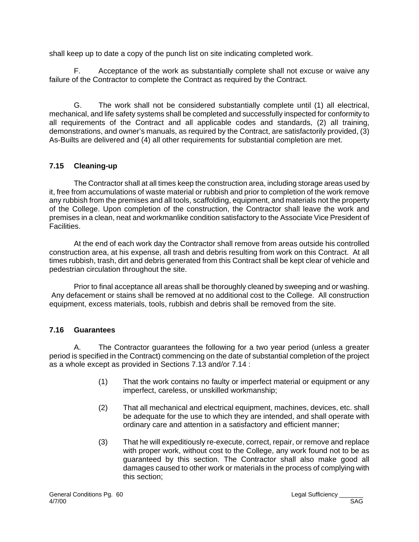shall keep up to date a copy of the punch list on site indicating completed work.

F. Acceptance of the work as substantially complete shall not excuse or waive any failure of the Contractor to complete the Contract as required by the Contract.

G. The work shall not be considered substantially complete until (1) all electrical, mechanical, and life safety systems shall be completed and successfully inspected for conformity to all requirements of the Contract and all applicable codes and standards, (2) all training, demonstrations, and owner's manuals, as required by the Contract, are satisfactorily provided, (3) As-Builts are delivered and (4) all other requirements for substantial completion are met.

# **7.15 Cleaning-up**

The Contractor shall at all times keep the construction area, including storage areas used by it, free from accumulations of waste material or rubbish and prior to completion of the work remove any rubbish from the premises and all tools, scaffolding, equipment, and materials not the property of the College. Upon completion of the construction, the Contractor shall leave the work and premises in a clean, neat and workmanlike condition satisfactory to the Associate Vice President of Facilities.

At the end of each work day the Contractor shall remove from areas outside his controlled construction area, at his expense, all trash and debris resulting from work on this Contract. At all times rubbish, trash, dirt and debris generated from this Contract shall be kept clear of vehicle and pedestrian circulation throughout the site.

 Prior to final acceptance all areas shall be thoroughly cleaned by sweeping and or washing. Any defacement or stains shall be removed at no additional cost to the College. All construction equipment, excess materials, tools, rubbish and debris shall be removed from the site.

### **7.16 Guarantees**

A. The Contractor guarantees the following for a two year period (unless a greater period is specified in the Contract) commencing on the date of substantial completion of the project as a whole except as provided in Sections 7.13 and/or 7.14 :

- (1) That the work contains no faulty or imperfect material or equipment or any imperfect, careless, or unskilled workmanship;
- (2) That all mechanical and electrical equipment, machines, devices, etc. shall be adequate for the use to which they are intended, and shall operate with ordinary care and attention in a satisfactory and efficient manner;
- (3) That he will expeditiously re-execute, correct, repair, or remove and replace with proper work, without cost to the College, any work found not to be as guaranteed by this section. The Contractor shall also make good all damages caused to other work or materials in the process of complying with this section;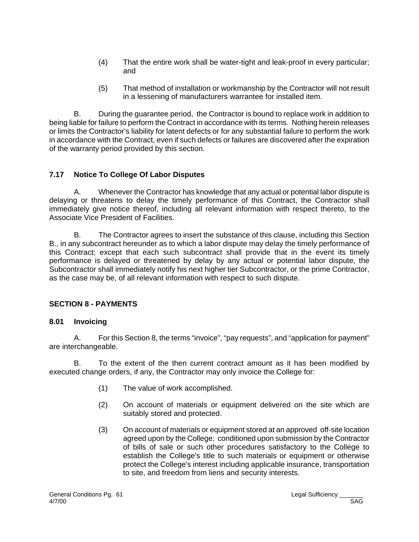- (4) That the entire work shall be water-tight and leak-proof in every particular; and
- (5) That method of installation or workmanship by the Contractor will not result in a lessening of manufacturers warrantee for installed item.

B. During the guarantee period, the Contractor is bound to replace work in addition to being liable for failure to perform the Contract in accordance with its terms. Nothing herein releases or limits the Contractor's liability for latent defects or for any substantial failure to perform the work in accordance with the Contract, even if such defects or failures are discovered after the expiration of the warranty period provided by this section.

### **7.17 Notice To College Of Labor Disputes**

A. Whenever the Contractor has knowledge that any actual or potential labor dispute is delaying or threatens to delay the timely performance of this Contract, the Contractor shall immediately give notice thereof, including all relevant information with respect thereto, to the Associate Vice President of Facilities.

B. The Contractor agrees to insert the substance of this clause, including this Section B., in any subcontract hereunder as to which a labor dispute may delay the timely performance of this Contract; except that each such subcontract shall provide that in the event its timely performance is delayed or threatened by delay by any actual or potential labor dispute, the Subcontractor shall immediately notify his next higher tier Subcontractor, or the prime Contractor, as the case may be, of all relevant information with respect to such dispute.

### **SECTION 8 - PAYMENTS**

### **8.01 Invoicing**

A. For this Section 8, the terms "invoice", "pay requests", and "application for payment" are interchangeable.

B. To the extent of the then current contract amount as it has been modified by executed change orders, if any, the Contractor may only invoice the College for:

- (1) The value of work accomplished.
- (2) On account of materials or equipment delivered on the site which are suitably stored and protected.
- (3) On account of materials or equipment stored at an approved off-site location agreed upon by the College; conditioned upon submission by the Contractor of bills of sale or such other procedures satisfactory to the College to establish the College's title to such materials or equipment or otherwise protect the College's interest including applicable insurance, transportation to site, and freedom from liens and security interests.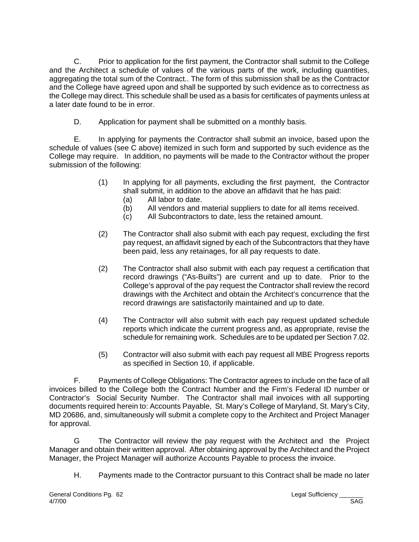C. Prior to application for the first payment, the Contractor shall submit to the College and the Architect a schedule of values of the various parts of the work, including quantities, aggregating the total sum of the Contract.. The form of this submission shall be as the Contractor and the College have agreed upon and shall be supported by such evidence as to correctness as the College may direct. This schedule shall be used as a basis for certificates of payments unless at a later date found to be in error.

D. Application for payment shall be submitted on a monthly basis.

E. In applying for payments the Contractor shall submit an invoice, based upon the schedule of values (see C above) itemized in such form and supported by such evidence as the College may require. In addition, no payments will be made to the Contractor without the proper submission of the following:

- (1) In applying for all payments, excluding the first payment, the Contractor shall submit, in addition to the above an affidavit that he has paid:
	- (a) All labor to date.
	- (b) All vendors and material suppliers to date for all items received.
	- (c) All Subcontractors to date, less the retained amount.
- (2) The Contractor shall also submit with each pay request, excluding the first pay request, an affidavit signed by each of the Subcontractors that they have been paid, less any retainages, for all pay requests to date.
- (2) The Contractor shall also submit with each pay request a certification that record drawings ("As-Builts") are current and up to date. Prior to the College's approval of the pay request the Contractor shall review the record drawings with the Architect and obtain the Architect's concurrence that the record drawings are satisfactorily maintained and up to date.
- (4) The Contractor will also submit with each pay request updated schedule reports which indicate the current progress and, as appropriate, revise the schedule for remaining work. Schedules are to be updated per Section 7.02.
- (5) Contractor will also submit with each pay request all MBE Progress reports as specified in Section 10, if applicable.

F. Payments of College Obligations: The Contractor agrees to include on the face of all invoices billed to the College both the Contract Number and the Firm's Federal ID number or Contractor's Social Security Number. The Contractor shall mail invoices with all supporting documents required herein to: Accounts Payable, St. Mary's College of Maryland, St. Mary's City, MD 20686, and, simultaneously will submit a complete copy to the Architect and Project Manager for approval.

G The Contractor will review the pay request with the Architect and the Project Manager and obtain their written approval. After obtaining approval by the Architect and the Project Manager, the Project Manager will authorize Accounts Payable to process the invoice.

H. Payments made to the Contractor pursuant to this Contract shall be made no later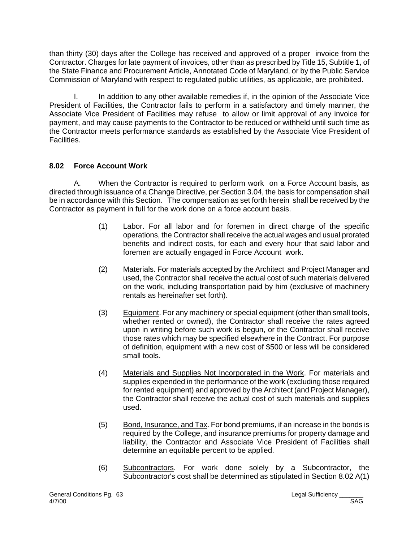than thirty (30) days after the College has received and approved of a proper invoice from the Contractor. Charges for late payment of invoices, other than as prescribed by Title 15, Subtitle 1, of the State Finance and Procurement Article, Annotated Code of Maryland, or by the Public Service Commission of Maryland with respect to regulated public utilities, as applicable, are prohibited.

I. In addition to any other available remedies if, in the opinion of the Associate Vice President of Facilities, the Contractor fails to perform in a satisfactory and timely manner, the Associate Vice President of Facilities may refuse to allow or limit approval of any invoice for payment, and may cause payments to the Contractor to be reduced or withheld until such time as the Contractor meets performance standards as established by the Associate Vice President of Facilities.

# **8.02 Force Account Work**

A. When the Contractor is required to perform work on a Force Account basis, as directed through issuance of a Change Directive, per Section 3.04, the basis for compensation shall be in accordance with this Section. The compensation as set forth herein shall be received by the Contractor as payment in full for the work done on a force account basis.

- (1) Labor. For all labor and for foremen in direct charge of the specific operations, the Contractor shall receive the actual wages and usual prorated benefits and indirect costs, for each and every hour that said labor and foremen are actually engaged in Force Account work.
- (2) Materials. For materials accepted by the Architect and Project Manager and used, the Contractor shall receive the actual cost of such materials delivered on the work, including transportation paid by him (exclusive of machinery rentals as hereinafter set forth).
- (3) Equipment. For any machinery or special equipment (other than small tools, whether rented or owned), the Contractor shall receive the rates agreed upon in writing before such work is begun, or the Contractor shall receive those rates which may be specified elsewhere in the Contract. For purpose of definition, equipment with a new cost of \$500 or less will be considered small tools.
- (4) Materials and Supplies Not Incorporated in the Work. For materials and supplies expended in the performance of the work (excluding those required for rented equipment) and approved by the Architect (and Project Manager), the Contractor shall receive the actual cost of such materials and supplies used.
- (5) Bond, Insurance, and Tax. For bond premiums, if an increase in the bonds is required by the College, and insurance premiums for property damage and liability, the Contractor and Associate Vice President of Facilities shall determine an equitable percent to be applied.
- (6) Subcontractors. For work done solely by a Subcontractor, the Subcontractor's cost shall be determined as stipulated in Section 8.02 A(1)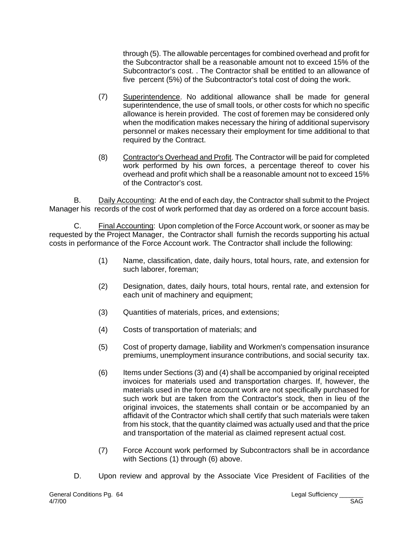through (5). The allowable percentages for combined overhead and profit for the Subcontractor shall be a reasonable amount not to exceed 15% of the Subcontractor's cost. . The Contractor shall be entitled to an allowance of five percent (5%) of the Subcontractor's total cost of doing the work.

- (7) Superintendence. No additional allowance shall be made for general superintendence, the use of small tools, or other costs for which no specific allowance is herein provided. The cost of foremen may be considered only when the modification makes necessary the hiring of additional supervisory personnel or makes necessary their employment for time additional to that required by the Contract.
- (8) Contractor's Overhead and Profit. The Contractor will be paid for completed work performed by his own forces, a percentage thereof to cover his overhead and profit which shall be a reasonable amount not to exceed 15% of the Contractor's cost.

B. Daily Accounting: At the end of each day, the Contractor shall submit to the Project Manager his records of the cost of work performed that day as ordered on a force account basis.

C. Final Accounting: Upon completion of the Force Account work, or sooner as may be requested by the Project Manager, the Contractor shall furnish the records supporting his actual costs in performance of the Force Account work. The Contractor shall include the following:

- (1) Name, classification, date, daily hours, total hours, rate, and extension for such laborer, foreman;
- (2) Designation, dates, daily hours, total hours, rental rate, and extension for each unit of machinery and equipment;
- (3) Quantities of materials, prices, and extensions;
- (4) Costs of transportation of materials; and
- (5) Cost of property damage, liability and Workmen's compensation insurance premiums, unemployment insurance contributions, and social security tax.
- (6) Items under Sections (3) and (4) shall be accompanied by original receipted invoices for materials used and transportation charges. If, however, the materials used in the force account work are not specifically purchased for such work but are taken from the Contractor's stock, then in lieu of the original invoices, the statements shall contain or be accompanied by an affidavit of the Contractor which shall certify that such materials were taken from his stock, that the quantity claimed was actually used and that the price and transportation of the material as claimed represent actual cost.
- (7) Force Account work performed by Subcontractors shall be in accordance with Sections (1) through (6) above.
- D. Upon review and approval by the Associate Vice President of Facilities of the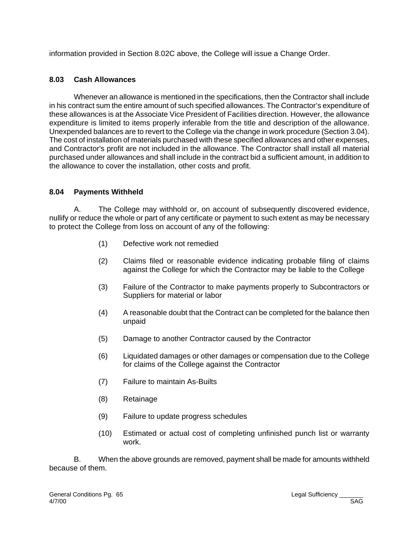information provided in Section 8.02C above, the College will issue a Change Order.

### **8.03 Cash Allowances**

Whenever an allowance is mentioned in the specifications, then the Contractor shall include in his contract sum the entire amount of such specified allowances. The Contractor's expenditure of these allowances is at the Associate Vice President of Facilities direction. However, the allowance expenditure is limited to items properly inferable from the title and description of the allowance. Unexpended balances are to revert to the College via the change in work procedure (Section 3.04). The cost of installation of materials purchased with these specified allowances and other expenses, and Contractor's profit are not included in the allowance. The Contractor shall install all material purchased under allowances and shall include in the contract bid a sufficient amount, in addition to the allowance to cover the installation, other costs and profit.

### **8.04 Payments Withheld**

A. The College may withhold or, on account of subsequently discovered evidence, nullify or reduce the whole or part of any certificate or payment to such extent as may be necessary to protect the College from loss on account of any of the following:

- (1) Defective work not remedied
- (2) Claims filed or reasonable evidence indicating probable filing of claims against the College for which the Contractor may be liable to the College
- (3) Failure of the Contractor to make payments properly to Subcontractors or Suppliers for material or labor
- (4) A reasonable doubt that the Contract can be completed for the balance then unpaid
- (5) Damage to another Contractor caused by the Contractor
- (6) Liquidated damages or other damages or compensation due to the College for claims of the College against the Contractor
- (7) Failure to maintain As-Builts
- (8) Retainage
- (9) Failure to update progress schedules
- (10) Estimated or actual cost of completing unfinished punch list or warranty work.

B. When the above grounds are removed, payment shall be made for amounts withheld because of them.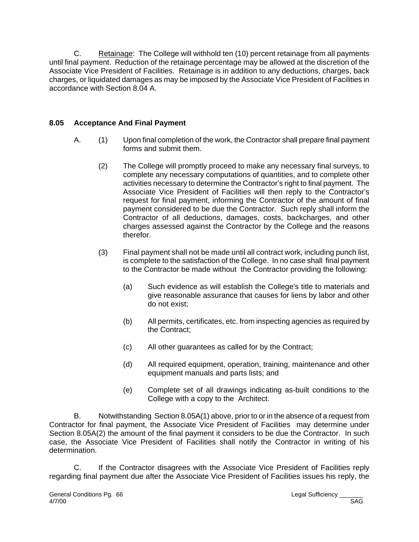C. Retainage: The College will withhold ten (10) percent retainage from all payments until final payment. Reduction of the retainage percentage may be allowed at the discretion of the Associate Vice President of Facilities. Retainage is in addition to any deductions, charges, back charges, or liquidated damages as may be imposed by the Associate Vice President of Facilities in accordance with Section 8.04 A.

### **8.05 Acceptance And Final Payment**

- A. (1) Upon final completion of the work, the Contractor shall prepare final payment forms and submit them.
	- (2) The College will promptly proceed to make any necessary final surveys, to complete any necessary computations of quantities, and to complete other activities necessary to determine the Contractor's right to final payment. The Associate Vice President of Facilities will then reply to the Contractor's request for final payment, informing the Contractor of the amount of final payment considered to be due the Contractor. Such reply shall inform the Contractor of all deductions, damages, costs, backcharges, and other charges assessed against the Contractor by the College and the reasons therefor.
	- (3) Final payment shall not be made until all contract work, including punch list, is complete to the satisfaction of the College. In no case shall final payment to the Contractor be made without the Contractor providing the following:
		- (a) Such evidence as will establish the College's title to materials and give reasonable assurance that causes for liens by labor and other do not exist;
		- (b) All permits, certificates, etc. from inspecting agencies as required by the Contract;
		- (c) All other guarantees as called for by the Contract;
		- (d) All required equipment, operation, training, maintenance and other equipment manuals and parts lists; and
		- (e) Complete set of all drawings indicating as-built conditions to the College with a copy to the Architect.

B. Notwithstanding Section 8.05A(1) above, prior to or in the absence of a request from Contractor for final payment, the Associate Vice President of Facilities may determine under Section 8.05A(2) the amount of the final payment it considers to be due the Contractor. In such case, the Associate Vice President of Facilities shall notify the Contractor in writing of his determination.

C. If the Contractor disagrees with the Associate Vice President of Facilities reply regarding final payment due after the Associate Vice President of Facilities issues his reply, the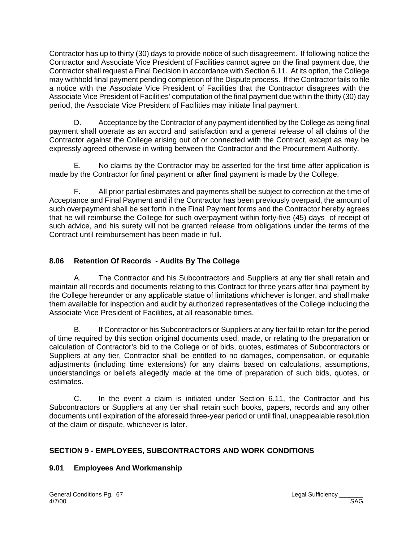Contractor has up to thirty (30) days to provide notice of such disagreement. If following notice the Contractor and Associate Vice President of Facilities cannot agree on the final payment due, the Contractor shall request a Final Decision in accordance with Section 6.11. At its option, the College may withhold final payment pending completion of the Dispute process. If the Contractor fails to file a notice with the Associate Vice President of Facilities that the Contractor disagrees with the Associate Vice President of Facilities' computation of the final payment due within the thirty (30) day period, the Associate Vice President of Facilities may initiate final payment.

D. Acceptance by the Contractor of any payment identified by the College as being final payment shall operate as an accord and satisfaction and a general release of all claims of the Contractor against the College arising out of or connected with the Contract, except as may be expressly agreed otherwise in writing between the Contractor and the Procurement Authority.

E. No claims by the Contractor may be asserted for the first time after application is made by the Contractor for final payment or after final payment is made by the College.

F. All prior partial estimates and payments shall be subject to correction at the time of Acceptance and Final Payment and if the Contractor has been previously overpaid, the amount of such overpayment shall be set forth in the Final Payment forms and the Contractor hereby agrees that he will reimburse the College for such overpayment within forty-five (45) days of receipt of such advice, and his surety will not be granted release from obligations under the terms of the Contract until reimbursement has been made in full.

### **8.06 Retention Of Records - Audits By The College**

A. The Contractor and his Subcontractors and Suppliers at any tier shall retain and maintain all records and documents relating to this Contract for three years after final payment by the College hereunder or any applicable statue of limitations whichever is longer, and shall make them available for inspection and audit by authorized representatives of the College including the Associate Vice President of Facilities, at all reasonable times.

B. If Contractor or his Subcontractors or Suppliers at any tier fail to retain for the period of time required by this section original documents used, made, or relating to the preparation or calculation of Contractor's bid to the College or of bids, quotes, estimates of Subcontractors or Suppliers at any tier, Contractor shall be entitled to no damages, compensation, or equitable adjustments (including time extensions) for any claims based on calculations, assumptions, understandings or beliefs allegedly made at the time of preparation of such bids, quotes, or estimates.

C. In the event a claim is initiated under Section 6.11, the Contractor and his Subcontractors or Suppliers at any tier shall retain such books, papers, records and any other documents until expiration of the aforesaid three-year period or until final, unappealable resolution of the claim or dispute, whichever is later.

### **SECTION 9 - EMPLOYEES, SUBCONTRACTORS AND WORK CONDITIONS**

### **9.01 Employees And Workmanship**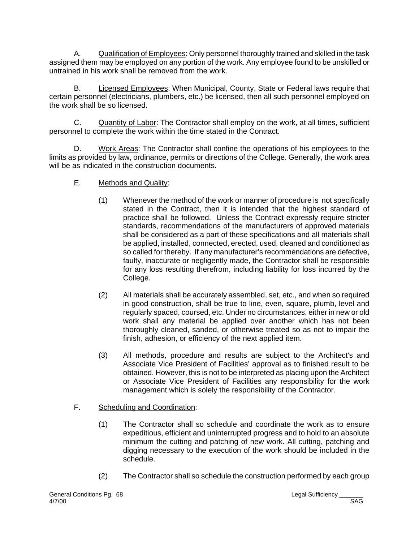A. **Qualification of Employees: Only personnel thoroughly trained and skilled in the task** assigned them may be employed on any portion of the work. Any employee found to be unskilled or untrained in his work shall be removed from the work.

B. Licensed Employees: When Municipal, County, State or Federal laws require that certain personnel (electricians, plumbers, etc.) be licensed, then all such personnel employed on the work shall be so licensed.

C. Quantity of Labor: The Contractor shall employ on the work, at all times, sufficient personnel to complete the work within the time stated in the Contract.

D. Work Areas: The Contractor shall confine the operations of his employees to the limits as provided by law, ordinance, permits or directions of the College. Generally, the work area will be as indicated in the construction documents.

- E. Methods and Quality:
	- (1) Whenever the method of the work or manner of procedure is not specifically stated in the Contract, then it is intended that the highest standard of practice shall be followed. Unless the Contract expressly require stricter standards, recommendations of the manufacturers of approved materials shall be considered as a part of these specifications and all materials shall be applied, installed, connected, erected, used, cleaned and conditioned as so called for thereby. If any manufacturer's recommendations are defective, faulty, inaccurate or negligently made, the Contractor shall be responsible for any loss resulting therefrom, including liability for loss incurred by the College.
	- (2) All materials shall be accurately assembled, set, etc., and when so required in good construction, shall be true to line, even, square, plumb, level and regularly spaced, coursed, etc. Under no circumstances, either in new or old work shall any material be applied over another which has not been thoroughly cleaned, sanded, or otherwise treated so as not to impair the finish, adhesion, or efficiency of the next applied item.
	- (3) All methods, procedure and results are subject to the Architect's and Associate Vice President of Facilities' approval as to finished result to be obtained. However, this is not to be interpreted as placing upon the Architect or Associate Vice President of Facilities any responsibility for the work management which is solely the responsibility of the Contractor.
- F. Scheduling and Coordination:
	- (1) The Contractor shall so schedule and coordinate the work as to ensure expeditious, efficient and uninterrupted progress and to hold to an absolute minimum the cutting and patching of new work. All cutting, patching and digging necessary to the execution of the work should be included in the schedule.
	- (2) The Contractor shall so schedule the construction performed by each group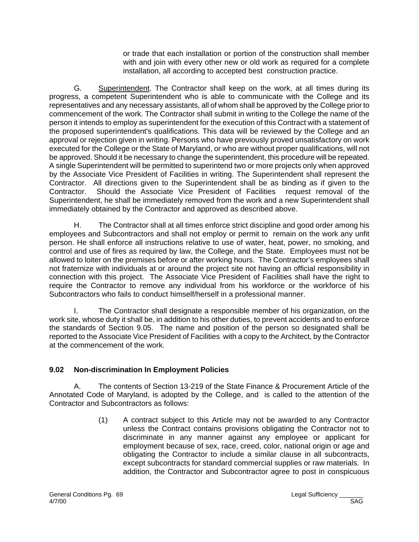or trade that each installation or portion of the construction shall member with and join with every other new or old work as required for a complete installation, all according to accepted best construction practice.

G. Superintendent. The Contractor shall keep on the work, at all times during its progress, a competent Superintendent who is able to communicate with the College and its representatives and any necessary assistants, all of whom shall be approved by the College prior to commencement of the work. The Contractor shall submit in writing to the College the name of the person it intends to employ as superintendent for the execution of this Contract with a statement of the proposed superintendent's qualifications. This data will be reviewed by the College and an approval or rejection given in writing. Persons who have previously proved unsatisfactory on work executed for the College or the State of Maryland, or who are without proper qualifications, will not be approved. Should it be necessary to change the superintendent, this procedure will be repeated. A single Superintendent will be permitted to superintend two or more projects only when approved by the Associate Vice President of Facilities in writing. The Superintendent shall represent the Contractor. All directions given to the Superintendent shall be as binding as if given to the Contractor. Should the Associate Vice President of Facilities request removal of the Superintendent, he shall be immediately removed from the work and a new Superintendent shall immediately obtained by the Contractor and approved as described above.

H. The Contractor shall at all times enforce strict discipline and good order among his employees and Subcontractors and shall not employ or permit to remain on the work any unfit person. He shall enforce all instructions relative to use of water, heat, power, no smoking, and control and use of fires as required by law, the College, and the State. Employees must not be allowed to loiter on the premises before or after working hours. The Contractor's employees shall not fraternize with individuals at or around the project site not having an official responsibility in connection with this project. The Associate Vice President of Facilities shall have the right to require the Contractor to remove any individual from his workforce or the workforce of his Subcontractors who fails to conduct himself/herself in a professional manner.

I. The Contractor shall designate a responsible member of his organization, on the work site, whose duty it shall be, in addition to his other duties, to prevent accidents and to enforce the standards of Section 9.05. The name and position of the person so designated shall be reported to the Associate Vice President of Facilities with a copy to the Architect, by the Contractor at the commencement of the work.

### **9.02 Non-discrimination In Employment Policies**

A. The contents of Section 13-219 of the State Finance & Procurement Article of the Annotated Code of Maryland, is adopted by the College, and is called to the attention of the Contractor and Subcontractors as follows:

> (1) A contract subject to this Article may not be awarded to any Contractor unless the Contract contains provisions obligating the Contractor not to discriminate in any manner against any employee or applicant for employment because of sex, race, creed, color, national origin or age and obligating the Contractor to include a similar clause in all subcontracts, except subcontracts for standard commercial supplies or raw materials. In addition, the Contractor and Subcontractor agree to post in conspicuous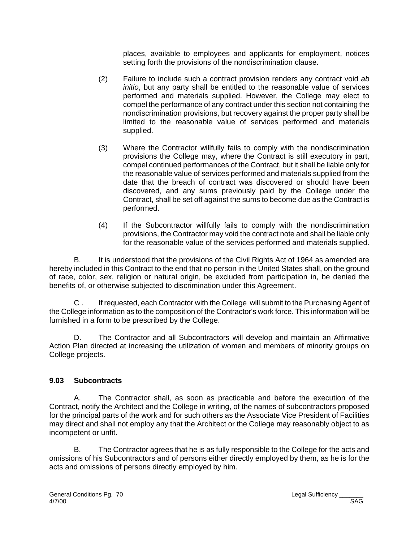places, available to employees and applicants for employment, notices setting forth the provisions of the nondiscrimination clause.

- (2) Failure to include such a contract provision renders any contract void *ab initio*, but any party shall be entitled to the reasonable value of services performed and materials supplied. However, the College may elect to compel the performance of any contract under this section not containing the nondiscrimination provisions, but recovery against the proper party shall be limited to the reasonable value of services performed and materials supplied.
- (3) Where the Contractor willfully fails to comply with the nondiscrimination provisions the College may, where the Contract is still executory in part, compel continued performances of the Contract, but it shall be liable only for the reasonable value of services performed and materials supplied from the date that the breach of contract was discovered or should have been discovered, and any sums previously paid by the College under the Contract, shall be set off against the sums to become due as the Contract is performed.
- (4) If the Subcontractor willfully fails to comply with the nondiscrimination provisions, the Contractor may void the contract note and shall be liable only for the reasonable value of the services performed and materials supplied.

B. It is understood that the provisions of the Civil Rights Act of 1964 as amended are hereby included in this Contract to the end that no person in the United States shall, on the ground of race, color, sex, religion or natural origin, be excluded from participation in, be denied the benefits of, or otherwise subjected to discrimination under this Agreement.

C . If requested, each Contractor with the College will submit to the Purchasing Agent of the College information as to the composition of the Contractor's work force. This information will be furnished in a form to be prescribed by the College.

D. The Contractor and all Subcontractors will develop and maintain an Affirmative Action Plan directed at increasing the utilization of women and members of minority groups on College projects.

### **9.03 Subcontracts**

A. The Contractor shall, as soon as practicable and before the execution of the Contract, notify the Architect and the College in writing, of the names of subcontractors proposed for the principal parts of the work and for such others as the Associate Vice President of Facilities may direct and shall not employ any that the Architect or the College may reasonably object to as incompetent or unfit.

B. The Contractor agrees that he is as fully responsible to the College for the acts and omissions of his Subcontractors and of persons either directly employed by them, as he is for the acts and omissions of persons directly employed by him.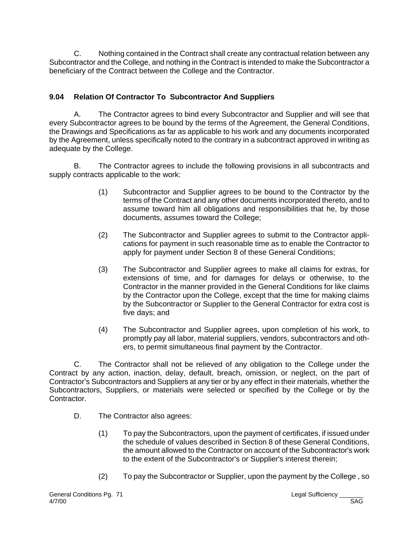C. Nothing contained in the Contract shall create any contractual relation between any Subcontractor and the College, and nothing in the Contract is intended to make the Subcontractor a beneficiary of the Contract between the College and the Contractor.

### **9.04 Relation Of Contractor To Subcontractor And Suppliers**

A. The Contractor agrees to bind every Subcontractor and Supplier and will see that every Subcontractor agrees to be bound by the terms of the Agreement, the General Conditions, the Drawings and Specifications as far as applicable to his work and any documents incorporated by the Agreement, unless specifically noted to the contrary in a subcontract approved in writing as adequate by the College.

B. The Contractor agrees to include the following provisions in all subcontracts and supply contracts applicable to the work:

- (1) Subcontractor and Supplier agrees to be bound to the Contractor by the terms of the Contract and any other documents incorporated thereto, and to assume toward him all obligations and responsibilities that he, by those documents, assumes toward the College;
- (2) The Subcontractor and Supplier agrees to submit to the Contractor applications for payment in such reasonable time as to enable the Contractor to apply for payment under Section 8 of these General Conditions;
- (3) The Subcontractor and Supplier agrees to make all claims for extras, for extensions of time, and for damages for delays or otherwise, to the Contractor in the manner provided in the General Conditions for like claims by the Contractor upon the College, except that the time for making claims by the Subcontractor or Supplier to the General Contractor for extra cost is five days; and
- (4) The Subcontractor and Supplier agrees, upon completion of his work, to promptly pay all labor, material suppliers, vendors, subcontractors and others, to permit simultaneous final payment by the Contractor.

C. The Contractor shall not be relieved of any obligation to the College under the Contract by any action, inaction, delay, default, breach, omission, or neglect, on the part of Contractor's Subcontractors and Suppliers at any tier or by any effect in their materials, whether the Subcontractors, Suppliers, or materials were selected or specified by the College or by the Contractor.

- D. The Contractor also agrees:
	- (1) To pay the Subcontractors, upon the payment of certificates, if issued under the schedule of values described in Section 8 of these General Conditions, the amount allowed to the Contractor on account of the Subcontractor's work to the extent of the Subcontractor's or Supplier's interest therein;
	- (2) To pay the Subcontractor or Supplier, upon the payment by the College , so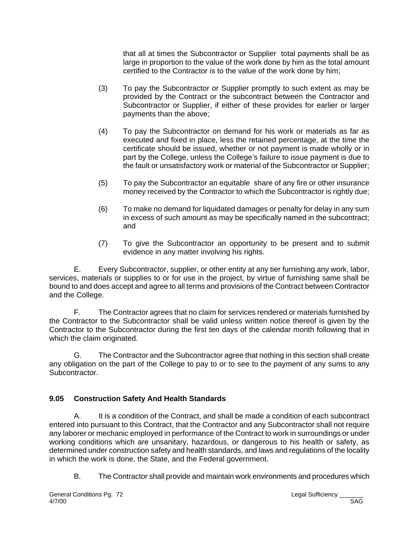that all at times the Subcontractor or Supplier total payments shall be as large in proportion to the value of the work done by him as the total amount certified to the Contractor is to the value of the work done by him;

- (3) To pay the Subcontractor or Supplier promptly to such extent as may be provided by the Contract or the subcontract between the Contractor and Subcontractor or Supplier, if either of these provides for earlier or larger payments than the above;
- (4) To pay the Subcontractor on demand for his work or materials as far as executed and fixed in place, less the retained percentage, at the time the certificate should be issued, whether or not payment is made wholly or in part by the College, unless the College's failure to issue payment is due to the fault or unsatisfactory work or material of the Subcontractor or Supplier;
- (5) To pay the Subcontractor an equitable share of any fire or other insurance money received by the Contractor to which the Subcontractor is rightly due;
- (6) To make no demand for liquidated damages or penalty for delay in any sum in excess of such amount as may be specifically named in the subcontract; and
- (7) To give the Subcontractor an opportunity to be present and to submit evidence in any matter involving his rights.

E. Every Subcontractor, supplier, or other entity at any tier furnishing any work, labor, services, materials or supplies to or for use in the project, by virtue of furnishing same shall be bound to and does accept and agree to all terms and provisions of the Contract between Contractor and the College.

F. The Contractor agrees that no claim for services rendered or materials furnished by the Contractor to the Subcontractor shall be valid unless written notice thereof is given by the Contractor to the Subcontractor during the first ten days of the calendar month following that in which the claim originated.

G. The Contractor and the Subcontractor agree that nothing in this section shall create any obligation on the part of the College to pay to or to see to the payment of any sums to any Subcontractor.

# **9.05 Construction Safety And Health Standards**

A. It is a condition of the Contract, and shall be made a condition of each subcontract entered into pursuant to this Contract, that the Contractor and any Subcontractor shall not require any laborer or mechanic employed in performance of the Contract to work in surroundings or under working conditions which are unsanitary, hazardous, or dangerous to his health or safety, as determined under construction safety and health standards, and laws and regulations of the locality in which the work is done, the State, and the Federal government.

B. The Contractor shall provide and maintain work environments and procedures which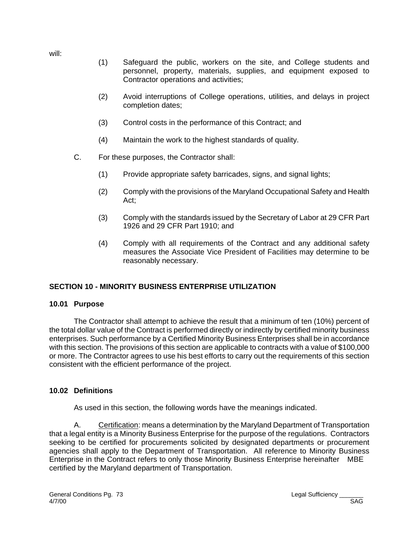will:

- (1) Safeguard the public, workers on the site, and College students and personnel, property, materials, supplies, and equipment exposed to Contractor operations and activities;
- (2) Avoid interruptions of College operations, utilities, and delays in project completion dates;
- (3) Control costs in the performance of this Contract; and
- (4) Maintain the work to the highest standards of quality.
- C. For these purposes, the Contractor shall:
	- (1) Provide appropriate safety barricades, signs, and signal lights;
	- (2) Comply with the provisions of the Maryland Occupational Safety and Health Act;
	- (3) Comply with the standards issued by the Secretary of Labor at 29 CFR Part 1926 and 29 CFR Part 1910; and
	- (4) Comply with all requirements of the Contract and any additional safety measures the Associate Vice President of Facilities may determine to be reasonably necessary.

# **SECTION 10 - MINORITY BUSINESS ENTERPRISE UTILIZATION**

## **10.01 Purpose**

The Contractor shall attempt to achieve the result that a minimum of ten (10%) percent of the total dollar value of the Contract is performed directly or indirectly by certified minority business enterprises. Such performance by a Certified Minority Business Enterprises shall be in accordance with this section. The provisions of this section are applicable to contracts with a value of \$100,000 or more. The Contractor agrees to use his best efforts to carry out the requirements of this section consistent with the efficient performance of the project.

## **10.02 Definitions**

As used in this section, the following words have the meanings indicated.

A. Certification: means a determination by the Maryland Department of Transportation that a legal entity is a Minority Business Enterprise for the purpose of the regulations. Contractors seeking to be certified for procurements solicited by designated departments or procurement agencies shall apply to the Department of Transportation. All reference to Minority Business Enterprise in the Contract refers to only those Minority Business Enterprise hereinafter MBE certified by the Maryland department of Transportation.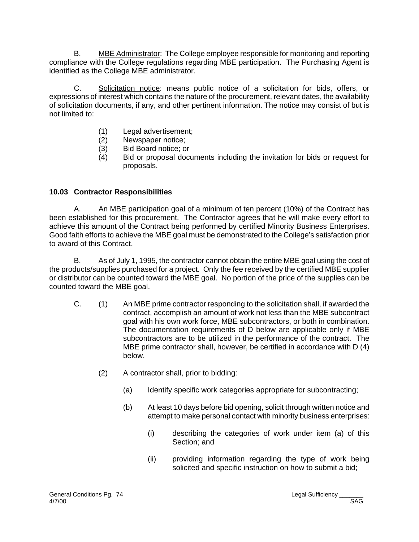B. MBE Administrator: The College employee responsible for monitoring and reporting compliance with the College regulations regarding MBE participation. The Purchasing Agent is identified as the College MBE administrator.

C. Solicitation notice: means public notice of a solicitation for bids, offers, or expressions of interest which contains the nature of the procurement, relevant dates, the availability of solicitation documents, if any, and other pertinent information. The notice may consist of but is not limited to:

- (1) Legal advertisement;
- (2) Newspaper notice;
- (3) Bid Board notice; or
- (4) Bid or proposal documents including the invitation for bids or request for proposals.

## **10.03 Contractor Responsibilities**

A. An MBE participation goal of a minimum of ten percent (10%) of the Contract has been established for this procurement. The Contractor agrees that he will make every effort to achieve this amount of the Contract being performed by certified Minority Business Enterprises. Good faith efforts to achieve the MBE goal must be demonstrated to the College's satisfaction prior to award of this Contract.

B. As of July 1, 1995, the contractor cannot obtain the entire MBE goal using the cost of the products/supplies purchased for a project. Only the fee received by the certified MBE supplier or distributor can be counted toward the MBE goal. No portion of the price of the supplies can be counted toward the MBE goal.

- C. (1) An MBE prime contractor responding to the solicitation shall, if awarded the contract, accomplish an amount of work not less than the MBE subcontract goal with his own work force, MBE subcontractors, or both in combination. The documentation requirements of D below are applicable only if MBE subcontractors are to be utilized in the performance of the contract. The MBE prime contractor shall, however, be certified in accordance with D (4) below.
	- (2) A contractor shall, prior to bidding:
		- (a) Identify specific work categories appropriate for subcontracting;
		- (b) At least 10 days before bid opening, solicit through written notice and attempt to make personal contact with minority business enterprises:
			- (i) describing the categories of work under item (a) of this Section; and
			- (ii) providing information regarding the type of work being solicited and specific instruction on how to submit a bid;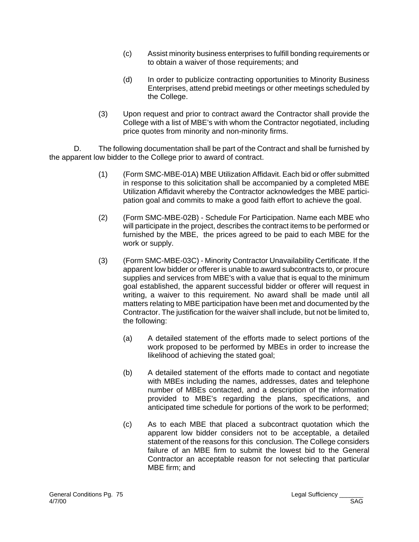- (c) Assist minority business enterprises to fulfill bonding requirements or to obtain a waiver of those requirements; and
- (d) In order to publicize contracting opportunities to Minority Business Enterprises, attend prebid meetings or other meetings scheduled by the College.
- (3) Upon request and prior to contract award the Contractor shall provide the College with a list of MBE's with whom the Contractor negotiated, including price quotes from minority and non-minority firms.

D. The following documentation shall be part of the Contract and shall be furnished by the apparent low bidder to the College prior to award of contract.

- (1) (Form SMC-MBE-01A) MBE Utilization Affidavit. Each bid or offer submitted in response to this solicitation shall be accompanied by a completed MBE Utilization Affidavit whereby the Contractor acknowledges the MBE participation goal and commits to make a good faith effort to achieve the goal.
- (2) (Form SMC-MBE-02B) Schedule For Participation. Name each MBE who will participate in the project, describes the contract items to be performed or furnished by the MBE, the prices agreed to be paid to each MBE for the work or supply.
- (3) (Form SMC-MBE-03C) Minority Contractor Unavailability Certificate. If the apparent low bidder or offerer is unable to award subcontracts to, or procure supplies and services from MBE's with a value that is equal to the minimum goal established, the apparent successful bidder or offerer will request in writing, a waiver to this requirement. No award shall be made until all matters relating to MBE participation have been met and documented by the Contractor. The justification for the waiver shall include, but not be limited to, the following:
	- (a) A detailed statement of the efforts made to select portions of the work proposed to be performed by MBEs in order to increase the likelihood of achieving the stated goal;
	- (b) A detailed statement of the efforts made to contact and negotiate with MBEs including the names, addresses, dates and telephone number of MBEs contacted, and a description of the information provided to MBE's regarding the plans, specifications, and anticipated time schedule for portions of the work to be performed;
	- (c) As to each MBE that placed a subcontract quotation which the apparent low bidder considers not to be acceptable, a detailed statement of the reasons for this conclusion. The College considers failure of an MBE firm to submit the lowest bid to the General Contractor an acceptable reason for not selecting that particular MBE firm; and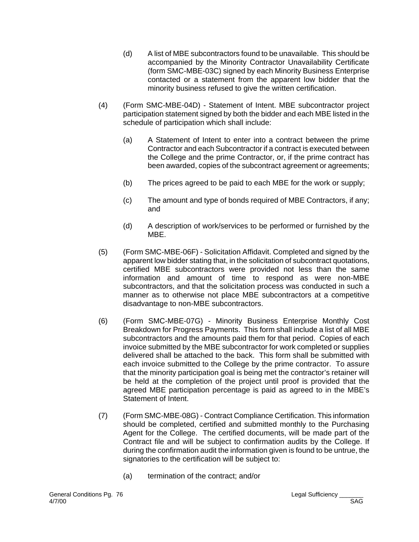- (d) A list of MBE subcontractors found to be unavailable. This should be accompanied by the Minority Contractor Unavailability Certificate (form SMC-MBE-03C) signed by each Minority Business Enterprise contacted or a statement from the apparent low bidder that the minority business refused to give the written certification.
- (4) (Form SMC-MBE-04D) Statement of Intent. MBE subcontractor project participation statement signed by both the bidder and each MBE listed in the schedule of participation which shall include:
	- (a) A Statement of Intent to enter into a contract between the prime Contractor and each Subcontractor if a contract is executed between the College and the prime Contractor, or, if the prime contract has been awarded, copies of the subcontract agreement or agreements;
	- (b) The prices agreed to be paid to each MBE for the work or supply;
	- (c) The amount and type of bonds required of MBE Contractors, if any; and
	- (d) A description of work/services to be performed or furnished by the MBE.
- (5) (Form SMC-MBE-06F) Solicitation Affidavit. Completed and signed by the apparent low bidder stating that, in the solicitation of subcontract quotations, certified MBE subcontractors were provided not less than the same information and amount of time to respond as were non-MBE subcontractors, and that the solicitation process was conducted in such a manner as to otherwise not place MBE subcontractors at a competitive disadvantage to non-MBE subcontractors.
- (6) (Form SMC-MBE-07G) Minority Business Enterprise Monthly Cost Breakdown for Progress Payments. This form shall include a list of all MBE subcontractors and the amounts paid them for that period. Copies of each invoice submitted by the MBE subcontractor for work completed or supplies delivered shall be attached to the back. This form shall be submitted with each invoice submitted to the College by the prime contractor. To assure that the minority participation goal is being met the contractor's retainer will be held at the completion of the project until proof is provided that the agreed MBE participation percentage is paid as agreed to in the MBE's Statement of Intent.
- (7) (Form SMC-MBE-08G) Contract Compliance Certification. This information should be completed, certified and submitted monthly to the Purchasing Agent for the College. The certified documents, will be made part of the Contract file and will be subject to confirmation audits by the College. If during the confirmation audit the information given is found to be untrue, the signatories to the certification will be subject to:
	- (a) termination of the contract; and/or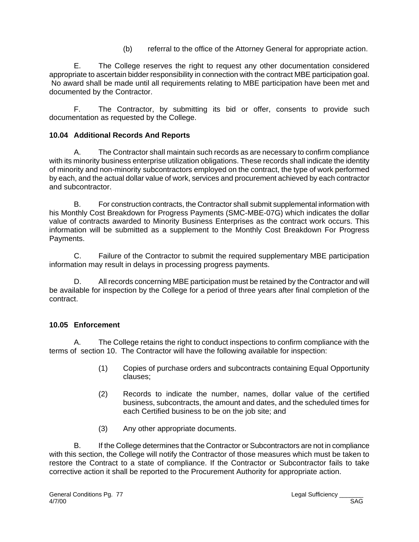(b) referral to the office of the Attorney General for appropriate action.

E. The College reserves the right to request any other documentation considered appropriate to ascertain bidder responsibility in connection with the contract MBE participation goal. No award shall be made until all requirements relating to MBE participation have been met and documented by the Contractor.

F. The Contractor, by submitting its bid or offer, consents to provide such documentation as requested by the College.

## **10.04 Additional Records And Reports**

A. The Contractor shall maintain such records as are necessary to confirm compliance with its minority business enterprise utilization obligations. These records shall indicate the identity of minority and non-minority subcontractors employed on the contract, the type of work performed by each, and the actual dollar value of work, services and procurement achieved by each contractor and subcontractor.

B. For construction contracts, the Contractor shall submit supplemental information with his Monthly Cost Breakdown for Progress Payments (SMC-MBE-07G) which indicates the dollar value of contracts awarded to Minority Business Enterprises as the contract work occurs. This information will be submitted as a supplement to the Monthly Cost Breakdown For Progress Payments.

C. Failure of the Contractor to submit the required supplementary MBE participation information may result in delays in processing progress payments.

D. All records concerning MBE participation must be retained by the Contractor and will be available for inspection by the College for a period of three years after final completion of the contract.

## **10.05 Enforcement**

A. The College retains the right to conduct inspections to confirm compliance with the terms of section 10. The Contractor will have the following available for inspection:

- (1) Copies of purchase orders and subcontracts containing Equal Opportunity clauses;
- (2) Records to indicate the number, names, dollar value of the certified business, subcontracts, the amount and dates, and the scheduled times for each Certified business to be on the job site; and
- (3) Any other appropriate documents.

B. If the College determines that the Contractor or Subcontractors are not in compliance with this section, the College will notify the Contractor of those measures which must be taken to restore the Contract to a state of compliance. If the Contractor or Subcontractor fails to take corrective action it shall be reported to the Procurement Authority for appropriate action.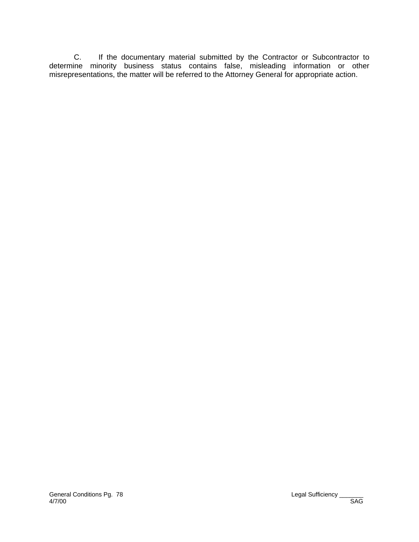C. If the documentary material submitted by the Contractor or Subcontractor to determine minority business status contains false, misleading information or other misrepresentations, the matter will be referred to the Attorney General for appropriate action.